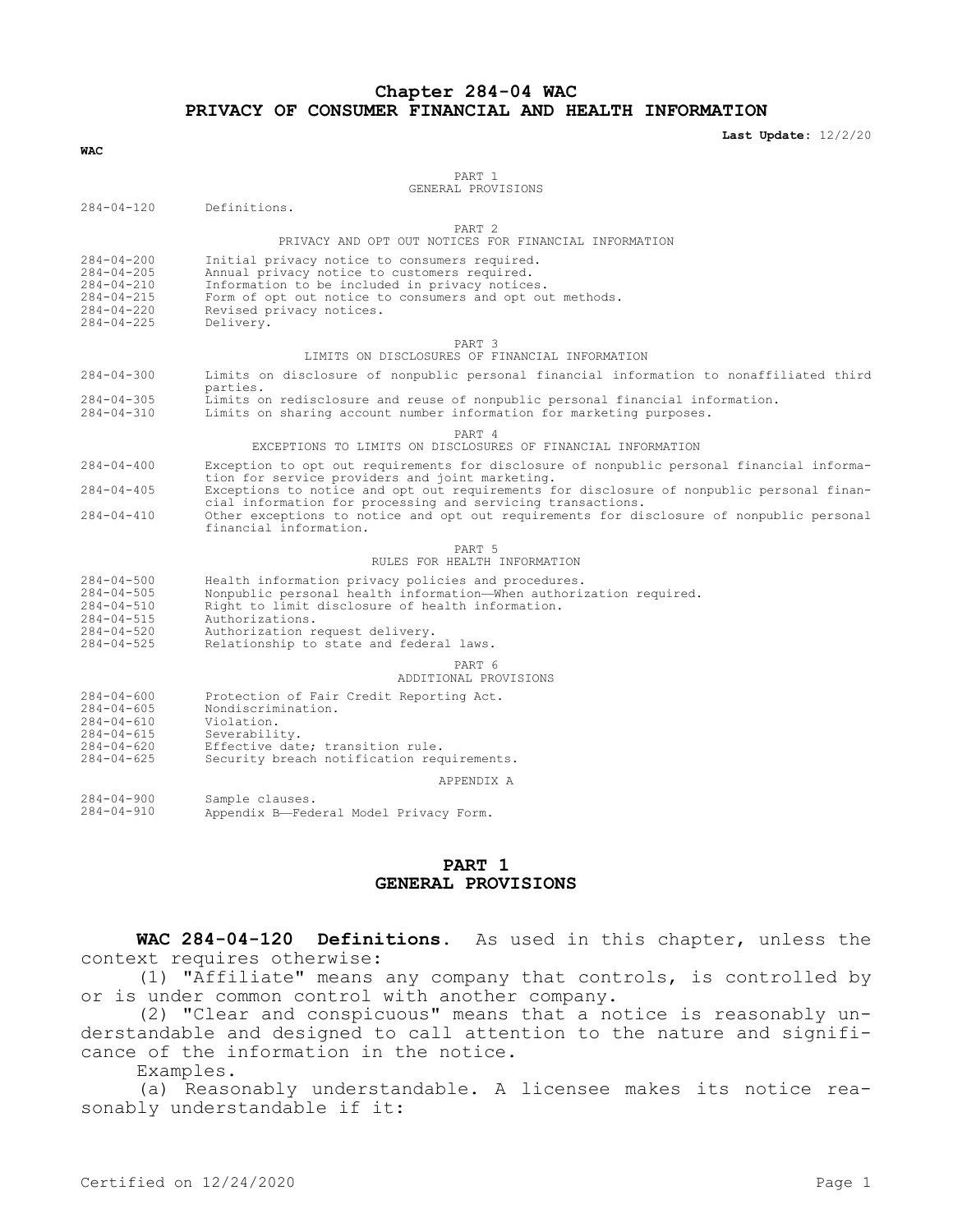#### **Chapter 284-04 WAC PRIVACY OF CONSUMER FINANCIAL AND HEALTH INFORMATION**

**Last Update:** 12/2/20

| WAC                                                                                                |                                                                                                                                                                                                                                                                                                                                                                                                                                |
|----------------------------------------------------------------------------------------------------|--------------------------------------------------------------------------------------------------------------------------------------------------------------------------------------------------------------------------------------------------------------------------------------------------------------------------------------------------------------------------------------------------------------------------------|
|                                                                                                    | PART 1<br>GENERAL PROVISIONS                                                                                                                                                                                                                                                                                                                                                                                                   |
| $284 - 04 - 120$                                                                                   | Definitions.                                                                                                                                                                                                                                                                                                                                                                                                                   |
|                                                                                                    | PART 2<br>PRIVACY AND OPT OUT NOTICES FOR FINANCIAL INFORMATION                                                                                                                                                                                                                                                                                                                                                                |
| 284-04-200<br>$284 - 04 - 205$<br>$284 - 04 - 210$<br>284-04-215<br>284-04-220<br>$284 - 04 - 225$ | Initial privacy notice to consumers required.<br>Annual privacy notice to customers required.<br>Information to be included in privacy notices.<br>Form of opt out notice to consumers and opt out methods.<br>Revised privacy notices.<br>Delivery.                                                                                                                                                                           |
|                                                                                                    | PART 3<br>LIMITS ON DISCLOSURES OF FINANCIAL INFORMATION                                                                                                                                                                                                                                                                                                                                                                       |
| 284-04-300                                                                                         | Limits on disclosure of nonpublic personal financial information to nonaffiliated third<br>parties.                                                                                                                                                                                                                                                                                                                            |
| $284 - 04 - 305$<br>284-04-310                                                                     | Limits on redisclosure and reuse of nonpublic personal financial information.<br>Limits on sharing account number information for marketing purposes.                                                                                                                                                                                                                                                                          |
|                                                                                                    | PART 4<br>EXCEPTIONS TO LIMITS ON DISCLOSURES OF FINANCIAL INFORMATION                                                                                                                                                                                                                                                                                                                                                         |
| $284 - 04 - 400$<br>$284 - 04 - 405$<br>$284 - 04 - 410$                                           | Exception to opt out requirements for disclosure of nonpublic personal financial informa-<br>tion for service providers and joint marketing.<br>Exceptions to notice and opt out requirements for disclosure of nonpublic personal finan-<br>cial information for processing and servicing transactions.<br>Other exceptions to notice and opt out requirements for disclosure of nonpublic personal<br>financial information. |
|                                                                                                    | PART 5<br>RULES FOR HEALTH INFORMATION                                                                                                                                                                                                                                                                                                                                                                                         |
| 284-04-500<br>284-04-505<br>284-04-510<br>284-04-515<br>$284 - 04 - 520$<br>$284 - 04 - 525$       | Health information privacy policies and procedures.<br>Nonpublic personal health information-When authorization required.<br>Right to limit disclosure of health information.<br>Authorizations.<br>Authorization request delivery.<br>Relationship to state and federal laws.                                                                                                                                                 |
|                                                                                                    | PART 6<br>ADDITIONAL PROVISIONS                                                                                                                                                                                                                                                                                                                                                                                                |
| $284 - 04 - 600$<br>$284 - 04 - 605$<br>284-04-610<br>284-04-615<br>284-04-620<br>$284 - 04 - 625$ | Protection of Fair Credit Reporting Act.<br>Nondiscrimination.<br>Violation.<br>Severability.<br>Effective date; transition rule.<br>Security breach notification requirements.                                                                                                                                                                                                                                                |
|                                                                                                    | APPENDIX A                                                                                                                                                                                                                                                                                                                                                                                                                     |
| $284 - 04 - 900$<br>284-04-910                                                                     | Sample clauses.<br>Appendix B-Federal Model Privacy Form.                                                                                                                                                                                                                                                                                                                                                                      |
|                                                                                                    |                                                                                                                                                                                                                                                                                                                                                                                                                                |

# **PART 1 GENERAL PROVISIONS**

**WAC 284-04-120 Definitions.** As used in this chapter, unless the context requires otherwise:

(1) "Affiliate" means any company that controls, is controlled by or is under common control with another company.

(2) "Clear and conspicuous" means that a notice is reasonably understandable and designed to call attention to the nature and significance of the information in the notice.

Examples.

(a) Reasonably understandable. A licensee makes its notice reasonably understandable if it: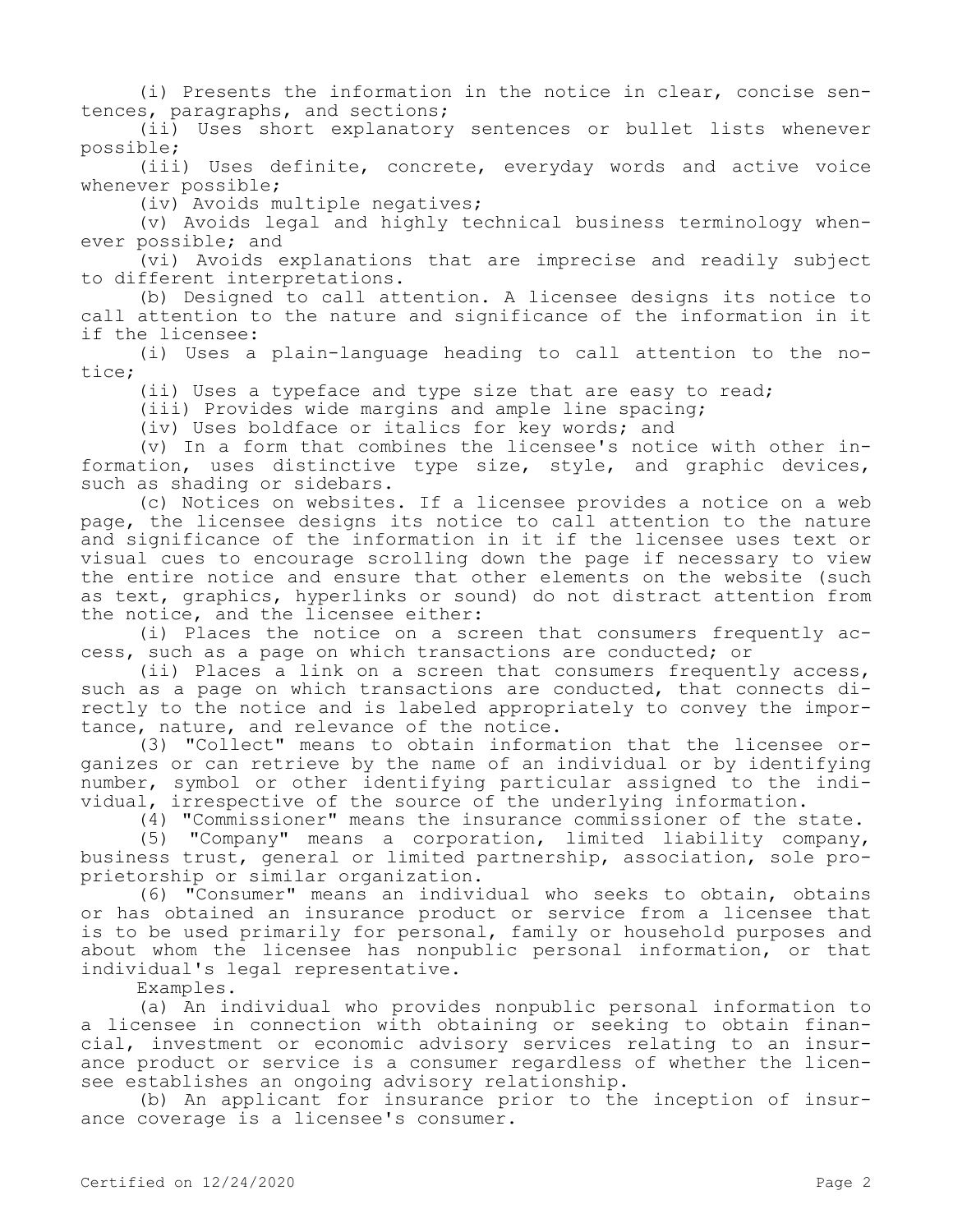(i) Presents the information in the notice in clear, concise sentences, paragraphs, and sections;

(ii) Uses short explanatory sentences or bullet lists whenever possible;

(iii) Uses definite, concrete, everyday words and active voice whenever possible;

(iv) Avoids multiple negatives;

(v) Avoids legal and highly technical business terminology whenever possible; and

(vi) Avoids explanations that are imprecise and readily subject to different interpretations.

(b) Designed to call attention. A licensee designs its notice to call attention to the nature and significance of the information in it if the licensee:

(i) Uses a plain-language heading to call attention to the notice;

(ii) Uses a typeface and type size that are easy to read;

(iii) Provides wide margins and ample line spacing;

(iv) Uses boldface or italics for key words; and

(v) In a form that combines the licensee's notice with other information, uses distinctive type size, style, and graphic devices, such as shading or sidebars.

(c) Notices on websites. If a licensee provides a notice on a web page, the licensee designs its notice to call attention to the nature and significance of the information in it if the licensee uses text or visual cues to encourage scrolling down the page if necessary to view the entire notice and ensure that other elements on the website (such as text, graphics, hyperlinks or sound) do not distract attention from the notice, and the licensee either:

(i) Places the notice on a screen that consumers frequently access, such as a page on which transactions are conducted; or

(ii) Places a link on a screen that consumers frequently access, such as a page on which transactions are conducted, that connects directly to the notice and is labeled appropriately to convey the importance, nature, and relevance of the notice.

(3) "Collect" means to obtain information that the licensee organizes or can retrieve by the name of an individual or by identifying number, symbol or other identifying particular assigned to the individual, irrespective of the source of the underlying information.

(4) "Commissioner" means the insurance commissioner of the state.

(5) "Company" means a corporation, limited liability company, business trust, general or limited partnership, association, sole proprietorship or similar organization.

(6) "Consumer" means an individual who seeks to obtain, obtains or has obtained an insurance product or service from a licensee that is to be used primarily for personal, family or household purposes and about whom the licensee has nonpublic personal information, or that individual's legal representative.

Examples.

(a) An individual who provides nonpublic personal information to a licensee in connection with obtaining or seeking to obtain financial, investment or economic advisory services relating to an insurance product or service is a consumer regardless of whether the licensee establishes an ongoing advisory relationship.

(b) An applicant for insurance prior to the inception of insurance coverage is a licensee's consumer.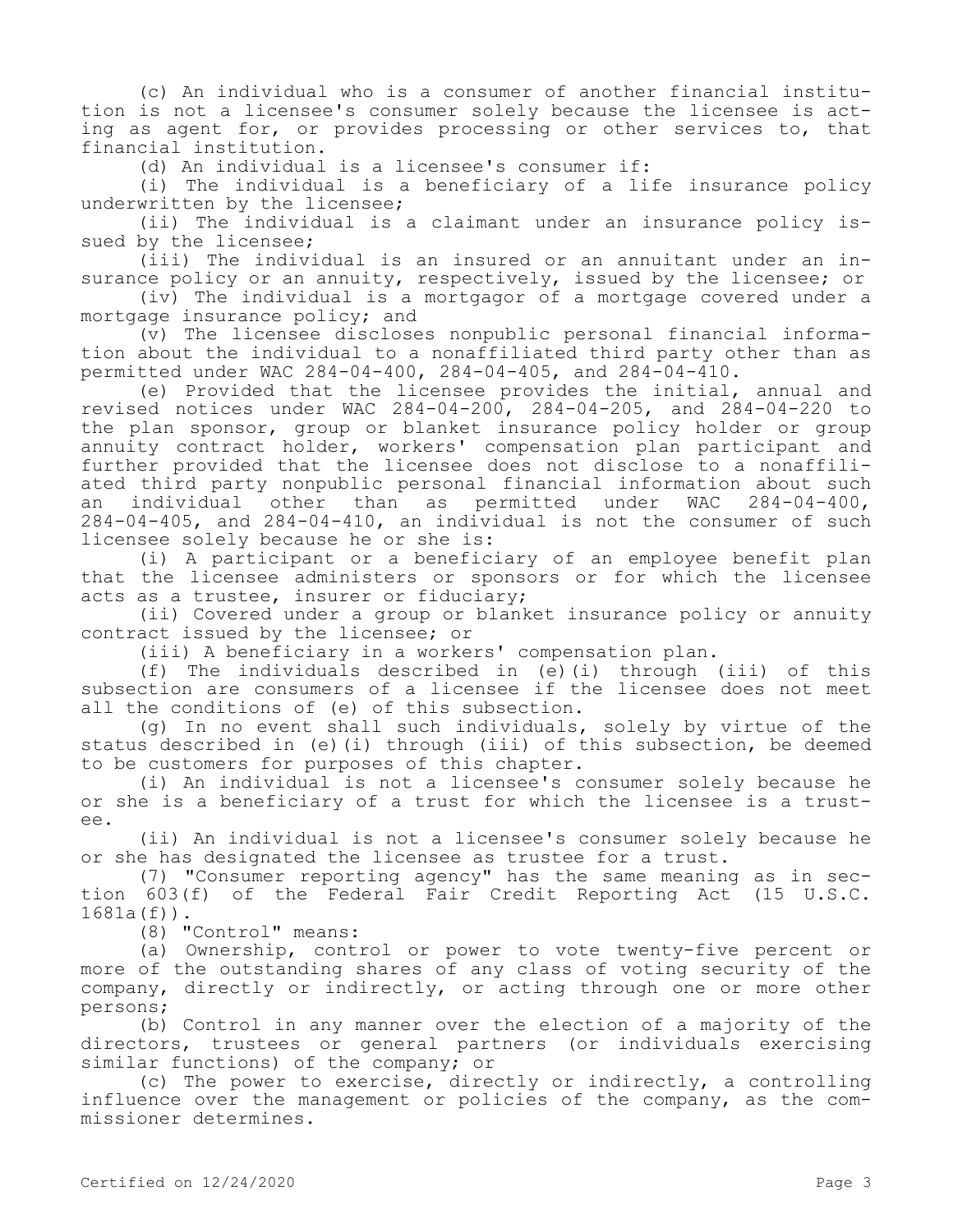(c) An individual who is a consumer of another financial institution is not a licensee's consumer solely because the licensee is acting as agent for, or provides processing or other services to, that financial institution.

(d) An individual is a licensee's consumer if:

(i) The individual is a beneficiary of a life insurance policy underwritten by the licensee;

(ii) The individual is a claimant under an insurance policy issued by the licensee;

(iii) The individual is an insured or an annuitant under an insurance policy or an annuity, respectively, issued by the licensee; or

(iv) The individual is a mortgagor of a mortgage covered under a mortgage insurance policy; and

(v) The licensee discloses nonpublic personal financial information about the individual to a nonaffiliated third party other than as permitted under WAC 284-04-400, 284-04-405, and 284-04-410.

(e) Provided that the licensee provides the initial, annual and revised notices under WAC 284-04-200, 284-04-205, and 284-04-220 to the plan sponsor, group or blanket insurance policy holder or group annuity contract holder, workers' compensation plan participant and further provided that the licensee does not disclose to a nonaffiliated third party nonpublic personal financial information about such an individual other than as permitted under WAC 284-04-400, 284-04-405, and 284-04-410, an individual is not the consumer of such licensee solely because he or she is:

(i) A participant or a beneficiary of an employee benefit plan that the licensee administers or sponsors or for which the licensee acts as a trustee, insurer or fiduciary;

(ii) Covered under a group or blanket insurance policy or annuity contract issued by the licensee; or

(iii) A beneficiary in a workers' compensation plan.

(f) The individuals described in (e)(i) through (iii) of this subsection are consumers of a licensee if the licensee does not meet all the conditions of (e) of this subsection.

(g) In no event shall such individuals, solely by virtue of the status described in (e)(i) through (iii) of this subsection, be deemed to be customers for purposes of this chapter.

(i) An individual is not a licensee's consumer solely because he or she is a beneficiary of a trust for which the licensee is a trustee.

(ii) An individual is not a licensee's consumer solely because he or she has designated the licensee as trustee for a trust.

(7) "Consumer reporting agency" has the same meaning as in section 603(f) of the Federal Fair Credit Reporting Act (15 U.S.C. 1681a(f)).

(8) "Control" means:

(a) Ownership, control or power to vote twenty-five percent or more of the outstanding shares of any class of voting security of the company, directly or indirectly, or acting through one or more other persons;

(b) Control in any manner over the election of a majority of the directors, trustees or general partners (or individuals exercising similar functions) of the company; or

(c) The power to exercise, directly or indirectly, a controlling influence over the management or policies of the company, as the commissioner determines.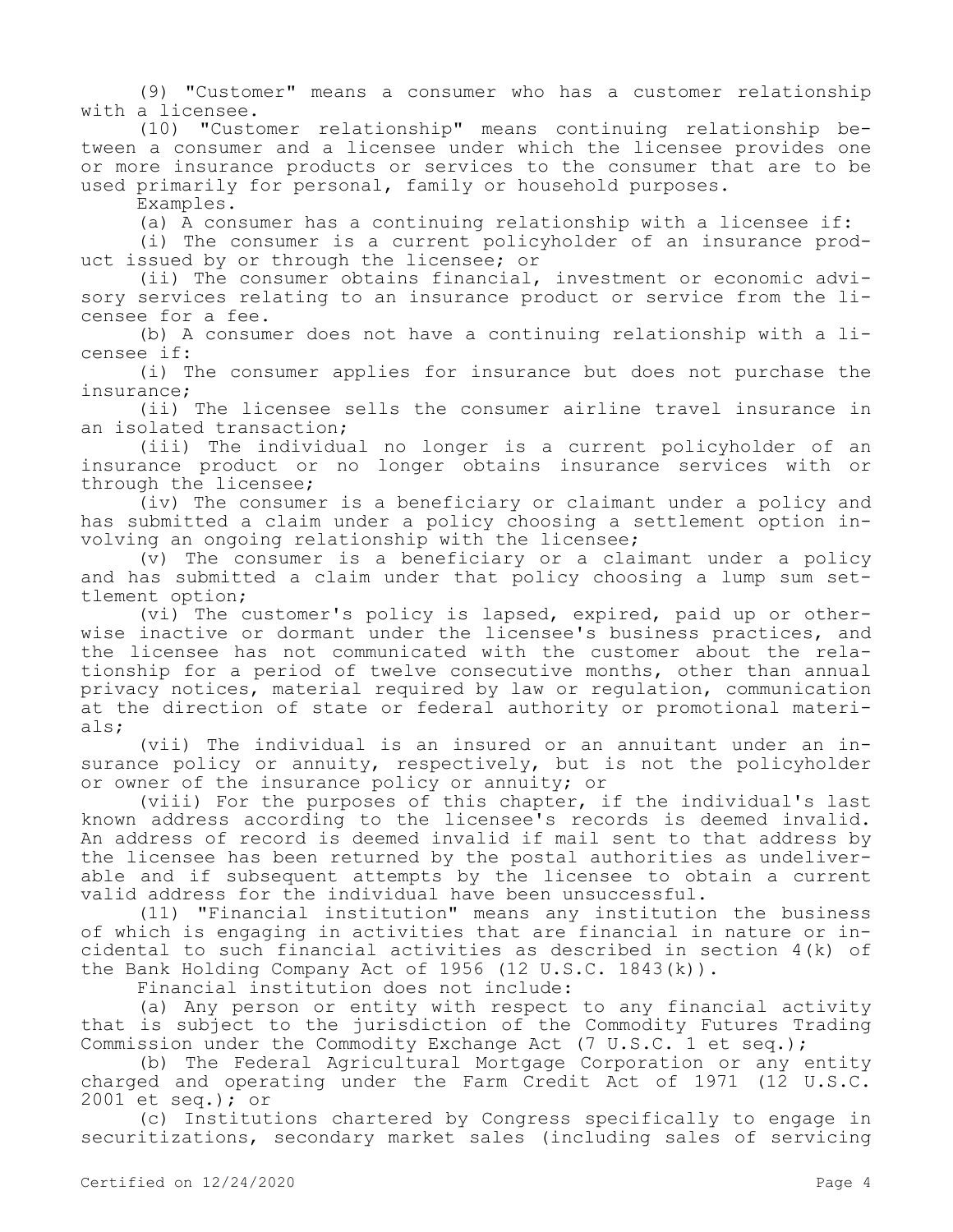(9) "Customer" means a consumer who has a customer relationship with a licensee.

(10) "Customer relationship" means continuing relationship between a consumer and a licensee under which the licensee provides one or more insurance products or services to the consumer that are to be used primarily for personal, family or household purposes.

Examples.

(a) A consumer has a continuing relationship with a licensee if:

(i) The consumer is a current policyholder of an insurance product issued by or through the licensee; or

(ii) The consumer obtains financial, investment or economic advisory services relating to an insurance product or service from the licensee for a fee.

(b) A consumer does not have a continuing relationship with a licensee if:

(i) The consumer applies for insurance but does not purchase the insurance;

(ii) The licensee sells the consumer airline travel insurance in an isolated transaction;

(iii) The individual no longer is a current policyholder of an insurance product or no longer obtains insurance services with or through the licensee;

(iv) The consumer is a beneficiary or claimant under a policy and has submitted a claim under a policy choosing a settlement option involving an ongoing relationship with the licensee;

(v) The consumer is a beneficiary or a claimant under a policy and has submitted a claim under that policy choosing a lump sum settlement option;

(vi) The customer's policy is lapsed, expired, paid up or otherwise inactive or dormant under the licensee's business practices, and the licensee has not communicated with the customer about the relationship for a period of twelve consecutive months, other than annual privacy notices, material required by law or regulation, communication at the direction of state or federal authority or promotional materials;

(vii) The individual is an insured or an annuitant under an insurance policy or annuity, respectively, but is not the policyholder or owner of the insurance policy or annuity; or

(viii) For the purposes of this chapter, if the individual's last known address according to the licensee's records is deemed invalid. An address of record is deemed invalid if mail sent to that address by the licensee has been returned by the postal authorities as undeliverable and if subsequent attempts by the licensee to obtain a current valid address for the individual have been unsuccessful.

(11) "Financial institution" means any institution the business of which is engaging in activities that are financial in nature or incidental to such financial activities as described in section 4(k) of the Bank Holding Company Act of 1956 (12 U.S.C. 1843(k)).

Financial institution does not include:

(a) Any person or entity with respect to any financial activity that is subject to the jurisdiction of the Commodity Futures Trading Commission under the Commodity Exchange Act (7 U.S.C. 1 et seq.);

(b) The Federal Agricultural Mortgage Corporation or any entity charged and operating under the Farm Credit Act of 1971 (12 U.S.C. 2001 et seq.); or

(c) Institutions chartered by Congress specifically to engage in securitizations, secondary market sales (including sales of servicing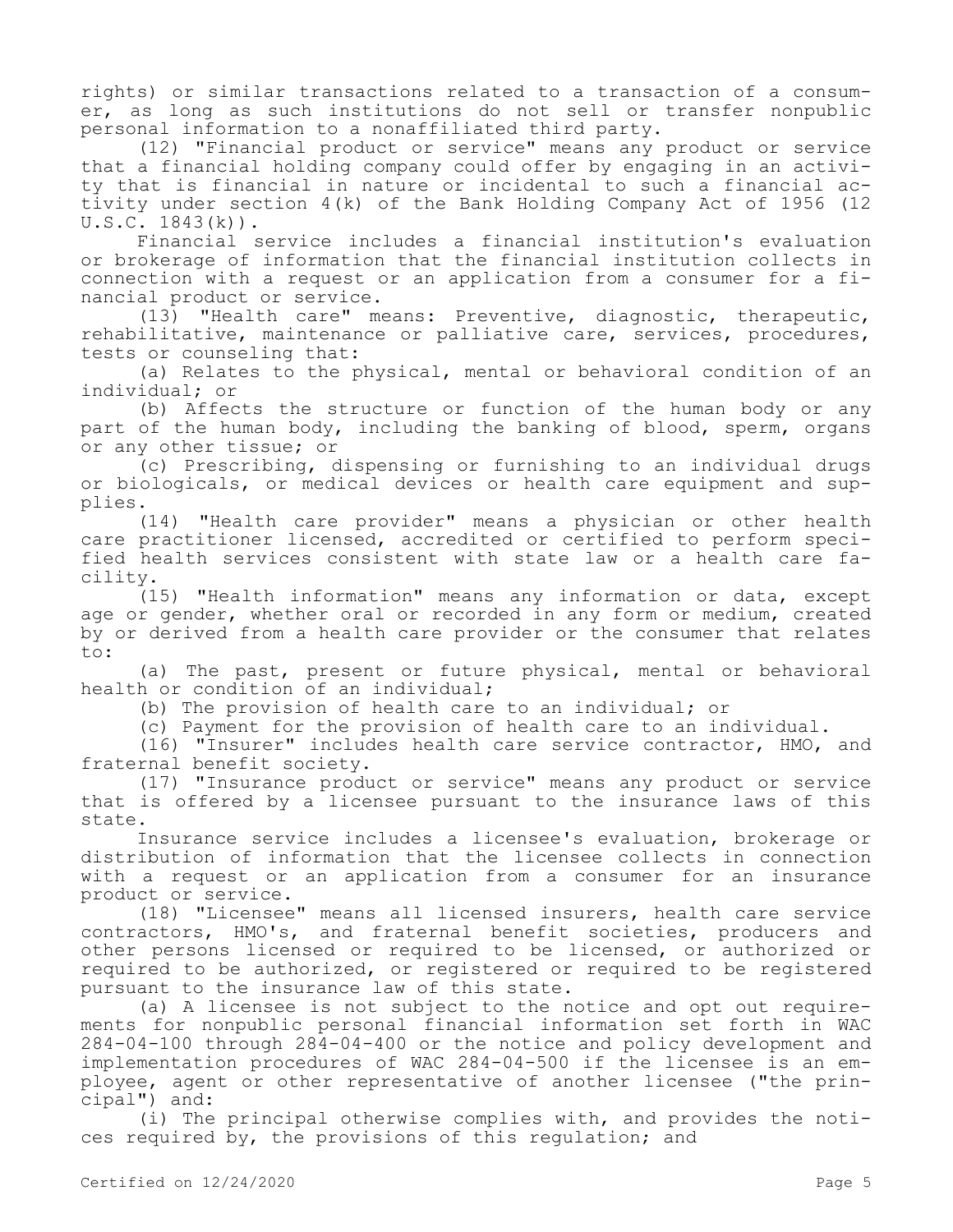rights) or similar transactions related to a transaction of a consumer, as long as such institutions do not sell or transfer nonpublic personal information to a nonaffiliated third party.

(12) "Financial product or service" means any product or service that a financial holding company could offer by engaging in an activity that is financial in nature or incidental to such a financial activity under section 4(k) of the Bank Holding Company Act of 1956 (12  $U.S.C. 1843(k)$ .

Financial service includes a financial institution's evaluation or brokerage of information that the financial institution collects in connection with a request or an application from a consumer for a financial product or service.

(13) "Health care" means: Preventive, diagnostic, therapeutic, rehabilitative, maintenance or palliative care, services, procedures, tests or counseling that:

(a) Relates to the physical, mental or behavioral condition of an individual; or

(b) Affects the structure or function of the human body or any part of the human body, including the banking of blood, sperm, organs or any other tissue; or

(c) Prescribing, dispensing or furnishing to an individual drugs or biologicals, or medical devices or health care equipment and supplies.

(14) "Health care provider" means a physician or other health care practitioner licensed, accredited or certified to perform specified health services consistent with state law or a health care facility.

(15) "Health information" means any information or data, except age or gender, whether oral or recorded in any form or medium, created by or derived from a health care provider or the consumer that relates to:

(a) The past, present or future physical, mental or behavioral health or condition of an individual;

(b) The provision of health care to an individual; or

(c) Payment for the provision of health care to an individual.

(16) "Insurer" includes health care service contractor, HMO, and fraternal benefit society.

(17) "Insurance product or service" means any product or service that is offered by a licensee pursuant to the insurance laws of this state.

Insurance service includes a licensee's evaluation, brokerage or distribution of information that the licensee collects in connection with a request or an application from a consumer for an insurance product or service.

(18) "Licensee" means all licensed insurers, health care service contractors, HMO's, and fraternal benefit societies, producers and other persons licensed or required to be licensed, or authorized or required to be authorized, or registered or required to be registered pursuant to the insurance law of this state.

(a) A licensee is not subject to the notice and opt out requirements for nonpublic personal financial information set forth in WAC 284-04-100 through 284-04-400 or the notice and policy development and implementation procedures of WAC 284-04-500 if the licensee is an employee, agent or other representative of another licensee ("the principal") and:

(i) The principal otherwise complies with, and provides the notices required by, the provisions of this regulation; and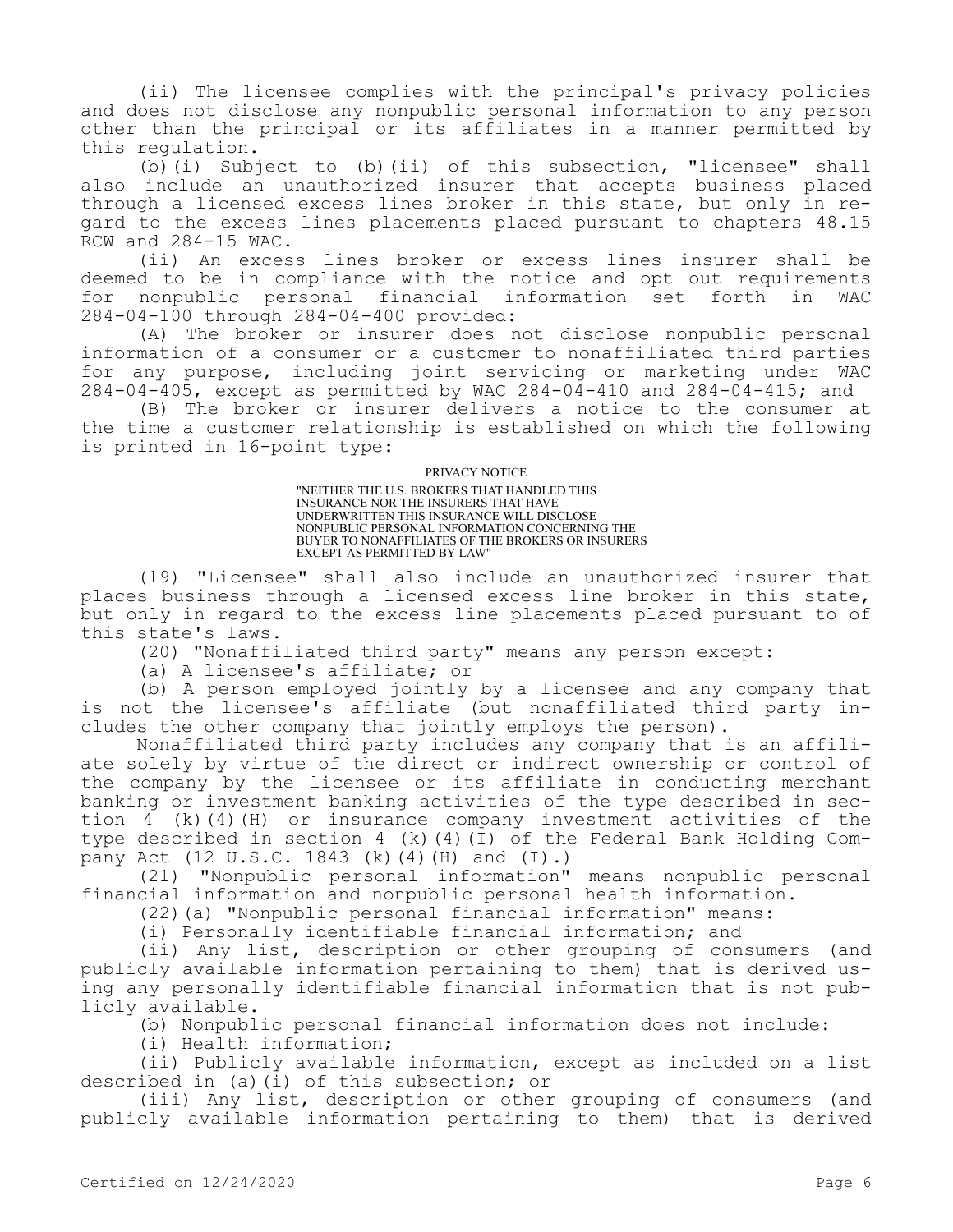(ii) The licensee complies with the principal's privacy policies and does not disclose any nonpublic personal information to any person other than the principal or its affiliates in a manner permitted by this regulation.

(b)(i) Subject to (b)(ii) of this subsection, "licensee" shall also include an unauthorized insurer that accepts business placed through a licensed excess lines broker in this state, but only in regard to the excess lines placements placed pursuant to chapters 48.15 RCW and 284-15 WAC.

(ii) An excess lines broker or excess lines insurer shall be deemed to be in compliance with the notice and opt out requirements for nonpublic personal financial information set forth in WAC 284-04-100 through 284-04-400 provided:

(A) The broker or insurer does not disclose nonpublic personal information of a consumer or a customer to nonaffiliated third parties for any purpose, including joint servicing or marketing under WAC 284-04-405, except as permitted by WAC 284-04-410 and 284-04-415; and

(B) The broker or insurer delivers a notice to the consumer at the time a customer relationship is established on which the following is printed in 16-point type:

#### PRIVACY NOTICE

"NEITHER THE U.S. BROKERS THAT HANDLED THIS INSURANCE NOR THE INSURERS THAT HAVE UNDERWRITTEN THIS INSURANCE WILL DISCLOSE NONPUBLIC PERSONAL INFORMATION CONCERNING THE BUYER TO NONAFFILIATES OF THE BROKERS OR INSURERS EXCEPT AS PERMITTED BY LAW"

(19) "Licensee" shall also include an unauthorized insurer that places business through a licensed excess line broker in this state, but only in regard to the excess line placements placed pursuant to of this state's laws.

(20) "Nonaffiliated third party" means any person except:

(a) A licensee's affiliate; or

(b) A person employed jointly by a licensee and any company that is not the licensee's affiliate (but nonaffiliated third party includes the other company that jointly employs the person).

Nonaffiliated third party includes any company that is an affiliate solely by virtue of the direct or indirect ownership or control of the company by the licensee or its affiliate in conducting merchant banking or investment banking activities of the type described in section 4 (k)(4)(H) or insurance company investment activities of the type described in section 4 (k)(4)(I) of the Federal Bank Holding Company Act (12 U.S.C. 1843 (k)(4)(H) and (I).)

(21) "Nonpublic personal information" means nonpublic personal financial information and nonpublic personal health information.

(22)(a) "Nonpublic personal financial information" means:

(i) Personally identifiable financial information; and

(ii) Any list, description or other grouping of consumers (and publicly available information pertaining to them) that is derived using any personally identifiable financial information that is not publicly available.

(b) Nonpublic personal financial information does not include:

(i) Health information;

(ii) Publicly available information, except as included on a list described in (a)(i) of this subsection; or

(iii) Any list, description or other grouping of consumers (and publicly available information pertaining to them) that is derived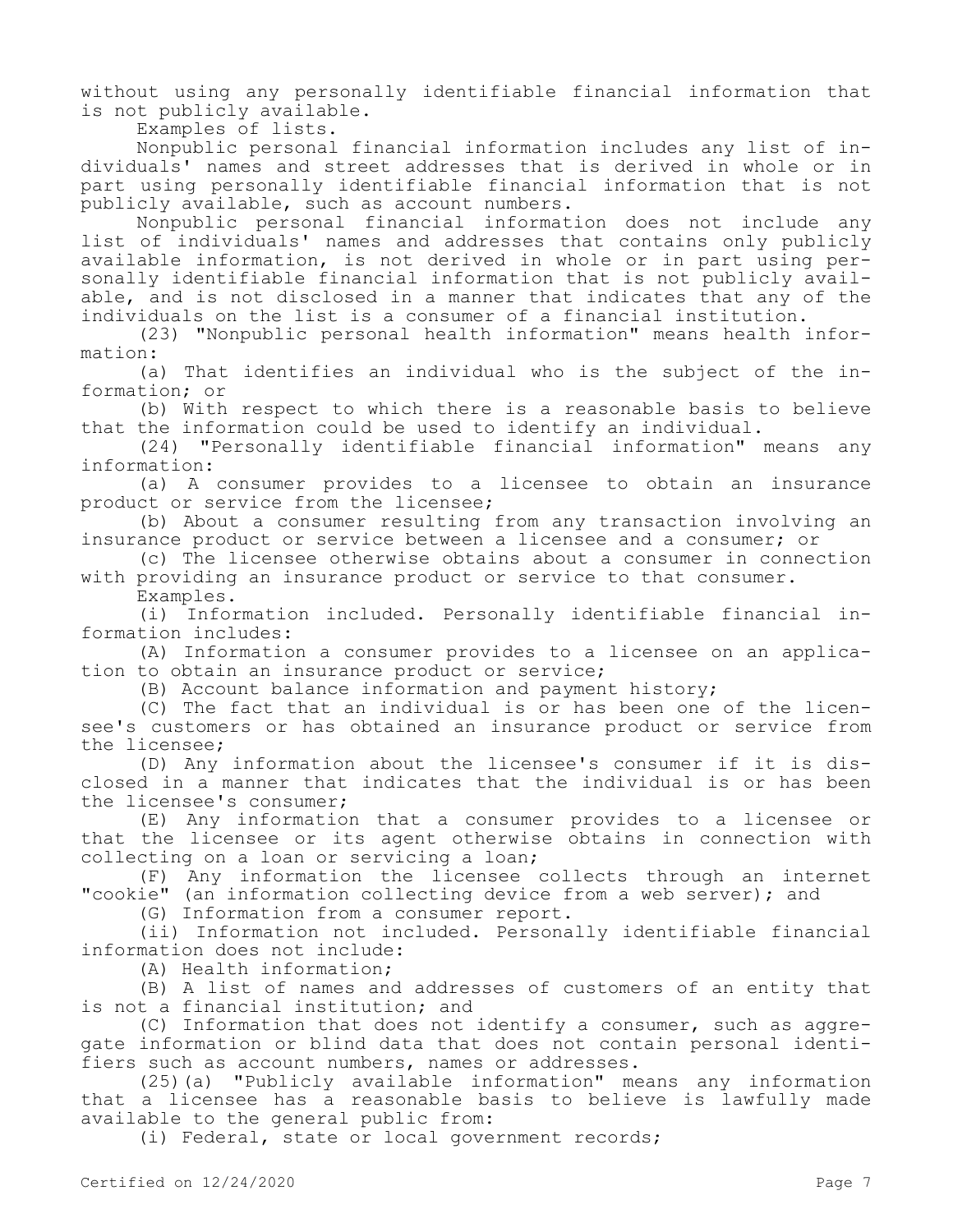without using any personally identifiable financial information that is not publicly available.

Examples of lists.

Nonpublic personal financial information includes any list of individuals' names and street addresses that is derived in whole or in part using personally identifiable financial information that is not publicly available, such as account numbers.

Nonpublic personal financial information does not include any list of individuals' names and addresses that contains only publicly available information, is not derived in whole or in part using personally identifiable financial information that is not publicly available, and is not disclosed in a manner that indicates that any of the individuals on the list is a consumer of a financial institution.

(23) "Nonpublic personal health information" means health information:

(a) That identifies an individual who is the subject of the information; or

(b) With respect to which there is a reasonable basis to believe that the information could be used to identify an individual.

(24) "Personally identifiable financial information" means any information:

(a) A consumer provides to a licensee to obtain an insurance product or service from the licensee;

(b) About a consumer resulting from any transaction involving an insurance product or service between a licensee and a consumer; or

(c) The licensee otherwise obtains about a consumer in connection with providing an insurance product or service to that consumer.

Examples.

(i) Information included. Personally identifiable financial information includes:

(A) Information a consumer provides to a licensee on an application to obtain an insurance product or service;

(B) Account balance information and payment history;

(C) The fact that an individual is or has been one of the licensee's customers or has obtained an insurance product or service from the licensee;

(D) Any information about the licensee's consumer if it is disclosed in a manner that indicates that the individual is or has been the licensee's consumer;

(E) Any information that a consumer provides to a licensee or that the licensee or its agent otherwise obtains in connection with collecting on a loan or servicing a loan;

(F) Any information the licensee collects through an internet "cookie" (an information collecting device from a web server); and

(G) Information from a consumer report.

(ii) Information not included. Personally identifiable financial information does not include:

(A) Health information;

(B) A list of names and addresses of customers of an entity that is not a financial institution; and

(C) Information that does not identify a consumer, such as aggregate information or blind data that does not contain personal identifiers such as account numbers, names or addresses.

(25)(a) "Publicly available information" means any information that a licensee has a reasonable basis to believe is lawfully made available to the general public from:

(i) Federal, state or local government records;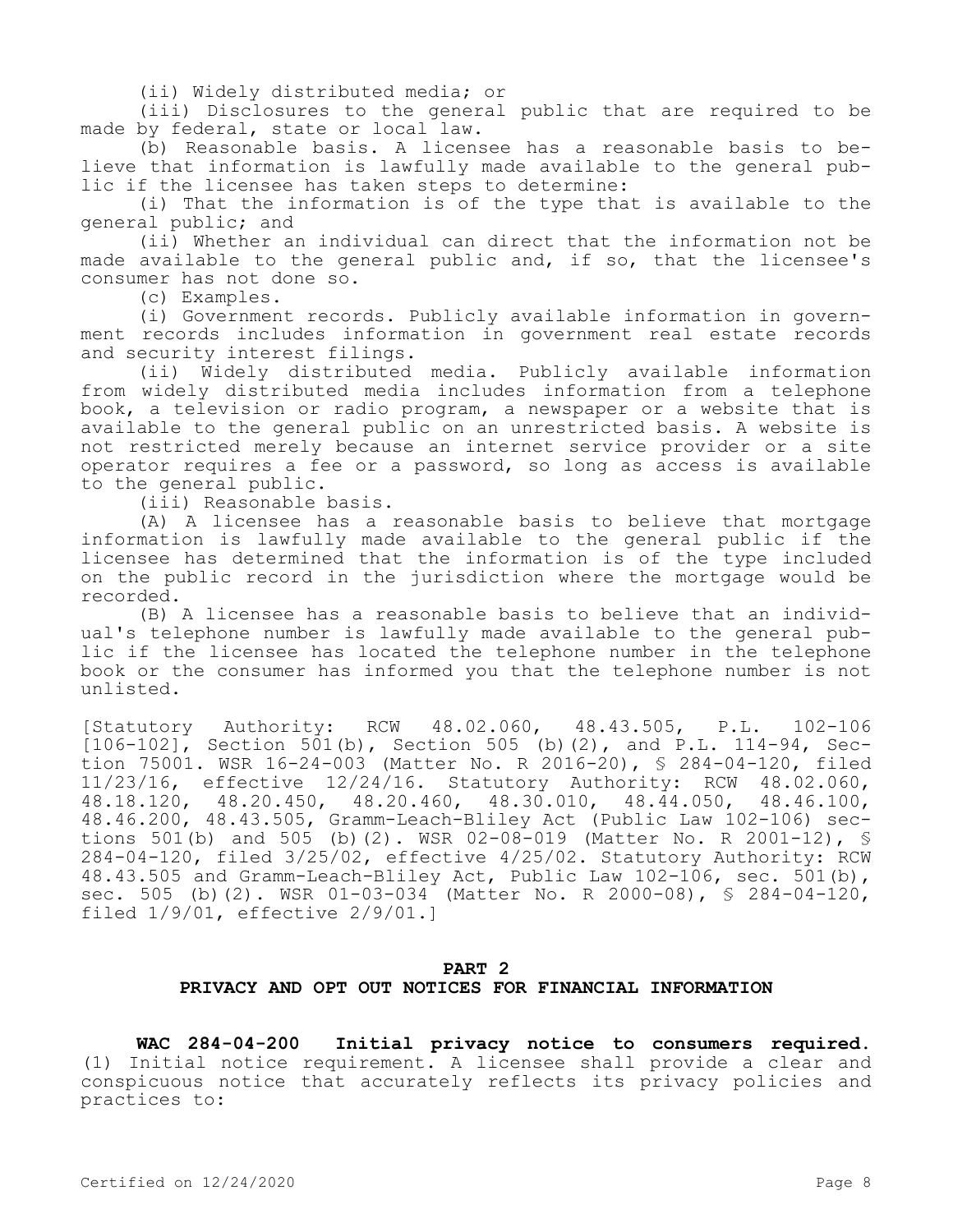(ii) Widely distributed media; or

(iii) Disclosures to the general public that are required to be made by federal, state or local law.

(b) Reasonable basis. A licensee has a reasonable basis to believe that information is lawfully made available to the general public if the licensee has taken steps to determine:

(i) That the information is of the type that is available to the general public; and

(ii) Whether an individual can direct that the information not be made available to the general public and, if so, that the licensee's consumer has not done so.

(c) Examples.

(i) Government records. Publicly available information in government records includes information in government real estate records and security interest filings.

(ii) Widely distributed media. Publicly available information from widely distributed media includes information from a telephone book, a television or radio program, a newspaper or a website that is available to the general public on an unrestricted basis. A website is not restricted merely because an internet service provider or a site operator requires a fee or a password, so long as access is available to the general public.

(iii) Reasonable basis.

(A) A licensee has a reasonable basis to believe that mortgage information is lawfully made available to the general public if the licensee has determined that the information is of the type included on the public record in the jurisdiction where the mortgage would be recorded.

(B) A licensee has a reasonable basis to believe that an individual's telephone number is lawfully made available to the general public if the licensee has located the telephone number in the telephone book or the consumer has informed you that the telephone number is not unlisted.

[Statutory Authority: RCW 48.02.060, 48.43.505, P.L. 102-106 [106-102], Section 501(b), Section 505 (b)(2), and P.L. 114-94, Section 75001. WSR 16-24-003 (Matter No. R 2016-20), § 284-04-120, filed 11/23/16, effective 12/24/16. Statutory Authority: RCW 48.02.060, 48.18.120, 48.20.450, 48.20.460, 48.30.010, 48.44.050, 48.46.100, 48.46.200, 48.43.505, Gramm-Leach-Bliley Act (Public Law 102-106) sections 501(b) and 505 (b)(2). WSR 02-08-019 (Matter No. R 2001-12), § 284-04-120, filed 3/25/02, effective 4/25/02. Statutory Authority: RCW 48.43.505 and Gramm-Leach-Bliley Act, Public Law 102-106, sec. 501(b), sec. 505 (b)(2). WSR 01-03-034 (Matter No. R 2000-08), § 284-04-120, filed 1/9/01, effective 2/9/01.]

# **PART 2 PRIVACY AND OPT OUT NOTICES FOR FINANCIAL INFORMATION**

**WAC 284-04-200 Initial privacy notice to consumers required.**  (1) Initial notice requirement. A licensee shall provide a clear and conspicuous notice that accurately reflects its privacy policies and practices to: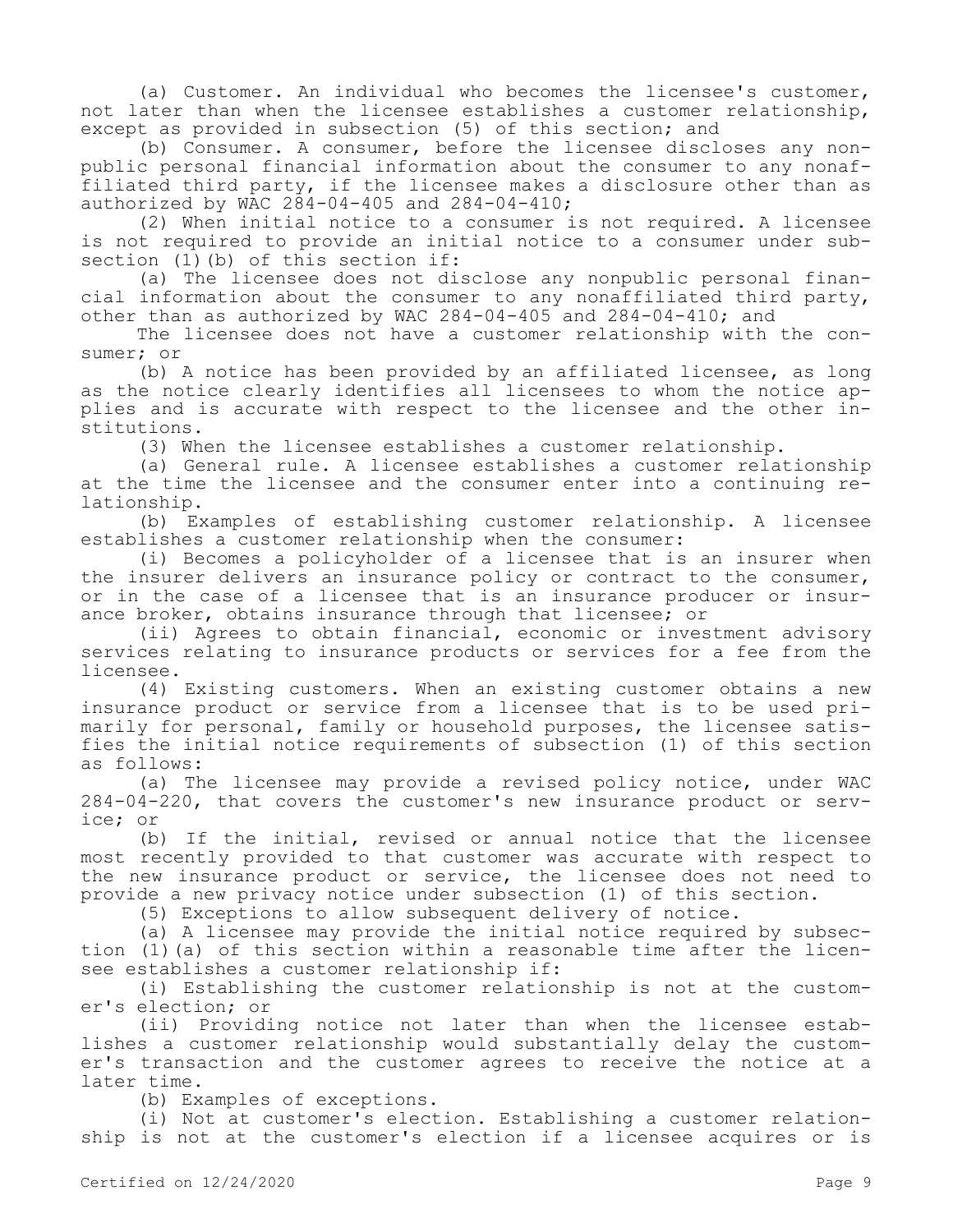(a) Customer. An individual who becomes the licensee's customer, not later than when the licensee establishes a customer relationship, except as provided in subsection (5) of this section; and

(b) Consumer. A consumer, before the licensee discloses any nonpublic personal financial information about the consumer to any nonaffiliated third party, if the licensee makes a disclosure other than as authorized by WAC 284-04-405 and 284-04-410;

(2) When initial notice to a consumer is not required. A licensee is not required to provide an initial notice to a consumer under subsection (1)(b) of this section if:

(a) The licensee does not disclose any nonpublic personal financial information about the consumer to any nonaffiliated third party, other than as authorized by WAC 284-04-405 and 284-04-410; and

The licensee does not have a customer relationship with the consumer; or

(b) A notice has been provided by an affiliated licensee, as long as the notice clearly identifies all licensees to whom the notice applies and is accurate with respect to the licensee and the other institutions.

(3) When the licensee establishes a customer relationship.

(a) General rule. A licensee establishes a customer relationship at the time the licensee and the consumer enter into a continuing relationship.

(b) Examples of establishing customer relationship. A licensee establishes a customer relationship when the consumer:

(i) Becomes a policyholder of a licensee that is an insurer when the insurer delivers an insurance policy or contract to the consumer, or in the case of a licensee that is an insurance producer or insurance broker, obtains insurance through that licensee; or

(ii) Agrees to obtain financial, economic or investment advisory services relating to insurance products or services for a fee from the licensee.

(4) Existing customers. When an existing customer obtains a new insurance product or service from a licensee that is to be used primarily for personal, family or household purposes, the licensee satisfies the initial notice requirements of subsection (1) of this section as follows:

(a) The licensee may provide a revised policy notice, under WAC 284-04-220, that covers the customer's new insurance product or service; or

(b) If the initial, revised or annual notice that the licensee most recently provided to that customer was accurate with respect to the new insurance product or service, the licensee does not need to provide a new privacy notice under subsection (1) of this section.

(5) Exceptions to allow subsequent delivery of notice.

(a) A licensee may provide the initial notice required by subsection (1)(a) of this section within a reasonable time after the licensee establishes a customer relationship if:

(i) Establishing the customer relationship is not at the customer's election; or

(ii) Providing notice not later than when the licensee establishes a customer relationship would substantially delay the customer's transaction and the customer agrees to receive the notice at a later time.

(b) Examples of exceptions.

(i) Not at customer's election. Establishing a customer relationship is not at the customer's election if a licensee acquires or is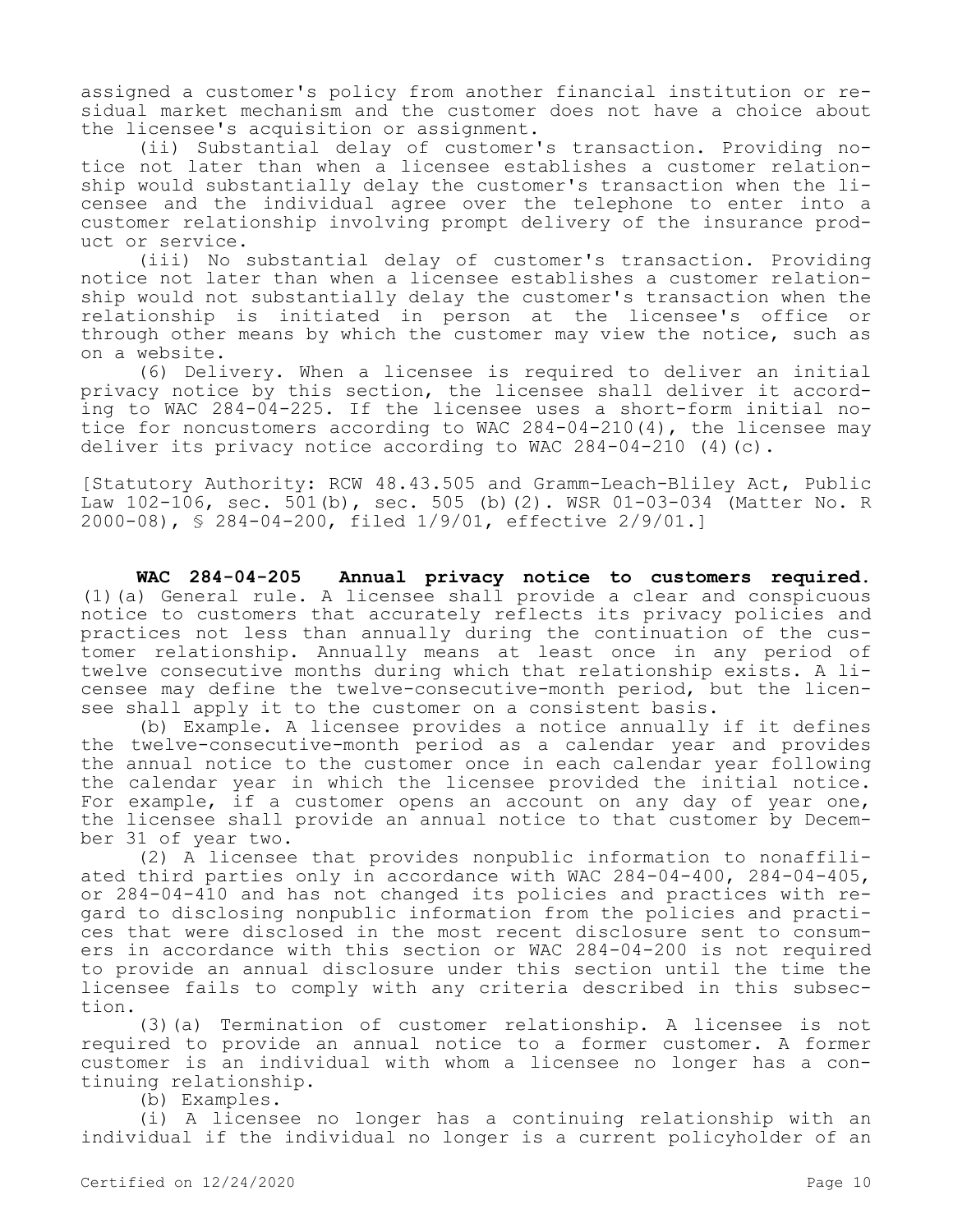assigned a customer's policy from another financial institution or residual market mechanism and the customer does not have a choice about the licensee's acquisition or assignment.

(ii) Substantial delay of customer's transaction. Providing notice not later than when a licensee establishes a customer relationship would substantially delay the customer's transaction when the licensee and the individual agree over the telephone to enter into a customer relationship involving prompt delivery of the insurance product or service.

(iii) No substantial delay of customer's transaction. Providing notice not later than when a licensee establishes a customer relationship would not substantially delay the customer's transaction when the relationship is initiated in person at the licensee's office or through other means by which the customer may view the notice, such as on a website.

(6) Delivery. When a licensee is required to deliver an initial privacy notice by this section, the licensee shall deliver it according to WAC 284-04-225. If the licensee uses a short-form initial notice for noncustomers according to WAC 284-04-210(4), the licensee may deliver its privacy notice according to WAC 284-04-210 (4)(c).

[Statutory Authority: RCW 48.43.505 and Gramm-Leach-Bliley Act, Public Law 102-106, sec. 501(b), sec. 505 (b)(2). WSR 01-03-034 (Matter No. R 2000-08), § 284-04-200, filed 1/9/01, effective 2/9/01.]

**WAC 284-04-205 Annual privacy notice to customers required.**  (1)(a) General rule. A licensee shall provide a clear and conspicuous notice to customers that accurately reflects its privacy policies and practices not less than annually during the continuation of the customer relationship. Annually means at least once in any period of twelve consecutive months during which that relationship exists. A licensee may define the twelve-consecutive-month period, but the licensee shall apply it to the customer on a consistent basis.

(b) Example. A licensee provides a notice annually if it defines the twelve-consecutive-month period as a calendar year and provides the annual notice to the customer once in each calendar year following the calendar year in which the licensee provided the initial notice. For example, if a customer opens an account on any day of year one, the licensee shall provide an annual notice to that customer by December 31 of year two.

(2) A licensee that provides nonpublic information to nonaffiliated third parties only in accordance with WAC 284-04-400, 284-04-405, or 284-04-410 and has not changed its policies and practices with regard to disclosing nonpublic information from the policies and practices that were disclosed in the most recent disclosure sent to consumers in accordance with this section or WAC 284-04-200 is not required to provide an annual disclosure under this section until the time the licensee fails to comply with any criteria described in this subsection.

(3)(a) Termination of customer relationship. A licensee is not required to provide an annual notice to a former customer. A former customer is an individual with whom a licensee no longer has a continuing relationship.

(b) Examples.

(i) A licensee no longer has a continuing relationship with an individual if the individual no longer is a current policyholder of an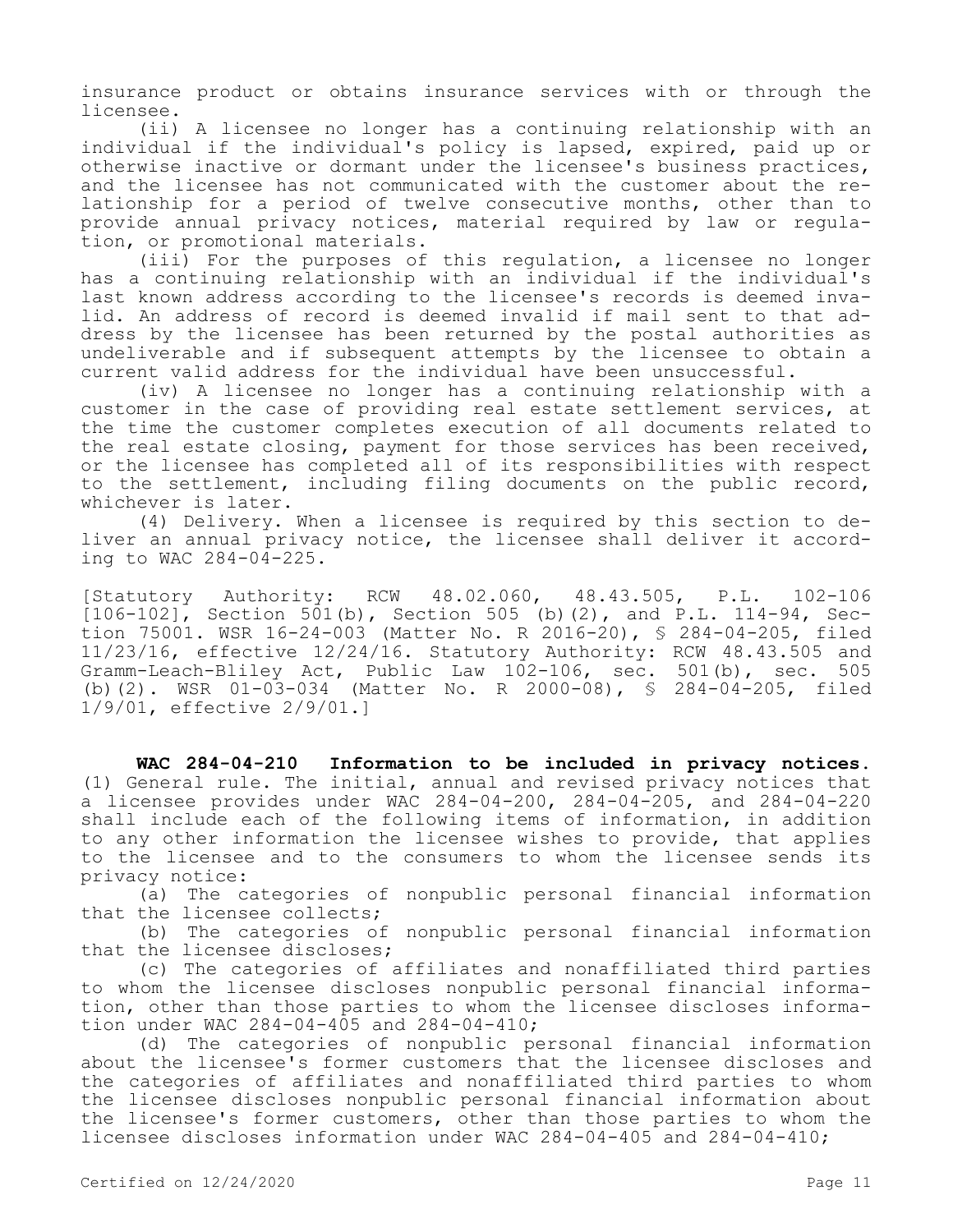insurance product or obtains insurance services with or through the licensee.

(ii) A licensee no longer has a continuing relationship with an individual if the individual's policy is lapsed, expired, paid up or otherwise inactive or dormant under the licensee's business practices, and the licensee has not communicated with the customer about the relationship for a period of twelve consecutive months, other than to provide annual privacy notices, material required by law or regulation, or promotional materials.

(iii) For the purposes of this regulation, a licensee no longer has a continuing relationship with an individual if the individual's last known address according to the licensee's records is deemed invalid. An address of record is deemed invalid if mail sent to that address by the licensee has been returned by the postal authorities as undeliverable and if subsequent attempts by the licensee to obtain a current valid address for the individual have been unsuccessful.

(iv) A licensee no longer has a continuing relationship with a customer in the case of providing real estate settlement services, at the time the customer completes execution of all documents related to the real estate closing, payment for those services has been received, or the licensee has completed all of its responsibilities with respect to the settlement, including filing documents on the public record, whichever is later.

(4) Delivery. When a licensee is required by this section to deliver an annual privacy notice, the licensee shall deliver it according to WAC 284-04-225.

[Statutory Authority: RCW 48.02.060, 48.43.505, P.L. 102-106 [106-102], Section 501(b), Section 505 (b)(2), and P.L. 114-94, Section 75001. WSR 16-24-003 (Matter No. R 2016-20), § 284-04-205, filed 11/23/16, effective 12/24/16. Statutory Authority: RCW 48.43.505 and Gramm-Leach-Bliley Act, Public Law 102-106, sec. 501(b), sec. 505 (b)(2). WSR 01-03-034 (Matter No. R 2000-08), § 284-04-205, filed 1/9/01, effective 2/9/01.]

**WAC 284-04-210 Information to be included in privacy notices.**  (1) General rule. The initial, annual and revised privacy notices that a licensee provides under WAC 284-04-200, 284-04-205, and 284-04-220 shall include each of the following items of information, in addition to any other information the licensee wishes to provide, that applies to the licensee and to the consumers to whom the licensee sends its privacy notice:

(a) The categories of nonpublic personal financial information that the licensee collects;

(b) The categories of nonpublic personal financial information that the licensee discloses;

(c) The categories of affiliates and nonaffiliated third parties to whom the licensee discloses nonpublic personal financial information, other than those parties to whom the licensee discloses information under WAC 284-04-405 and 284-04-410;

(d) The categories of nonpublic personal financial information about the licensee's former customers that the licensee discloses and the categories of affiliates and nonaffiliated third parties to whom the licensee discloses nonpublic personal financial information about the licensee's former customers, other than those parties to whom the licensee discloses information under WAC 284-04-405 and 284-04-410;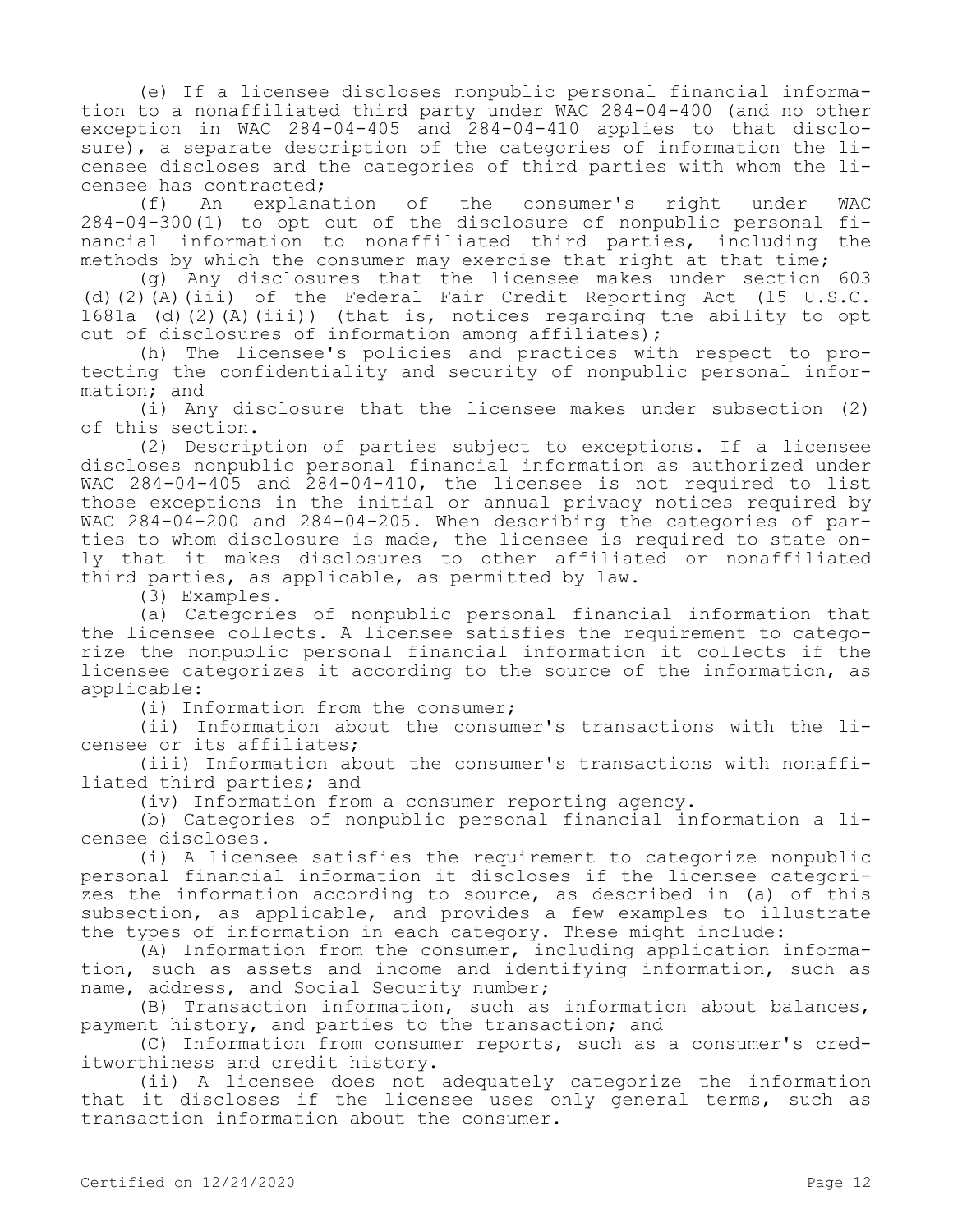(e) If a licensee discloses nonpublic personal financial information to a nonaffiliated third party under WAC 284-04-400 (and no other exception in WAC 284-04-405 and 284-04-410 applies to that disclosure), a separate description of the categories of information the licensee discloses and the categories of third parties with whom the li-

censee has contracted;<br>(f) An explanation (f) An explanation of the consumer's right under WAC 284-04-300(1) to opt out of the disclosure of nonpublic personal financial information to nonaffiliated third parties, including the methods by which the consumer may exercise that right at that time;

(g) Any disclosures that the licensee makes under section 603 (d)(2)(A)(iii) of the Federal Fair Credit Reporting Act (15 U.S.C. 1681a (d)(2)(A)(iii)) (that is, notices regarding the ability to opt out of disclosures of information among affiliates);

(h) The licensee's policies and practices with respect to protecting the confidentiality and security of nonpublic personal information; and

(i) Any disclosure that the licensee makes under subsection (2) of this section.

(2) Description of parties subject to exceptions. If a licensee discloses nonpublic personal financial information as authorized under WAC 284-04-405 and 284-04-410, the licensee is not required to list those exceptions in the initial or annual privacy notices required by WAC 284-04-200 and 284-04-205. When describing the categories of parties to whom disclosure is made, the licensee is required to state only that it makes disclosures to other affiliated or nonaffiliated third parties, as applicable, as permitted by law.

(3) Examples.

(a) Categories of nonpublic personal financial information that the licensee collects. A licensee satisfies the requirement to categorize the nonpublic personal financial information it collects if the licensee categorizes it according to the source of the information, as applicable:

(i) Information from the consumer;

(ii) Information about the consumer's transactions with the licensee or its affiliates;

(iii) Information about the consumer's transactions with nonaffiliated third parties; and

(iv) Information from a consumer reporting agency.

(b) Categories of nonpublic personal financial information a licensee discloses.

(i) A licensee satisfies the requirement to categorize nonpublic personal financial information it discloses if the licensee categorizes the information according to source, as described in (a) of this subsection, as applicable, and provides a few examples to illustrate the types of information in each category. These might include:

(A) Information from the consumer, including application information, such as assets and income and identifying information, such as name, address, and Social Security number;

(B) Transaction information, such as information about balances, payment history, and parties to the transaction; and

(C) Information from consumer reports, such as a consumer's creditworthiness and credit history.

(ii) A licensee does not adequately categorize the information that it discloses if the licensee uses only general terms, such as transaction information about the consumer.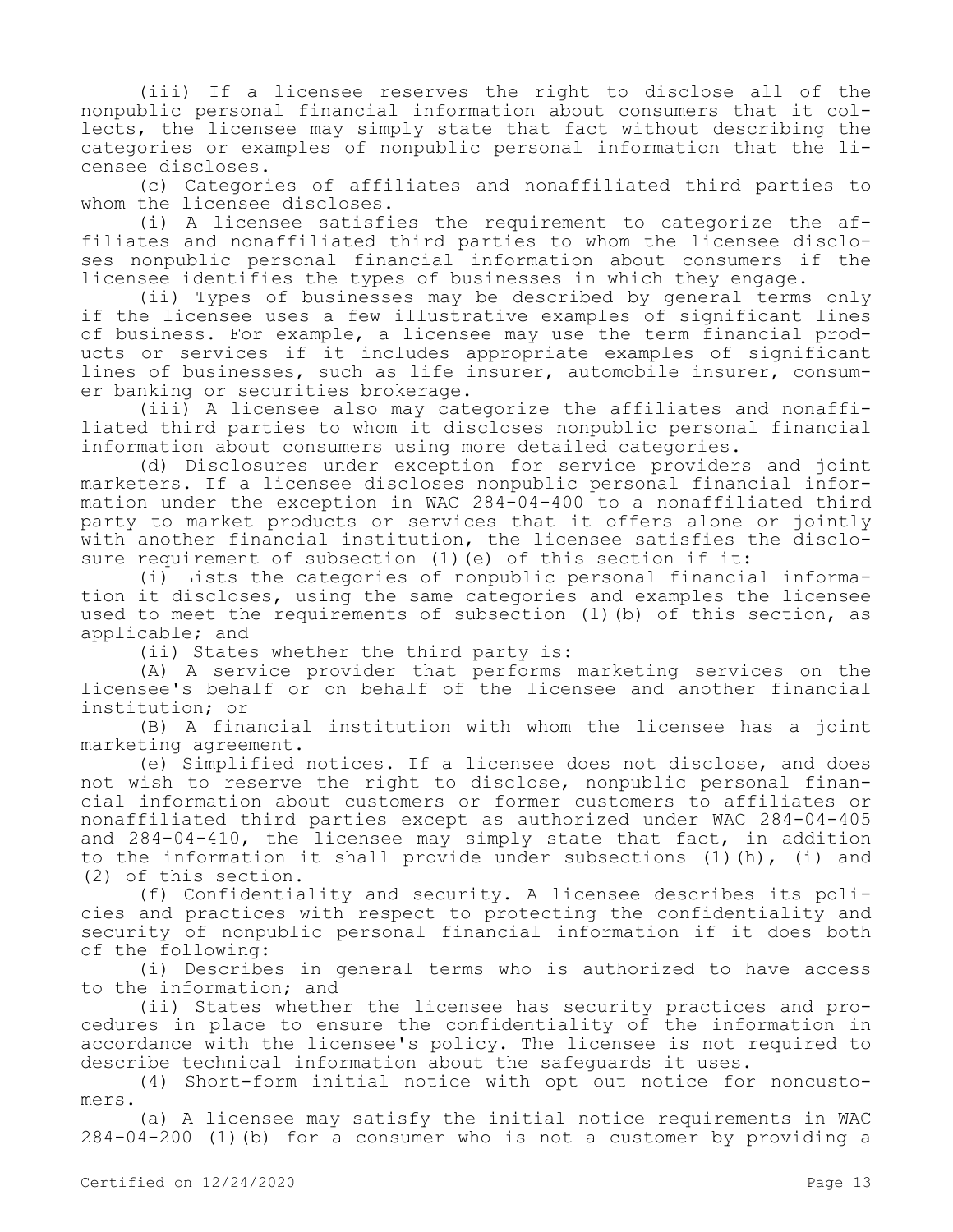(iii) If a licensee reserves the right to disclose all of the nonpublic personal financial information about consumers that it collects, the licensee may simply state that fact without describing the categories or examples of nonpublic personal information that the licensee discloses.

(c) Categories of affiliates and nonaffiliated third parties to whom the licensee discloses.

(i) A licensee satisfies the requirement to categorize the affiliates and nonaffiliated third parties to whom the licensee discloses nonpublic personal financial information about consumers if the licensee identifies the types of businesses in which they engage.

(ii) Types of businesses may be described by general terms only if the licensee uses a few illustrative examples of significant lines of business. For example, a licensee may use the term financial products or services if it includes appropriate examples of significant lines of businesses, such as life insurer, automobile insurer, consumer banking or securities brokerage.

(iii) A licensee also may categorize the affiliates and nonaffiliated third parties to whom it discloses nonpublic personal financial information about consumers using more detailed categories.

(d) Disclosures under exception for service providers and joint marketers. If a licensee discloses nonpublic personal financial information under the exception in WAC 284-04-400 to a nonaffiliated third party to market products or services that it offers alone or jointly with another financial institution, the licensee satisfies the disclosure requirement of subsection (1) (e) of this section if it:

(i) Lists the categories of nonpublic personal financial information it discloses, using the same categories and examples the licensee used to meet the requirements of subsection (1)(b) of this section, as applicable; and

(ii) States whether the third party is:

(A) A service provider that performs marketing services on the licensee's behalf or on behalf of the licensee and another financial institution; or

(B) A financial institution with whom the licensee has a joint marketing agreement.

(e) Simplified notices. If a licensee does not disclose, and does not wish to reserve the right to disclose, nonpublic personal financial information about customers or former customers to affiliates or nonaffiliated third parties except as authorized under WAC 284-04-405 and 284-04-410, the licensee may simply state that fact, in addition to the information it shall provide under subsections (1)(h), (i) and (2) of this section.

(f) Confidentiality and security. A licensee describes its policies and practices with respect to protecting the confidentiality and security of nonpublic personal financial information if it does both of the following:

(i) Describes in general terms who is authorized to have access to the information; and

(ii) States whether the licensee has security practices and procedures in place to ensure the confidentiality of the information in accordance with the licensee's policy. The licensee is not required to describe technical information about the safeguards it uses.

(4) Short-form initial notice with opt out notice for noncustomers.

(a) A licensee may satisfy the initial notice requirements in WAC 284-04-200 (1)(b) for a consumer who is not a customer by providing a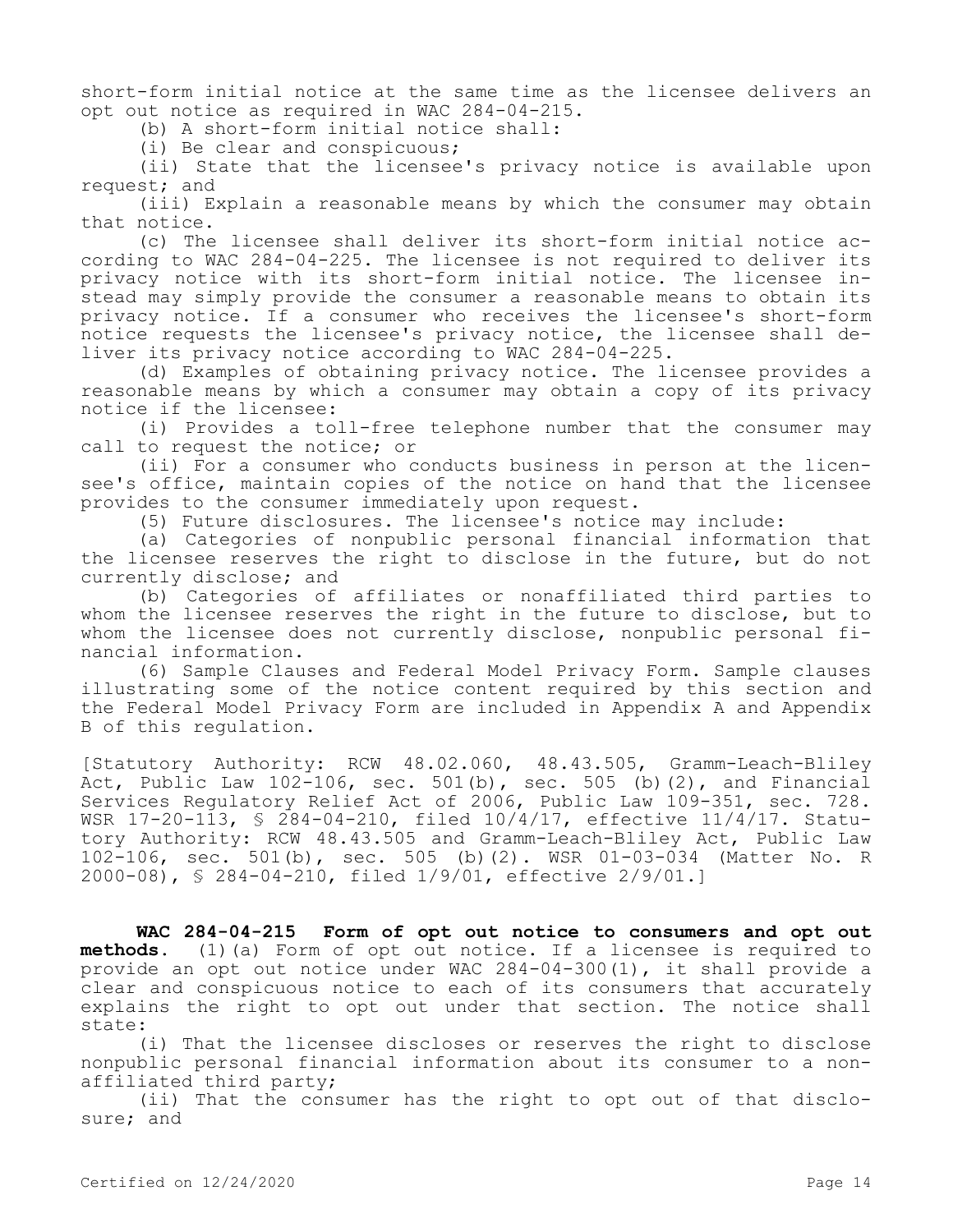short-form initial notice at the same time as the licensee delivers an opt out notice as required in WAC 284-04-215.

(b) A short-form initial notice shall:

(i) Be clear and conspicuous;

(ii) State that the licensee's privacy notice is available upon request; and

(iii) Explain a reasonable means by which the consumer may obtain that notice.

(c) The licensee shall deliver its short-form initial notice according to WAC 284-04-225. The licensee is not required to deliver its privacy notice with its short-form initial notice. The licensee instead may simply provide the consumer a reasonable means to obtain its privacy notice. If a consumer who receives the licensee's short-form notice requests the licensee's privacy notice, the licensee shall deliver its privacy notice according to WAC 284-04-225.

(d) Examples of obtaining privacy notice. The licensee provides a reasonable means by which a consumer may obtain a copy of its privacy notice if the licensee:

(i) Provides a toll-free telephone number that the consumer may call to request the notice; or

(ii) For a consumer who conducts business in person at the licensee's office, maintain copies of the notice on hand that the licensee provides to the consumer immediately upon request.

(5) Future disclosures. The licensee's notice may include:

(a) Categories of nonpublic personal financial information that the licensee reserves the right to disclose in the future, but do not currently disclose; and

(b) Categories of affiliates or nonaffiliated third parties to whom the licensee reserves the right in the future to disclose, but to whom the licensee does not currently disclose, nonpublic personal financial information.

(6) Sample Clauses and Federal Model Privacy Form. Sample clauses illustrating some of the notice content required by this section and the Federal Model Privacy Form are included in Appendix A and Appendix B of this regulation.

[Statutory Authority: RCW 48.02.060, 48.43.505, Gramm-Leach-Bliley Act, Public Law  $102-106$ , sec.  $501(b)$ , sec.  $505(b)(2)$ , and Financial Services Regulatory Relief Act of 2006, Public Law 109-351, sec. 728. WSR 17-20-113, § 284-04-210, filed 10/4/17, effective 11/4/17. Statutory Authority: RCW 48.43.505 and Gramm-Leach-Bliley Act, Public Law 102-106, sec. 501(b), sec. 505 (b)(2). WSR 01-03-034 (Matter No. R 2000-08), § 284-04-210, filed 1/9/01, effective 2/9/01.]

**WAC 284-04-215 Form of opt out notice to consumers and opt out methods.** (1)(a) Form of opt out notice. If a licensee is required to provide an opt out notice under WAC 284-04-300(1), it shall provide a clear and conspicuous notice to each of its consumers that accurately explains the right to opt out under that section. The notice shall state:

(i) That the licensee discloses or reserves the right to disclose nonpublic personal financial information about its consumer to a nonaffiliated third party;

(ii) That the consumer has the right to opt out of that disclosure; and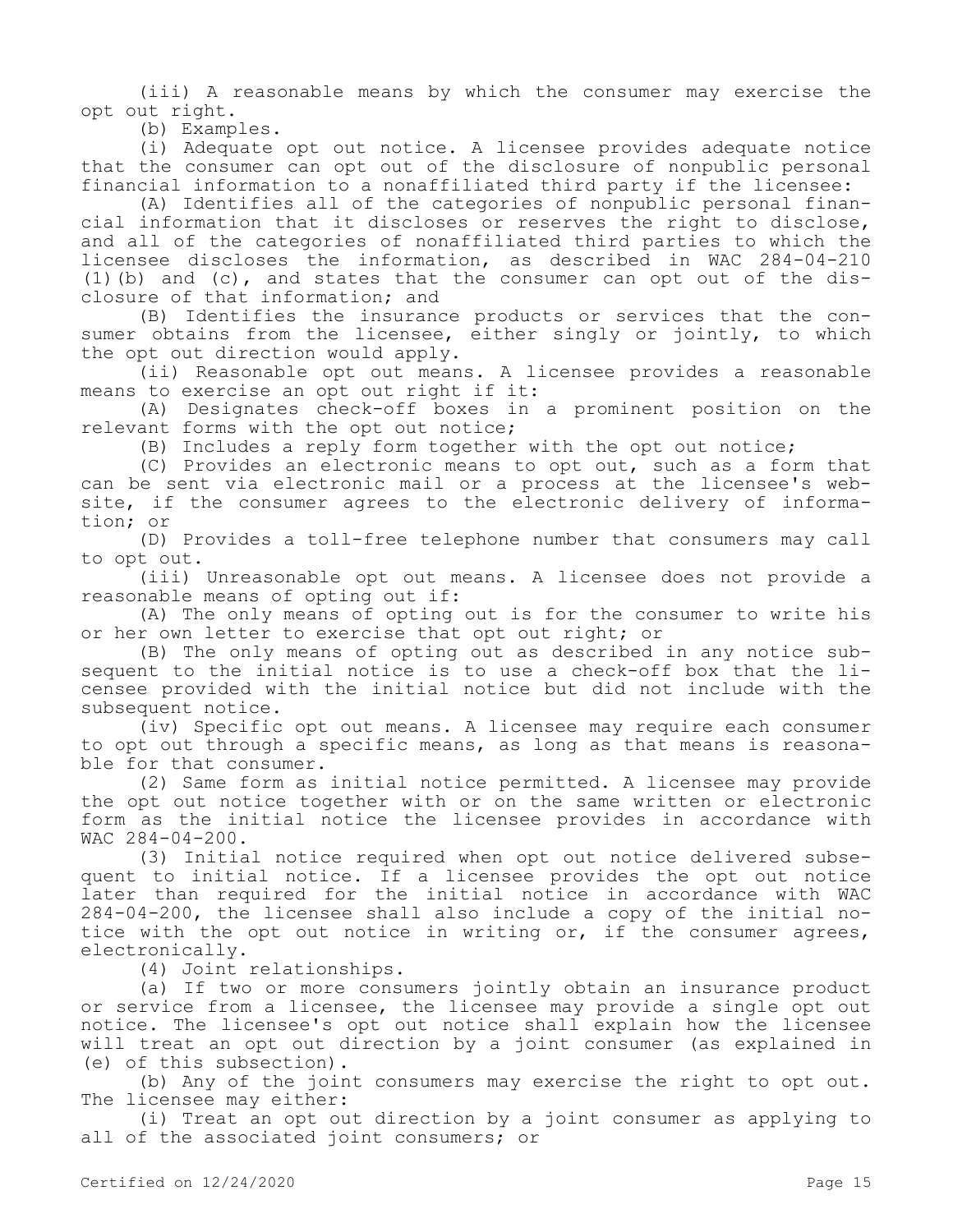(iii) A reasonable means by which the consumer may exercise the opt out right.

(b) Examples.

(i) Adequate opt out notice. A licensee provides adequate notice that the consumer can opt out of the disclosure of nonpublic personal financial information to a nonaffiliated third party if the licensee:

(A) Identifies all of the categories of nonpublic personal financial information that it discloses or reserves the right to disclose, and all of the categories of nonaffiliated third parties to which the licensee discloses the information, as described in WAC 284-04-210 (1)(b) and (c), and states that the consumer can opt out of the disclosure of that information; and

(B) Identifies the insurance products or services that the consumer obtains from the licensee, either singly or jointly, to which the opt out direction would apply.

(ii) Reasonable opt out means. A licensee provides a reasonable means to exercise an opt out right if it:

(A) Designates check-off boxes in a prominent position on the relevant forms with the opt out notice;

(B) Includes a reply form together with the opt out notice;

(C) Provides an electronic means to opt out, such as a form that can be sent via electronic mail or a process at the licensee's website, if the consumer agrees to the electronic delivery of information; or

(D) Provides a toll-free telephone number that consumers may call to opt out.

(iii) Unreasonable opt out means. A licensee does not provide a reasonable means of opting out if:

(A) The only means of opting out is for the consumer to write his or her own letter to exercise that opt out right; or

(B) The only means of opting out as described in any notice subsequent to the initial notice is to use a check-off box that the licensee provided with the initial notice but did not include with the subsequent notice.

(iv) Specific opt out means. A licensee may require each consumer to opt out through a specific means, as long as that means is reasonable for that consumer.

(2) Same form as initial notice permitted. A licensee may provide the opt out notice together with or on the same written or electronic form as the initial notice the licensee provides in accordance with WAC 284-04-200.

(3) Initial notice required when opt out notice delivered subsequent to initial notice. If a licensee provides the opt out notice later than required for the initial notice in accordance with WAC 284-04-200, the licensee shall also include a copy of the initial notice with the opt out notice in writing or, if the consumer agrees, electronically.

(4) Joint relationships.

(a) If two or more consumers jointly obtain an insurance product or service from a licensee, the licensee may provide a single opt out notice. The licensee's opt out notice shall explain how the licensee will treat an opt out direction by a joint consumer (as explained in (e) of this subsection).

(b) Any of the joint consumers may exercise the right to opt out. The licensee may either:

(i) Treat an opt out direction by a joint consumer as applying to all of the associated joint consumers; or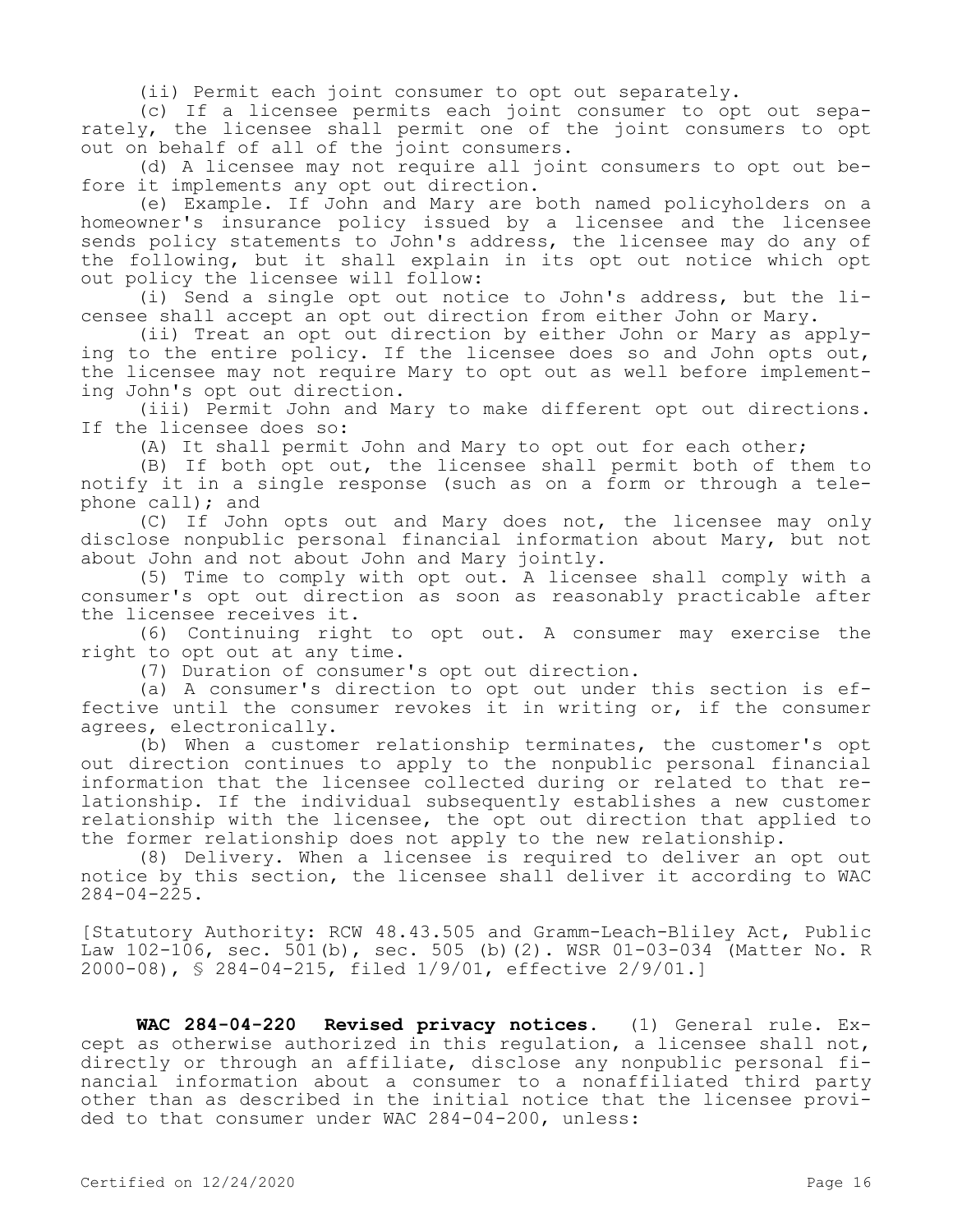(ii) Permit each joint consumer to opt out separately.

(c) If a licensee permits each joint consumer to opt out separately, the licensee shall permit one of the joint consumers to opt out on behalf of all of the joint consumers.

(d) A licensee may not require all joint consumers to opt out before it implements any opt out direction.

(e) Example. If John and Mary are both named policyholders on a homeowner's insurance policy issued by a licensee and the licensee sends policy statements to John's address, the licensee may do any of the following, but it shall explain in its opt out notice which opt out policy the licensee will follow:

(i) Send a single opt out notice to John's address, but the licensee shall accept an opt out direction from either John or Mary.

(ii) Treat an opt out direction by either John or Mary as applying to the entire policy. If the licensee does so and John opts out, the licensee may not require Mary to opt out as well before implementing John's opt out direction.

(iii) Permit John and Mary to make different opt out directions. If the licensee does so:

(A) It shall permit John and Mary to opt out for each other;

(B) If both opt out, the licensee shall permit both of them to notify it in a single response (such as on a form or through a telephone call); and

(C) If John opts out and Mary does not, the licensee may only disclose nonpublic personal financial information about Mary, but not about John and not about John and Mary jointly.

(5) Time to comply with opt out. A licensee shall comply with a consumer's opt out direction as soon as reasonably practicable after the licensee receives it.

(6) Continuing right to opt out. A consumer may exercise the right to opt out at any time.

(7) Duration of consumer's opt out direction.

(a) A consumer's direction to opt out under this section is effective until the consumer revokes it in writing or, if the consumer agrees, electronically.

(b) When a customer relationship terminates, the customer's opt out direction continues to apply to the nonpublic personal financial information that the licensee collected during or related to that relationship. If the individual subsequently establishes a new customer relationship with the licensee, the opt out direction that applied to the former relationship does not apply to the new relationship.

(8) Delivery. When a licensee is required to deliver an opt out notice by this section, the licensee shall deliver it according to WAC  $284 - 04 - 225$ .

[Statutory Authority: RCW 48.43.505 and Gramm-Leach-Bliley Act, Public Law 102-106, sec. 501(b), sec. 505 (b)(2). WSR 01-03-034 (Matter No. R 2000-08), § 284-04-215, filed 1/9/01, effective 2/9/01.]

**WAC 284-04-220 Revised privacy notices.** (1) General rule. Except as otherwise authorized in this regulation, a licensee shall not, directly or through an affiliate, disclose any nonpublic personal financial information about a consumer to a nonaffiliated third party other than as described in the initial notice that the licensee provided to that consumer under WAC 284-04-200, unless: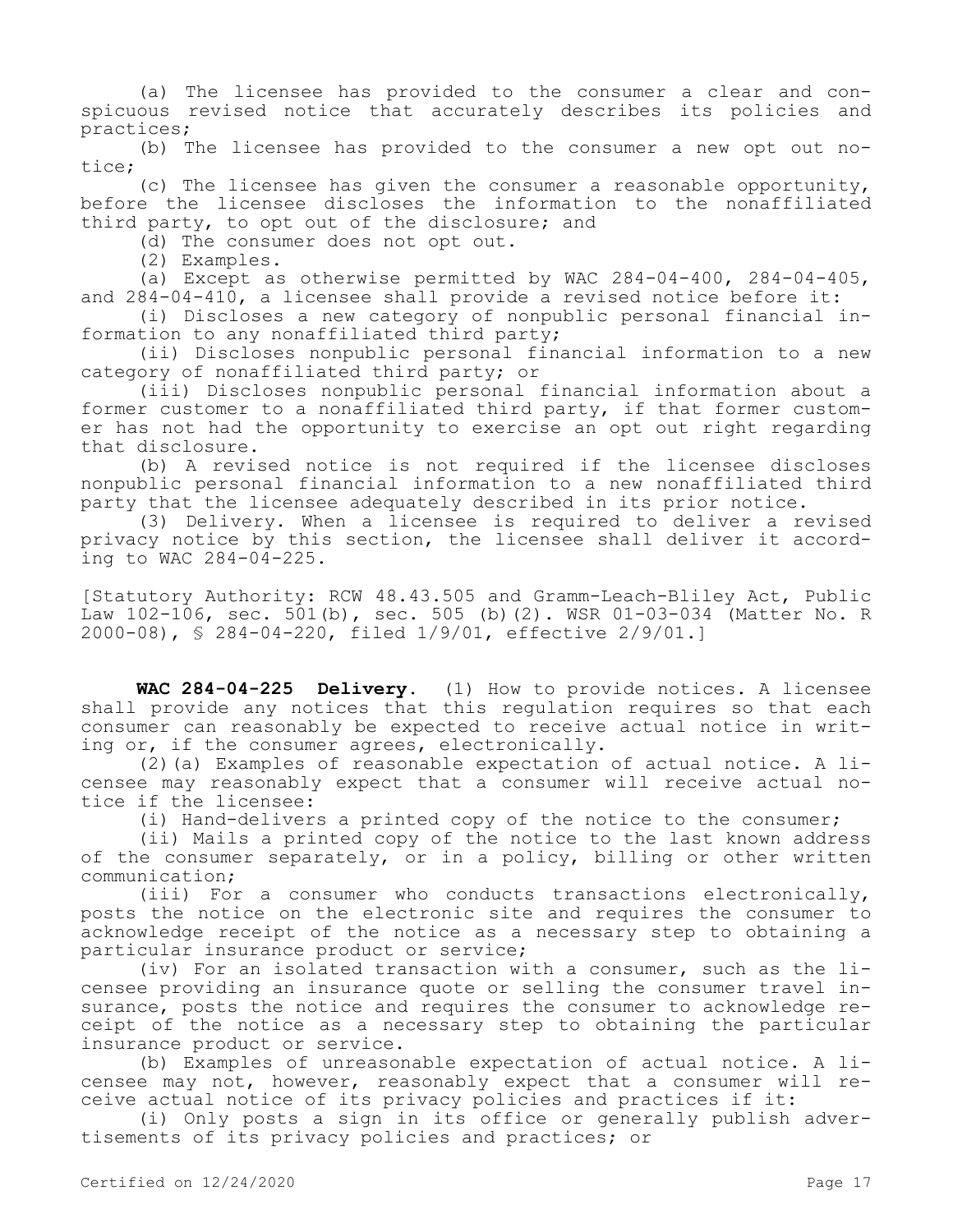(a) The licensee has provided to the consumer a clear and conspicuous revised notice that accurately describes its policies and practices;

(b) The licensee has provided to the consumer a new opt out notice;

(c) The licensee has given the consumer a reasonable opportunity, before the licensee discloses the information to the nonaffiliated third party, to opt out of the disclosure; and

(d) The consumer does not opt out.

(2) Examples.

(a) Except as otherwise permitted by WAC 284-04-400, 284-04-405, and 284-04-410, a licensee shall provide a revised notice before it:

(i) Discloses a new category of nonpublic personal financial information to any nonaffiliated third party;

(ii) Discloses nonpublic personal financial information to a new category of nonaffiliated third party; or

(iii) Discloses nonpublic personal financial information about a former customer to a nonaffiliated third party, if that former customer has not had the opportunity to exercise an opt out right regarding that disclosure.

(b) A revised notice is not required if the licensee discloses nonpublic personal financial information to a new nonaffiliated third party that the licensee adequately described in its prior notice.

(3) Delivery. When a licensee is required to deliver a revised privacy notice by this section, the licensee shall deliver it according to WAC 284-04-225.

[Statutory Authority: RCW 48.43.505 and Gramm-Leach-Bliley Act, Public Law 102-106, sec. 501(b), sec. 505 (b)(2). WSR 01-03-034 (Matter No. R 2000-08), § 284-04-220, filed 1/9/01, effective 2/9/01.]

**WAC 284-04-225 Delivery.** (1) How to provide notices. A licensee shall provide any notices that this regulation requires so that each consumer can reasonably be expected to receive actual notice in writing or, if the consumer agrees, electronically.

(2)(a) Examples of reasonable expectation of actual notice. A licensee may reasonably expect that a consumer will receive actual notice if the licensee:

(i) Hand-delivers a printed copy of the notice to the consumer;

(ii) Mails a printed copy of the notice to the last known address of the consumer separately, or in a policy, billing or other written communication;

(iii) For a consumer who conducts transactions electronically, posts the notice on the electronic site and requires the consumer to acknowledge receipt of the notice as a necessary step to obtaining a particular insurance product or service;

(iv) For an isolated transaction with a consumer, such as the licensee providing an insurance quote or selling the consumer travel insurance, posts the notice and requires the consumer to acknowledge receipt of the notice as a necessary step to obtaining the particular insurance product or service.

(b) Examples of unreasonable expectation of actual notice. A licensee may not, however, reasonably expect that a consumer will receive actual notice of its privacy policies and practices if it:

(i) Only posts a sign in its office or generally publish advertisements of its privacy policies and practices; or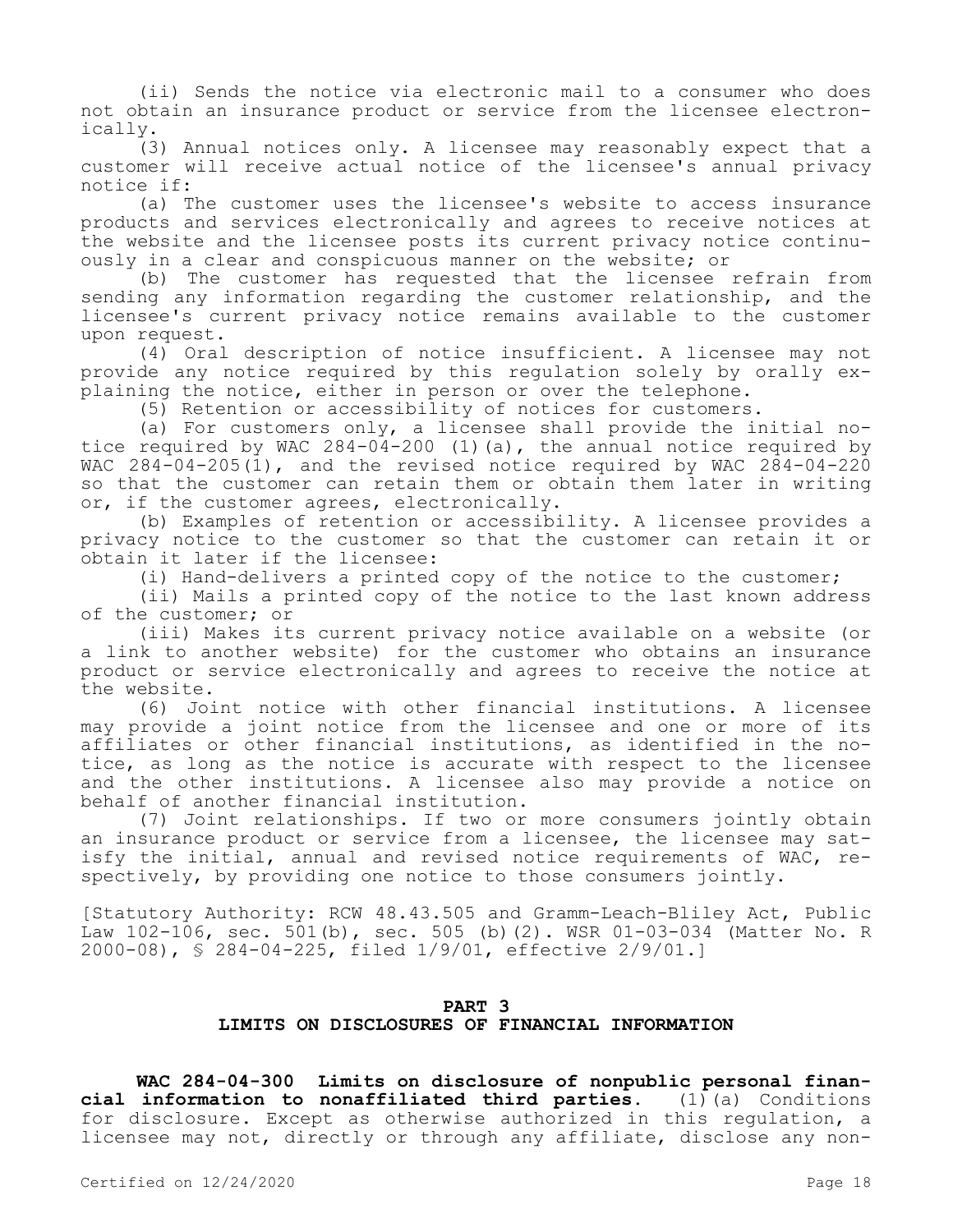(ii) Sends the notice via electronic mail to a consumer who does not obtain an insurance product or service from the licensee electronically.

(3) Annual notices only. A licensee may reasonably expect that a customer will receive actual notice of the licensee's annual privacy notice if:

(a) The customer uses the licensee's website to access insurance products and services electronically and agrees to receive notices at the website and the licensee posts its current privacy notice continuously in a clear and conspicuous manner on the website; or

(b) The customer has requested that the licensee refrain from sending any information regarding the customer relationship, and the licensee's current privacy notice remains available to the customer upon request.

(4) Oral description of notice insufficient. A licensee may not provide any notice required by this regulation solely by orally explaining the notice, either in person or over the telephone.

(5) Retention or accessibility of notices for customers.

(a) For customers only, a licensee shall provide the initial notice required by WAC  $284-04-200$  (1)(a), the annual notice required by WAC 284-04-205(1), and the revised notice required by WAC 284-04-220 so that the customer can retain them or obtain them later in writing or, if the customer agrees, electronically.

(b) Examples of retention or accessibility. A licensee provides a privacy notice to the customer so that the customer can retain it or obtain it later if the licensee:

(i) Hand-delivers a printed copy of the notice to the customer;

(ii) Mails a printed copy of the notice to the last known address of the customer; or

(iii) Makes its current privacy notice available on a website (or a link to another website) for the customer who obtains an insurance product or service electronically and agrees to receive the notice at the website.

(6) Joint notice with other financial institutions. A licensee may provide a joint notice from the licensee and one or more of its affiliates or other financial institutions, as identified in the notice, as long as the notice is accurate with respect to the licensee and the other institutions. A licensee also may provide a notice on behalf of another financial institution.

(7) Joint relationships. If two or more consumers jointly obtain an insurance product or service from a licensee, the licensee may satisfy the initial, annual and revised notice requirements of WAC, respectively, by providing one notice to those consumers jointly.

[Statutory Authority: RCW 48.43.505 and Gramm-Leach-Bliley Act, Public Law 102-106, sec. 501(b), sec. 505 (b)(2). WSR 01-03-034 (Matter No. R 2000-08), § 284-04-225, filed 1/9/01, effective 2/9/01.]

# **PART 3 LIMITS ON DISCLOSURES OF FINANCIAL INFORMATION**

**WAC 284-04-300 Limits on disclosure of nonpublic personal financial information to nonaffiliated third parties.** (1)(a) Conditions for disclosure. Except as otherwise authorized in this regulation, a licensee may not, directly or through any affiliate, disclose any non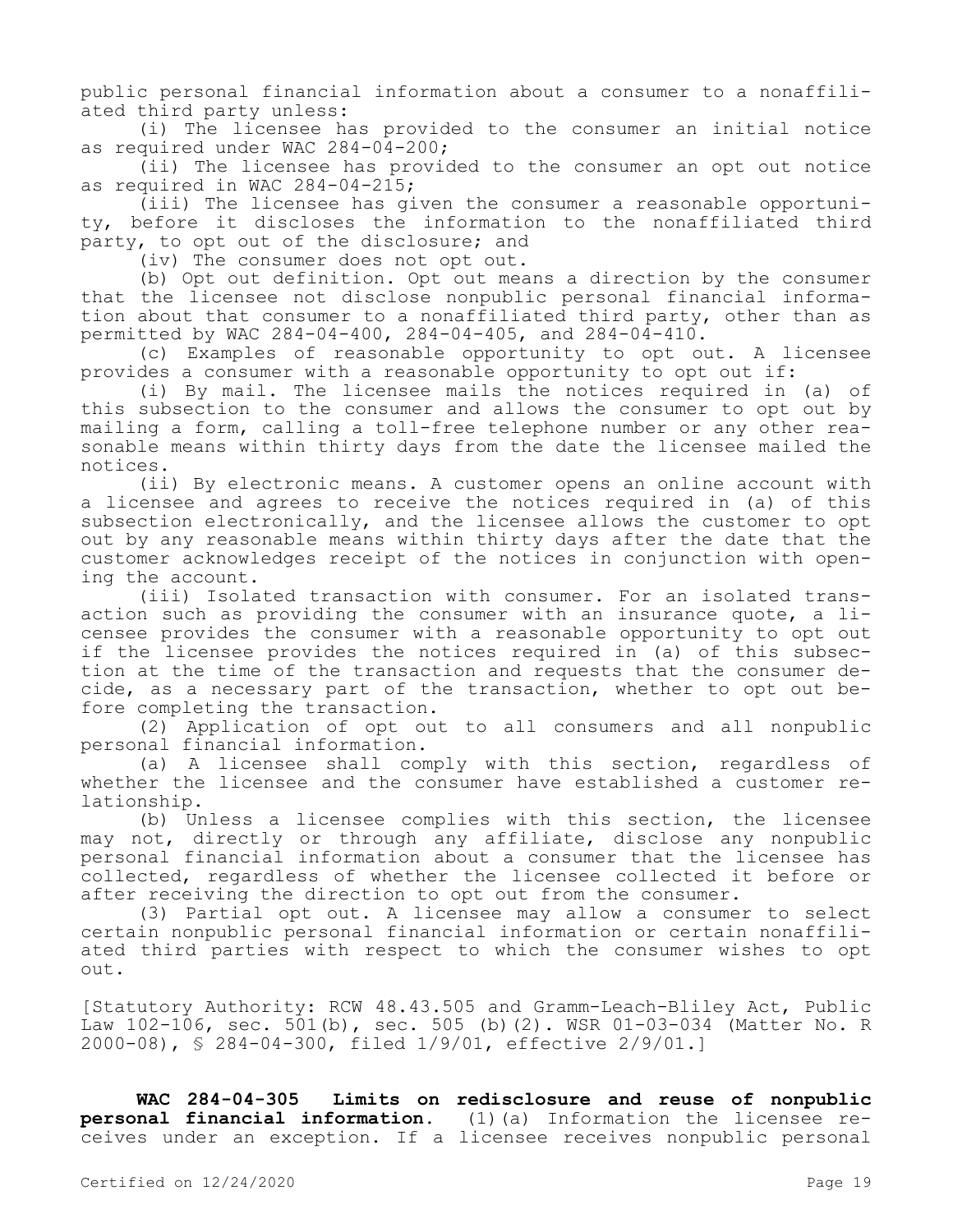public personal financial information about a consumer to a nonaffiliated third party unless:

(i) The licensee has provided to the consumer an initial notice as required under WAC 284-04-200;

(ii) The licensee has provided to the consumer an opt out notice as required in WAC 284-04-215;

(iii) The licensee has given the consumer a reasonable opportunity, before it discloses the information to the nonaffiliated third party, to opt out of the disclosure; and

(iv) The consumer does not opt out.

(b) Opt out definition. Opt out means a direction by the consumer that the licensee not disclose nonpublic personal financial information about that consumer to a nonaffiliated third party, other than as permitted by WAC 284-04-400, 284-04-405, and 284-04-410.

(c) Examples of reasonable opportunity to opt out. A licensee provides a consumer with a reasonable opportunity to opt out if:

(i) By mail. The licensee mails the notices required in (a) of this subsection to the consumer and allows the consumer to opt out by mailing a form, calling a toll-free telephone number or any other reasonable means within thirty days from the date the licensee mailed the notices.

(ii) By electronic means. A customer opens an online account with a licensee and agrees to receive the notices required in (a) of this subsection electronically, and the licensee allows the customer to opt out by any reasonable means within thirty days after the date that the customer acknowledges receipt of the notices in conjunction with opening the account.

(iii) Isolated transaction with consumer. For an isolated transaction such as providing the consumer with an insurance quote, a licensee provides the consumer with a reasonable opportunity to opt out if the licensee provides the notices required in (a) of this subsection at the time of the transaction and requests that the consumer decide, as a necessary part of the transaction, whether to opt out before completing the transaction.

(2) Application of opt out to all consumers and all nonpublic personal financial information.

(a) A licensee shall comply with this section, regardless of whether the licensee and the consumer have established a customer relationship.

(b) Unless a licensee complies with this section, the licensee may not, directly or through any affiliate, disclose any nonpublic personal financial information about a consumer that the licensee has collected, regardless of whether the licensee collected it before or after receiving the direction to opt out from the consumer.

(3) Partial opt out. A licensee may allow a consumer to select certain nonpublic personal financial information or certain nonaffiliated third parties with respect to which the consumer wishes to opt out.

[Statutory Authority: RCW 48.43.505 and Gramm-Leach-Bliley Act, Public Law 102-106, sec. 501(b), sec. 505 (b)(2). WSR 01-03-034 (Matter No. R 2000-08), § 284-04-300, filed 1/9/01, effective 2/9/01.]

**WAC 284-04-305 Limits on redisclosure and reuse of nonpublic personal financial information.** (1)(a) Information the licensee receives under an exception. If a licensee receives nonpublic personal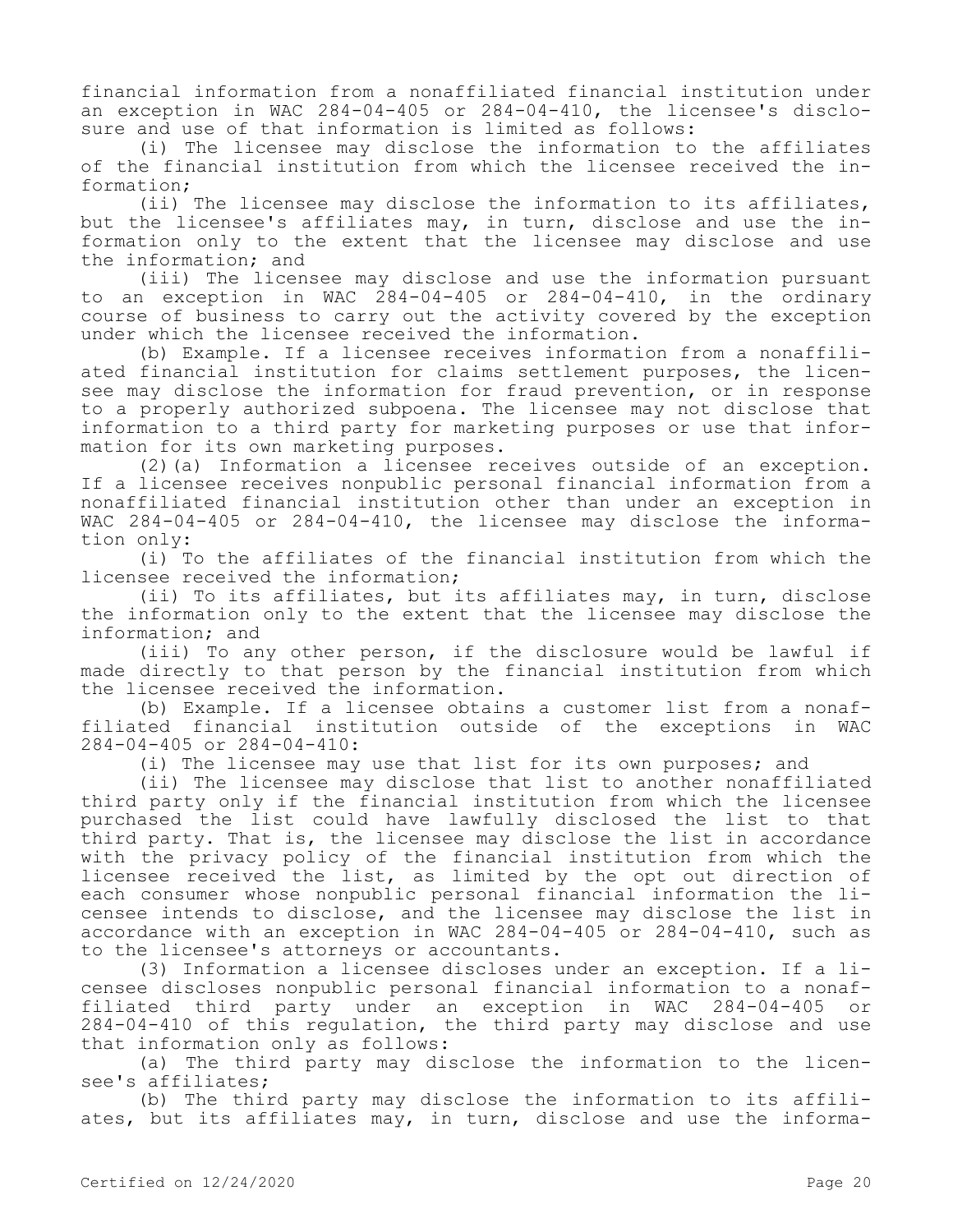financial information from a nonaffiliated financial institution under an exception in WAC 284-04-405 or 284-04-410, the licensee's disclosure and use of that information is limited as follows:

(i) The licensee may disclose the information to the affiliates of the financial institution from which the licensee received the information;

(ii) The licensee may disclose the information to its affiliates, but the licensee's affiliates may, in turn, disclose and use the information only to the extent that the licensee may disclose and use the information; and

(iii) The licensee may disclose and use the information pursuant to an exception in WAC 284-04-405 or 284-04-410, in the ordinary course of business to carry out the activity covered by the exception under which the licensee received the information.

(b) Example. If a licensee receives information from a nonaffiliated financial institution for claims settlement purposes, the licensee may disclose the information for fraud prevention, or in response to a properly authorized subpoena. The licensee may not disclose that information to a third party for marketing purposes or use that information for its own marketing purposes.

(2)(a) Information a licensee receives outside of an exception. If a licensee receives nonpublic personal financial information from a nonaffiliated financial institution other than under an exception in WAC 284-04-405 or 284-04-410, the licensee may disclose the information only:

(i) To the affiliates of the financial institution from which the licensee received the information;

(ii) To its affiliates, but its affiliates may, in turn, disclose the information only to the extent that the licensee may disclose the information; and

(iii) To any other person, if the disclosure would be lawful if made directly to that person by the financial institution from which the licensee received the information.

(b) Example. If a licensee obtains a customer list from a nonaffiliated financial institution outside of the exceptions in WAC 284-04-405 or 284-04-410:

(i) The licensee may use that list for its own purposes; and

(ii) The licensee may disclose that list to another nonaffiliated third party only if the financial institution from which the licensee purchased the list could have lawfully disclosed the list to that third party. That is, the licensee may disclose the list in accordance with the privacy policy of the financial institution from which the licensee received the list, as limited by the opt out direction of each consumer whose nonpublic personal financial information the licensee intends to disclose, and the licensee may disclose the list in accordance with an exception in WAC 284-04-405 or 284-04-410, such as to the licensee's attorneys or accountants.

(3) Information a licensee discloses under an exception. If a licensee discloses nonpublic personal financial information to a nonaffiliated third party under an exception in WAC 284-04-405 or 284-04-410 of this regulation, the third party may disclose and use that information only as follows:

(a) The third party may disclose the information to the licensee's affiliates;

(b) The third party may disclose the information to its affiliates, but its affiliates may, in turn, disclose and use the informa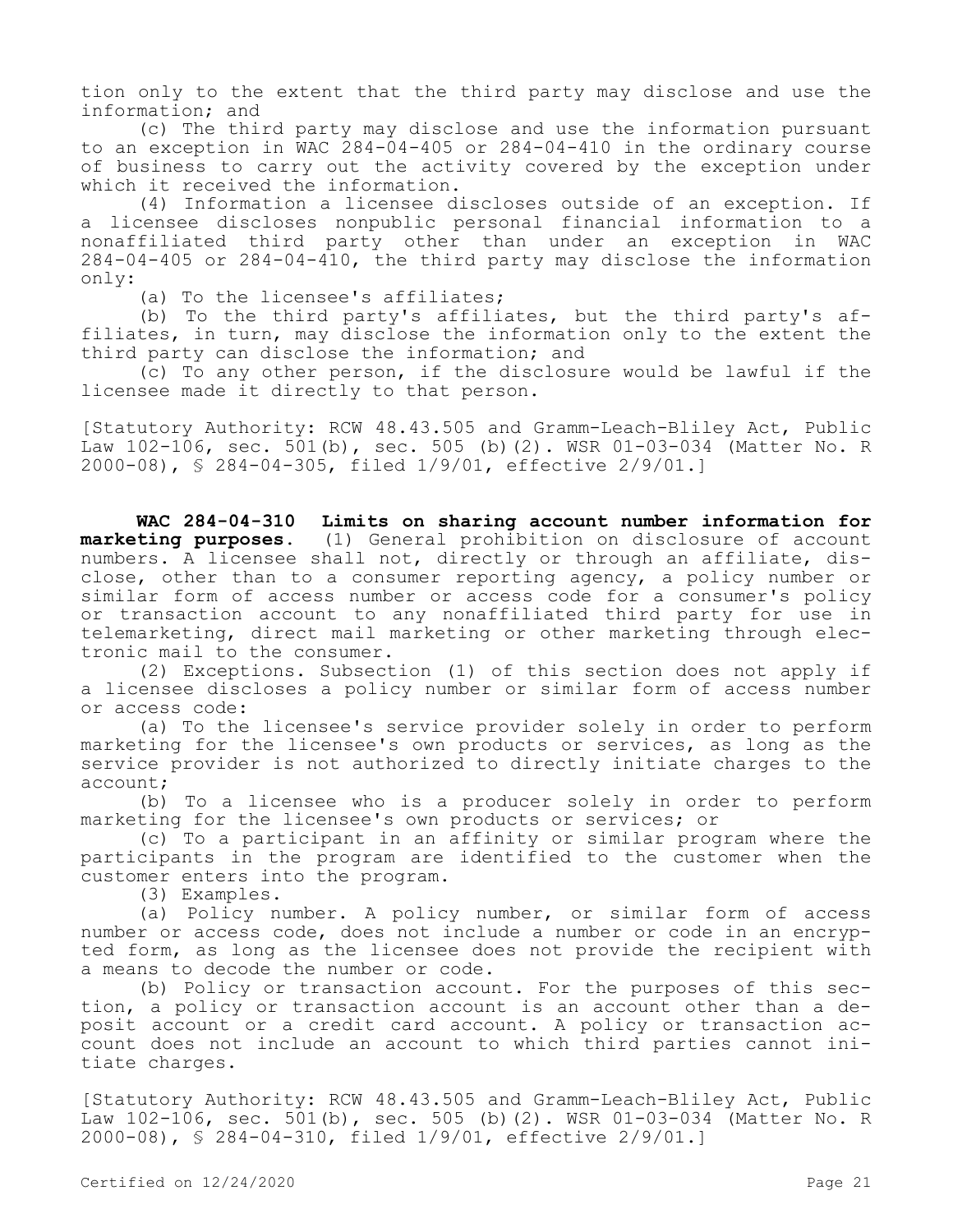tion only to the extent that the third party may disclose and use the information; and

(c) The third party may disclose and use the information pursuant to an exception in WAC 284-04-405 or 284-04-410 in the ordinary course of business to carry out the activity covered by the exception under which it received the information.

(4) Information a licensee discloses outside of an exception. If a licensee discloses nonpublic personal financial information to a nonaffiliated third party other than under an exception in WAC 284-04-405 or 284-04-410, the third party may disclose the information only:

(a) To the licensee's affiliates;

(b) To the third party's affiliates, but the third party's affiliates, in turn, may disclose the information only to the extent the third party can disclose the information; and

(c) To any other person, if the disclosure would be lawful if the licensee made it directly to that person.

[Statutory Authority: RCW 48.43.505 and Gramm-Leach-Bliley Act, Public Law 102-106, sec. 501(b), sec. 505 (b)(2). WSR 01-03-034 (Matter No. R 2000-08), § 284-04-305, filed 1/9/01, effective 2/9/01.]

**WAC 284-04-310 Limits on sharing account number information for marketing purposes.** (1) General prohibition on disclosure of account numbers. A licensee shall not, directly or through an affiliate, disclose, other than to a consumer reporting agency, a policy number or similar form of access number or access code for a consumer's policy or transaction account to any nonaffiliated third party for use in telemarketing, direct mail marketing or other marketing through electronic mail to the consumer.

(2) Exceptions. Subsection (1) of this section does not apply if a licensee discloses a policy number or similar form of access number or access code:

(a) To the licensee's service provider solely in order to perform marketing for the licensee's own products or services, as long as the service provider is not authorized to directly initiate charges to the account;

(b) To a licensee who is a producer solely in order to perform marketing for the licensee's own products or services; or

(c) To a participant in an affinity or similar program where the participants in the program are identified to the customer when the customer enters into the program.

(3) Examples.

(a) Policy number. A policy number, or similar form of access number or access code, does not include a number or code in an encrypted form, as long as the licensee does not provide the recipient with a means to decode the number or code.

(b) Policy or transaction account. For the purposes of this section, a policy or transaction account is an account other than a deposit account or a credit card account. A policy or transaction account does not include an account to which third parties cannot initiate charges.

[Statutory Authority: RCW 48.43.505 and Gramm-Leach-Bliley Act, Public Law 102-106, sec. 501(b), sec. 505 (b)(2). WSR 01-03-034 (Matter No. R 2000-08), § 284-04-310, filed 1/9/01, effective 2/9/01.]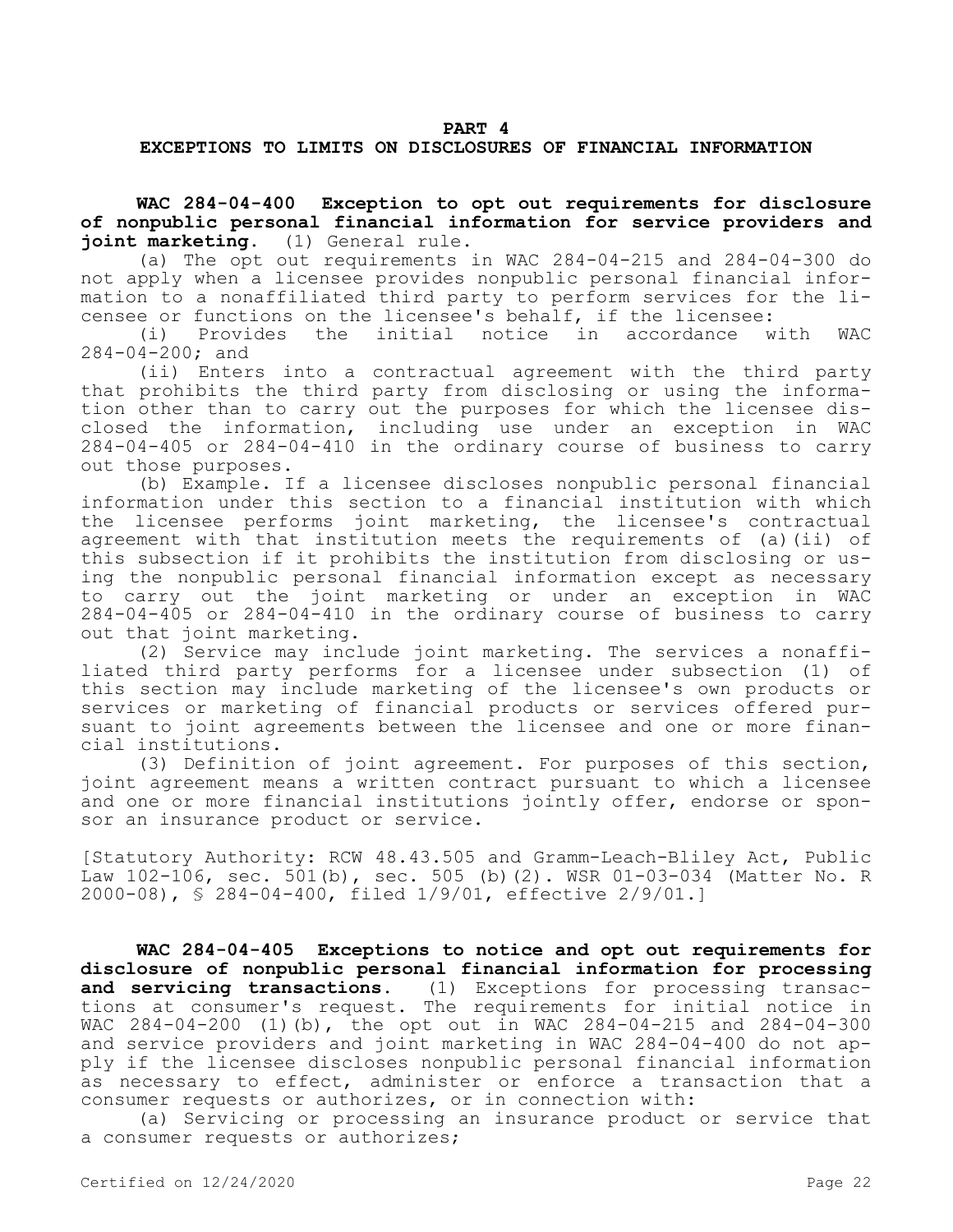#### **EXCEPTIONS TO LIMITS ON DISCLOSURES OF FINANCIAL INFORMATION**

**WAC 284-04-400 Exception to opt out requirements for disclosure of nonpublic personal financial information for service providers and joint marketing.** (1) General rule.

(a) The opt out requirements in WAC 284-04-215 and 284-04-300 do not apply when a licensee provides nonpublic personal financial information to a nonaffiliated third party to perform services for the licensee or functions on the licensee's behalf, if the licensee:<br>(i) Provides the initial notice in accordance w

notice in accordance with WAC 284-04-200; and

(ii) Enters into a contractual agreement with the third party that prohibits the third party from disclosing or using the information other than to carry out the purposes for which the licensee disclosed the information, including use under an exception in WAC 284-04-405 or 284-04-410 in the ordinary course of business to carry out those purposes.

(b) Example. If a licensee discloses nonpublic personal financial information under this section to a financial institution with which the licensee performs joint marketing, the licensee's contractual agreement with that institution meets the requirements of (a)(ii) of this subsection if it prohibits the institution from disclosing or using the nonpublic personal financial information except as necessary to carry out the joint marketing or under an exception in WAC 284-04-405 or 284-04-410 in the ordinary course of business to carry out that joint marketing.

(2) Service may include joint marketing. The services a nonaffiliated third party performs for a licensee under subsection (1) of this section may include marketing of the licensee's own products or services or marketing of financial products or services offered pursuant to joint agreements between the licensee and one or more financial institutions.

(3) Definition of joint agreement. For purposes of this section, joint agreement means a written contract pursuant to which a licensee and one or more financial institutions jointly offer, endorse or sponsor an insurance product or service.

[Statutory Authority: RCW 48.43.505 and Gramm-Leach-Bliley Act, Public Law 102-106, sec. 501(b), sec. 505 (b)(2). WSR 01-03-034 (Matter No. R 2000-08), § 284-04-400, filed 1/9/01, effective 2/9/01.]

**WAC 284-04-405 Exceptions to notice and opt out requirements for disclosure of nonpublic personal financial information for processing and servicing transactions.** (1) Exceptions for processing transactions at consumer's request. The requirements for initial notice in WAC 284-04-200 (1)(b), the opt out in WAC 284-04-215 and 284-04-300 and service providers and joint marketing in WAC 284-04-400 do not apply if the licensee discloses nonpublic personal financial information as necessary to effect, administer or enforce a transaction that a consumer requests or authorizes, or in connection with:

(a) Servicing or processing an insurance product or service that a consumer requests or authorizes;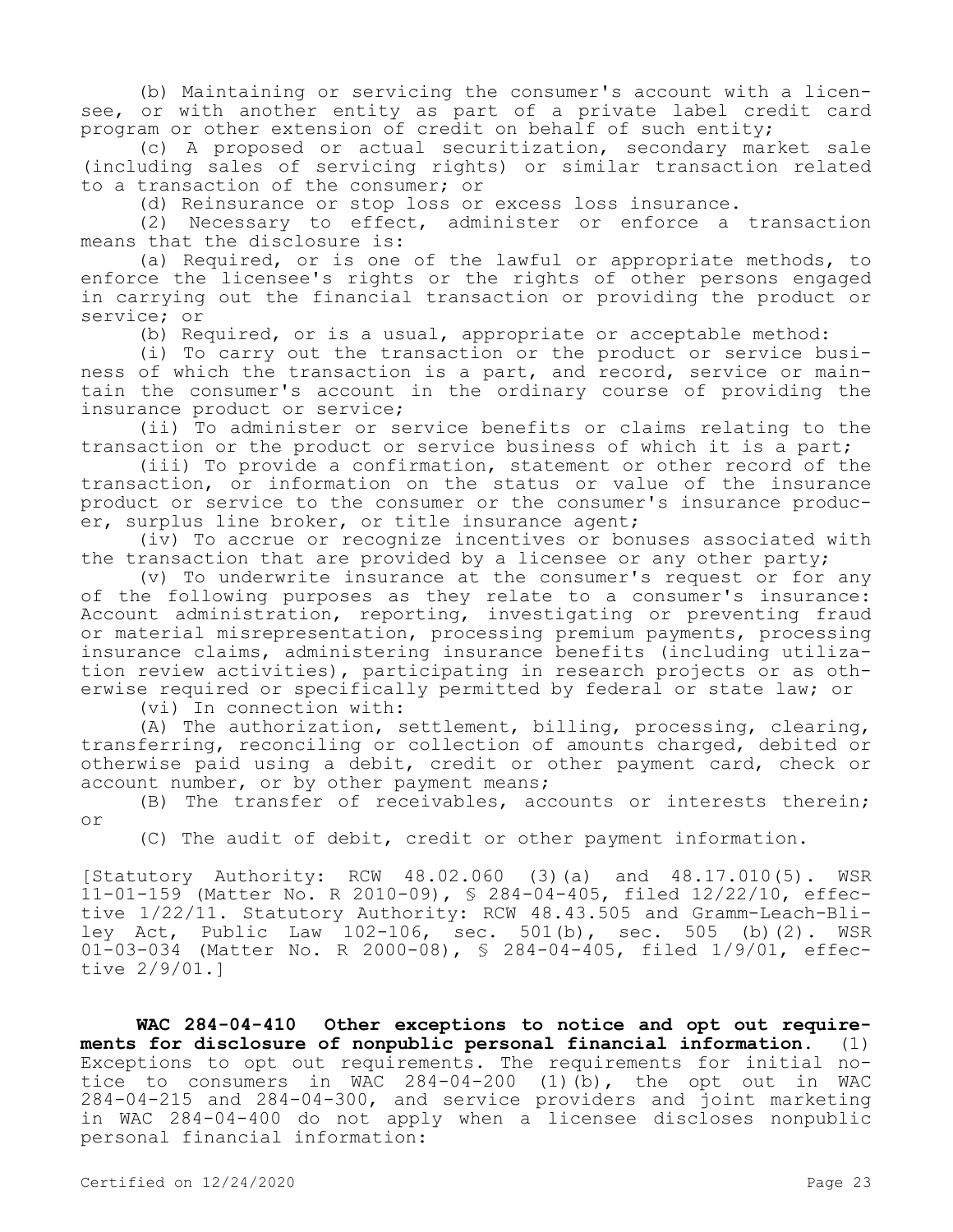(b) Maintaining or servicing the consumer's account with a licensee, or with another entity as part of a private label credit card program or other extension of credit on behalf of such entity;

(c) A proposed or actual securitization, secondary market sale (including sales of servicing rights) or similar transaction related to a transaction of the consumer; or

(d) Reinsurance or stop loss or excess loss insurance.

(2) Necessary to effect, administer or enforce a transaction means that the disclosure is:

(a) Required, or is one of the lawful or appropriate methods, to enforce the licensee's rights or the rights of other persons engaged in carrying out the financial transaction or providing the product or service; or

(b) Required, or is a usual, appropriate or acceptable method:

(i) To carry out the transaction or the product or service business of which the transaction is a part, and record, service or maintain the consumer's account in the ordinary course of providing the insurance product or service;

(ii) To administer or service benefits or claims relating to the transaction or the product or service business of which it is a part;

(iii) To provide a confirmation, statement or other record of the transaction, or information on the status or value of the insurance product or service to the consumer or the consumer's insurance producer, surplus line broker, or title insurance agent;

(iv) To accrue or recognize incentives or bonuses associated with the transaction that are provided by a licensee or any other party;

(v) To underwrite insurance at the consumer's request or for any of the following purposes as they relate to a consumer's insurance: Account administration, reporting, investigating or preventing fraud or material misrepresentation, processing premium payments, processing insurance claims, administering insurance benefits (including utilization review activities), participating in research projects or as otherwise required or specifically permitted by federal or state law; or

(vi) In connection with:

(A) The authorization, settlement, billing, processing, clearing, transferring, reconciling or collection of amounts charged, debited or otherwise paid using a debit, credit or other payment card, check or account number, or by other payment means;

(B) The transfer of receivables, accounts or interests therein; or

(C) The audit of debit, credit or other payment information.

[Statutory Authority: RCW 48.02.060 (3)(a) and 48.17.010(5). WSR 11-01-159 (Matter No. R 2010-09), § 284-04-405, filed 12/22/10, effective 1/22/11. Statutory Authority: RCW 48.43.505 and Gramm-Leach-Bliley Act, Public Law 102-106, sec. 501(b), sec. 505 (b)(2). WSR 01-03-034 (Matter No. R 2000-08), § 284-04-405, filed 1/9/01, effective 2/9/01.]

**WAC 284-04-410 Other exceptions to notice and opt out requirements for disclosure of nonpublic personal financial information.** (1) Exceptions to opt out requirements. The requirements for initial notice to consumers in WAC 284-04-200 (1)(b), the opt out in WAC 284-04-215 and 284-04-300, and service providers and joint marketing in WAC 284-04-400 do not apply when a licensee discloses nonpublic personal financial information: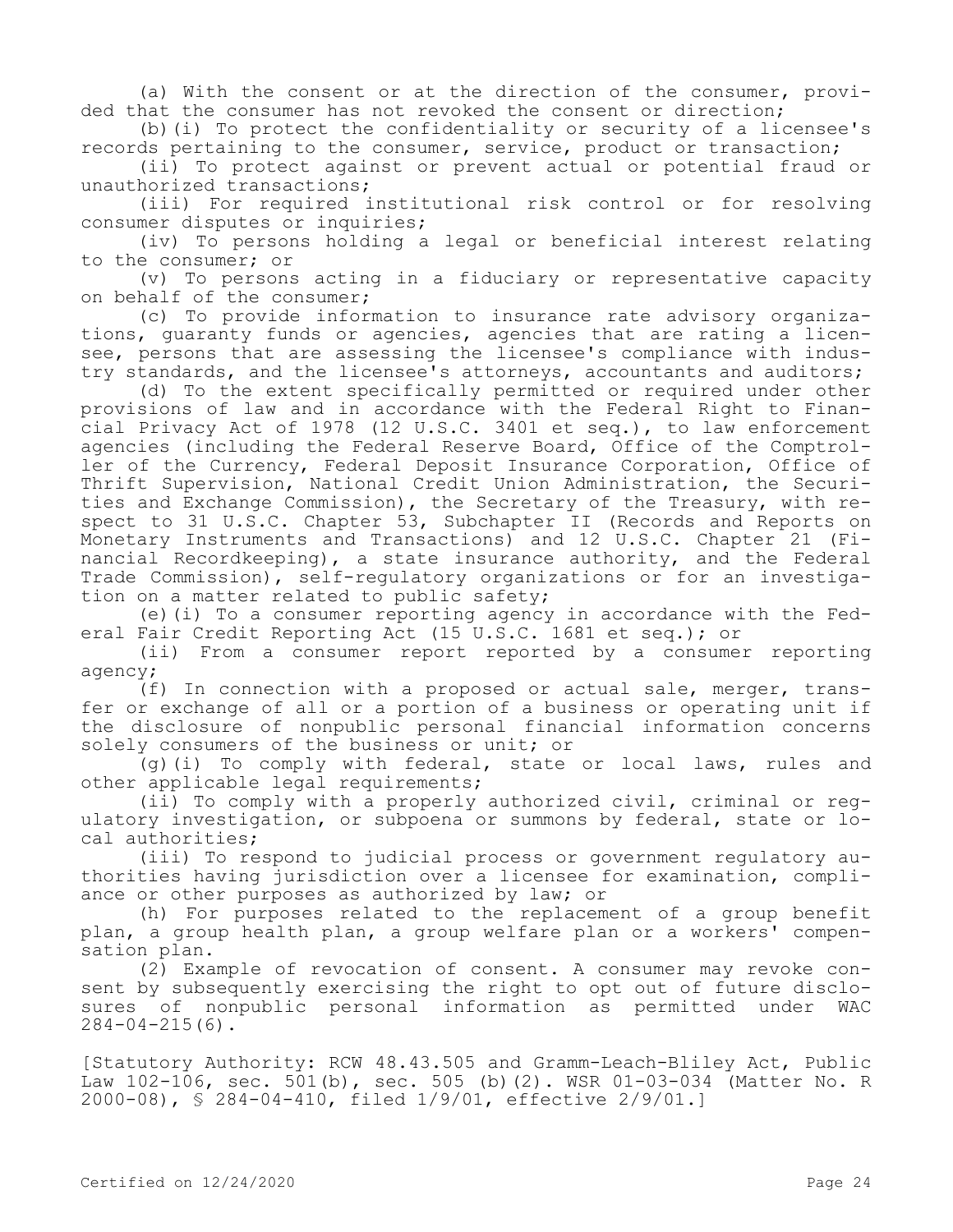(a) With the consent or at the direction of the consumer, provided that the consumer has not revoked the consent or direction;

(b)(i) To protect the confidentiality or security of a licensee's records pertaining to the consumer, service, product or transaction;

(ii) To protect against or prevent actual or potential fraud or unauthorized transactions;

(iii) For required institutional risk control or for resolving consumer disputes or inquiries;

(iv) To persons holding a legal or beneficial interest relating to the consumer; or

(v) To persons acting in a fiduciary or representative capacity on behalf of the consumer;

(c) To provide information to insurance rate advisory organizations, guaranty funds or agencies, agencies that are rating a licensee, persons that are assessing the licensee's compliance with industry standards, and the licensee's attorneys, accountants and auditors;

(d) To the extent specifically permitted or required under other provisions of law and in accordance with the Federal Right to Financial Privacy Act of 1978 (12 U.S.C. 3401 et seq.), to law enforcement agencies (including the Federal Reserve Board, Office of the Comptroller of the Currency, Federal Deposit Insurance Corporation, Office of Thrift Supervision, National Credit Union Administration, the Securities and Exchange Commission), the Secretary of the Treasury, with respect to 31 U.S.C. Chapter 53, Subchapter II (Records and Reports on Monetary Instruments and Transactions) and 12 U.S.C. Chapter 21 (Financial Recordkeeping), a state insurance authority, and the Federal Trade Commission), self-regulatory organizations or for an investigation on a matter related to public safety;

(e)(i) To a consumer reporting agency in accordance with the Federal Fair Credit Reporting Act (15 U.S.C. 1681 et seq.); or

(ii) From a consumer report reported by a consumer reporting agency;

(f) In connection with a proposed or actual sale, merger, transfer or exchange of all or a portion of a business or operating unit if the disclosure of nonpublic personal financial information concerns solely consumers of the business or unit; or

(g)(i) To comply with federal, state or local laws, rules and other applicable legal requirements;

(ii) To comply with a properly authorized civil, criminal or regulatory investigation, or subpoena or summons by federal, state or local authorities;

(iii) To respond to judicial process or government regulatory authorities having jurisdiction over a licensee for examination, compliance or other purposes as authorized by law; or

(h) For purposes related to the replacement of a group benefit plan, a group health plan, a group welfare plan or a workers' compensation plan.

(2) Example of revocation of consent. A consumer may revoke consent by subsequently exercising the right to opt out of future disclosures of nonpublic personal information as permitted under WAC  $284 - 04 - 215(6)$ .

[Statutory Authority: RCW 48.43.505 and Gramm-Leach-Bliley Act, Public Law 102-106, sec. 501(b), sec. 505 (b)(2). WSR 01-03-034 (Matter No. R 2000-08), § 284-04-410, filed 1/9/01, effective 2/9/01.]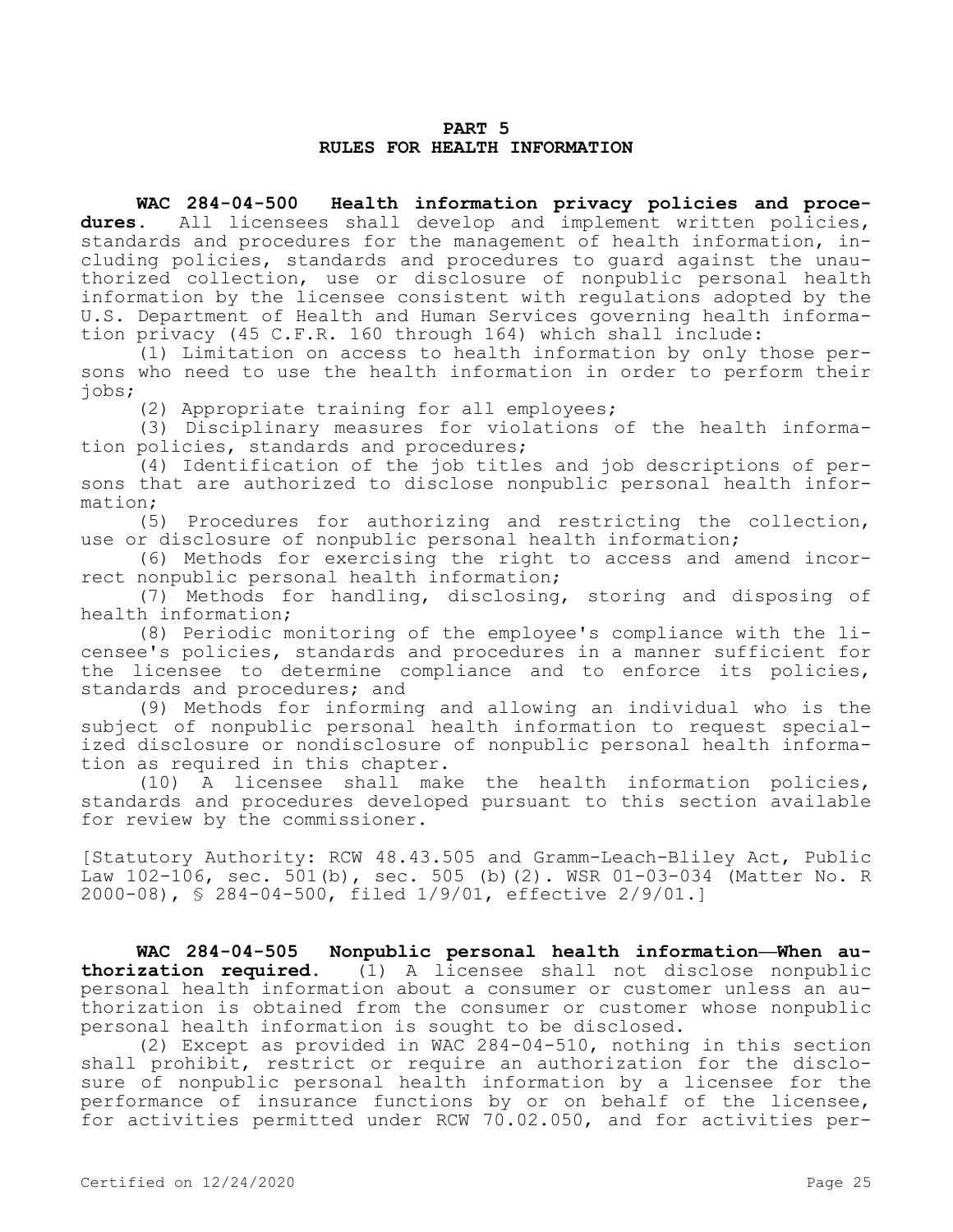#### **PART 5 RULES FOR HEALTH INFORMATION**

**WAC 284-04-500 Health information privacy policies and procedures.** All licensees shall develop and implement written policies, standards and procedures for the management of health information, including policies, standards and procedures to guard against the unauthorized collection, use or disclosure of nonpublic personal health information by the licensee consistent with regulations adopted by the U.S. Department of Health and Human Services governing health information privacy (45 C.F.R. 160 through 164) which shall include:

(1) Limitation on access to health information by only those persons who need to use the health information in order to perform their jobs;

(2) Appropriate training for all employees;

(3) Disciplinary measures for violations of the health information policies, standards and procedures;

(4) Identification of the job titles and job descriptions of persons that are authorized to disclose nonpublic personal health information;

(5) Procedures for authorizing and restricting the collection, use or disclosure of nonpublic personal health information;

(6) Methods for exercising the right to access and amend incorrect nonpublic personal health information;

(7) Methods for handling, disclosing, storing and disposing of health information;

(8) Periodic monitoring of the employee's compliance with the licensee's policies, standards and procedures in a manner sufficient for the licensee to determine compliance and to enforce its policies, standards and procedures; and

(9) Methods for informing and allowing an individual who is the subject of nonpublic personal health information to request specialized disclosure or nondisclosure of nonpublic personal health information as required in this chapter.

(10) A licensee shall make the health information policies, standards and procedures developed pursuant to this section available for review by the commissioner.

[Statutory Authority: RCW 48.43.505 and Gramm-Leach-Bliley Act, Public Law 102-106, sec. 501(b), sec. 505 (b)(2). WSR 01-03-034 (Matter No. R 2000-08), § 284-04-500, filed 1/9/01, effective 2/9/01.]

**WAC 284-04-505 Nonpublic personal health information—When authorization required.** (1) A licensee shall not disclose nonpublic personal health information about a consumer or customer unless an authorization is obtained from the consumer or customer whose nonpublic personal health information is sought to be disclosed.

(2) Except as provided in WAC 284-04-510, nothing in this section shall prohibit, restrict or require an authorization for the disclosure of nonpublic personal health information by a licensee for the performance of insurance functions by or on behalf of the licensee, for activities permitted under RCW 70.02.050, and for activities per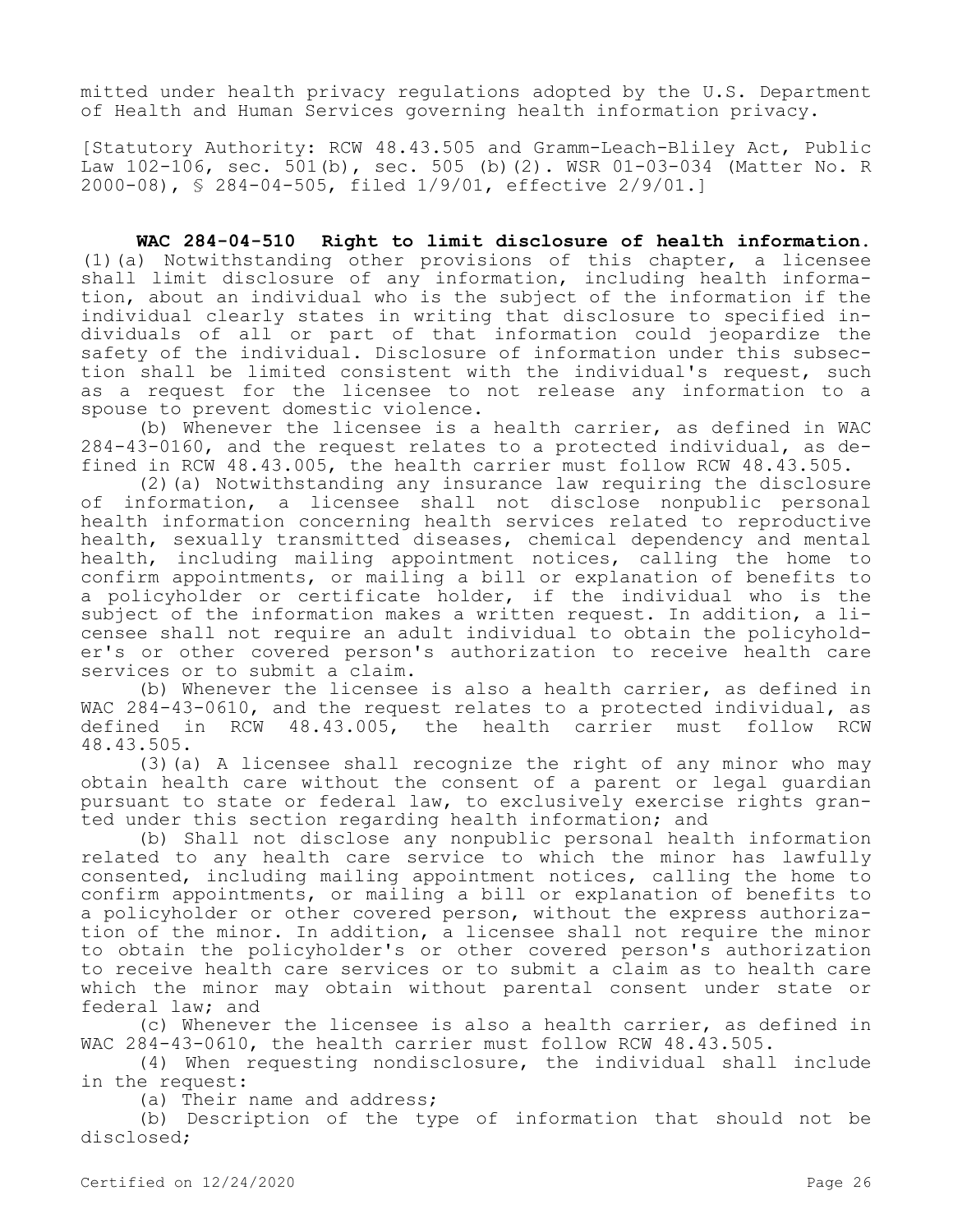mitted under health privacy regulations adopted by the U.S. Department of Health and Human Services governing health information privacy.

[Statutory Authority: RCW 48.43.505 and Gramm-Leach-Bliley Act, Public Law 102-106, sec. 501(b), sec. 505 (b)(2). WSR 01-03-034 (Matter No. R 2000-08), § 284-04-505, filed 1/9/01, effective 2/9/01.]

**WAC 284-04-510 Right to limit disclosure of health information.**  (1)(a) Notwithstanding other provisions of this chapter, a licensee shall limit disclosure of any information, including health information, about an individual who is the subject of the information if the individual clearly states in writing that disclosure to specified individuals of all or part of that information could jeopardize the safety of the individual. Disclosure of information under this subsection shall be limited consistent with the individual's request, such as a request for the licensee to not release any information to a spouse to prevent domestic violence.

(b) Whenever the licensee is a health carrier, as defined in WAC 284-43-0160, and the request relates to a protected individual, as defined in RCW 48.43.005, the health carrier must follow RCW 48.43.505.

(2)(a) Notwithstanding any insurance law requiring the disclosure of information, a licensee shall not disclose nonpublic personal health information concerning health services related to reproductive health, sexually transmitted diseases, chemical dependency and mental health, including mailing appointment notices, calling the home to confirm appointments, or mailing a bill or explanation of benefits to a policyholder or certificate holder, if the individual who is the subject of the information makes a written request. In addition, a licensee shall not require an adult individual to obtain the policyholder's or other covered person's authorization to receive health care services or to submit a claim.

(b) Whenever the licensee is also a health carrier, as defined in WAC 284-43-0610, and the request relates to a protected individual, as defined in RCW 48.43.005, the health carrier must follow RCW 48.43.505.

(3)(a) A licensee shall recognize the right of any minor who may obtain health care without the consent of a parent or legal guardian pursuant to state or federal law, to exclusively exercise rights granted under this section regarding health information; and

(b) Shall not disclose any nonpublic personal health information related to any health care service to which the minor has lawfully consented, including mailing appointment notices, calling the home to confirm appointments, or mailing a bill or explanation of benefits to a policyholder or other covered person, without the express authorization of the minor. In addition, a licensee shall not require the minor to obtain the policyholder's or other covered person's authorization to receive health care services or to submit a claim as to health care which the minor may obtain without parental consent under state or federal law; and

(c) Whenever the licensee is also a health carrier, as defined in WAC 284-43-0610, the health carrier must follow RCW 48.43.505.

(4) When requesting nondisclosure, the individual shall include in the request:

(a) Their name and address;

(b) Description of the type of information that should not be disclosed;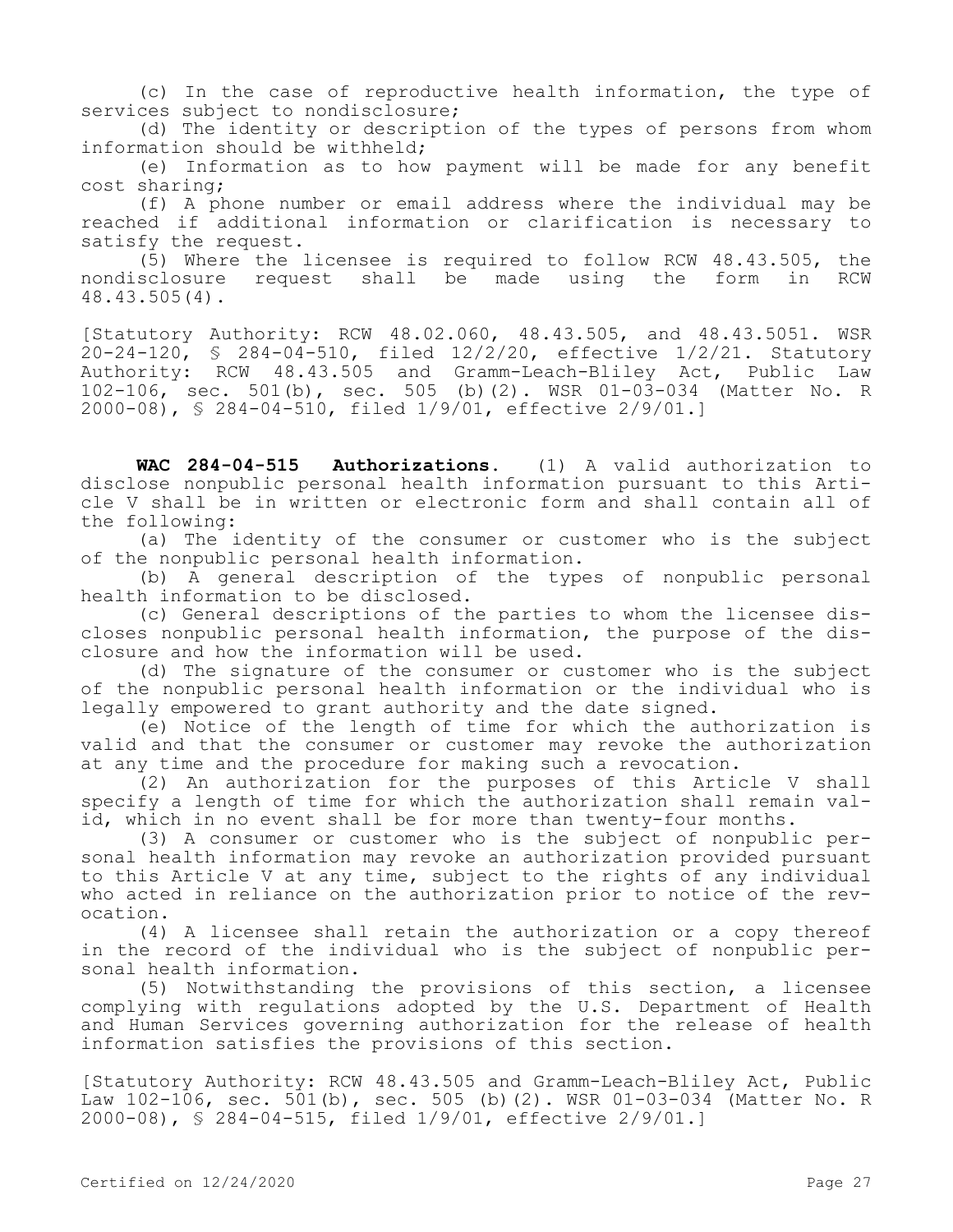(c) In the case of reproductive health information, the type of services subject to nondisclosure;

(d) The identity or description of the types of persons from whom information should be withheld;

(e) Information as to how payment will be made for any benefit cost sharing;

(f) A phone number or email address where the individual may be reached if additional information or clarification is necessary to satisfy the request.

(5) Where the licensee is required to follow RCW 48.43.505, the nondisclosure request shall be made using the form in RCW 48.43.505(4).

[Statutory Authority: RCW 48.02.060, 48.43.505, and 48.43.5051. WSR 20-24-120, § 284-04-510, filed 12/2/20, effective 1/2/21. Statutory Authority: RCW 48.43.505 and Gramm-Leach-Bliley Act, Public Law 102-106, sec. 501(b), sec. 505 (b)(2). WSR 01-03-034 (Matter No. R 2000-08), § 284-04-510, filed 1/9/01, effective 2/9/01.]

**WAC 284-04-515 Authorizations.** (1) A valid authorization to disclose nonpublic personal health information pursuant to this Article V shall be in written or electronic form and shall contain all of the following:

(a) The identity of the consumer or customer who is the subject of the nonpublic personal health information.

(b) A general description of the types of nonpublic personal health information to be disclosed.

(c) General descriptions of the parties to whom the licensee discloses nonpublic personal health information, the purpose of the disclosure and how the information will be used.

(d) The signature of the consumer or customer who is the subject of the nonpublic personal health information or the individual who is legally empowered to grant authority and the date signed.

(e) Notice of the length of time for which the authorization is valid and that the consumer or customer may revoke the authorization at any time and the procedure for making such a revocation.

(2) An authorization for the purposes of this Article V shall specify a length of time for which the authorization shall remain valid, which in no event shall be for more than twenty-four months.

(3) A consumer or customer who is the subject of nonpublic personal health information may revoke an authorization provided pursuant to this Article V at any time, subject to the rights of any individual who acted in reliance on the authorization prior to notice of the revocation.

(4) A licensee shall retain the authorization or a copy thereof in the record of the individual who is the subject of nonpublic personal health information.

(5) Notwithstanding the provisions of this section, a licensee complying with regulations adopted by the U.S. Department of Health and Human Services governing authorization for the release of health information satisfies the provisions of this section.

[Statutory Authority: RCW 48.43.505 and Gramm-Leach-Bliley Act, Public Law 102-106, sec. 501(b), sec. 505 (b)(2). WSR 01-03-034 (Matter No. R 2000-08), § 284-04-515, filed 1/9/01, effective 2/9/01.]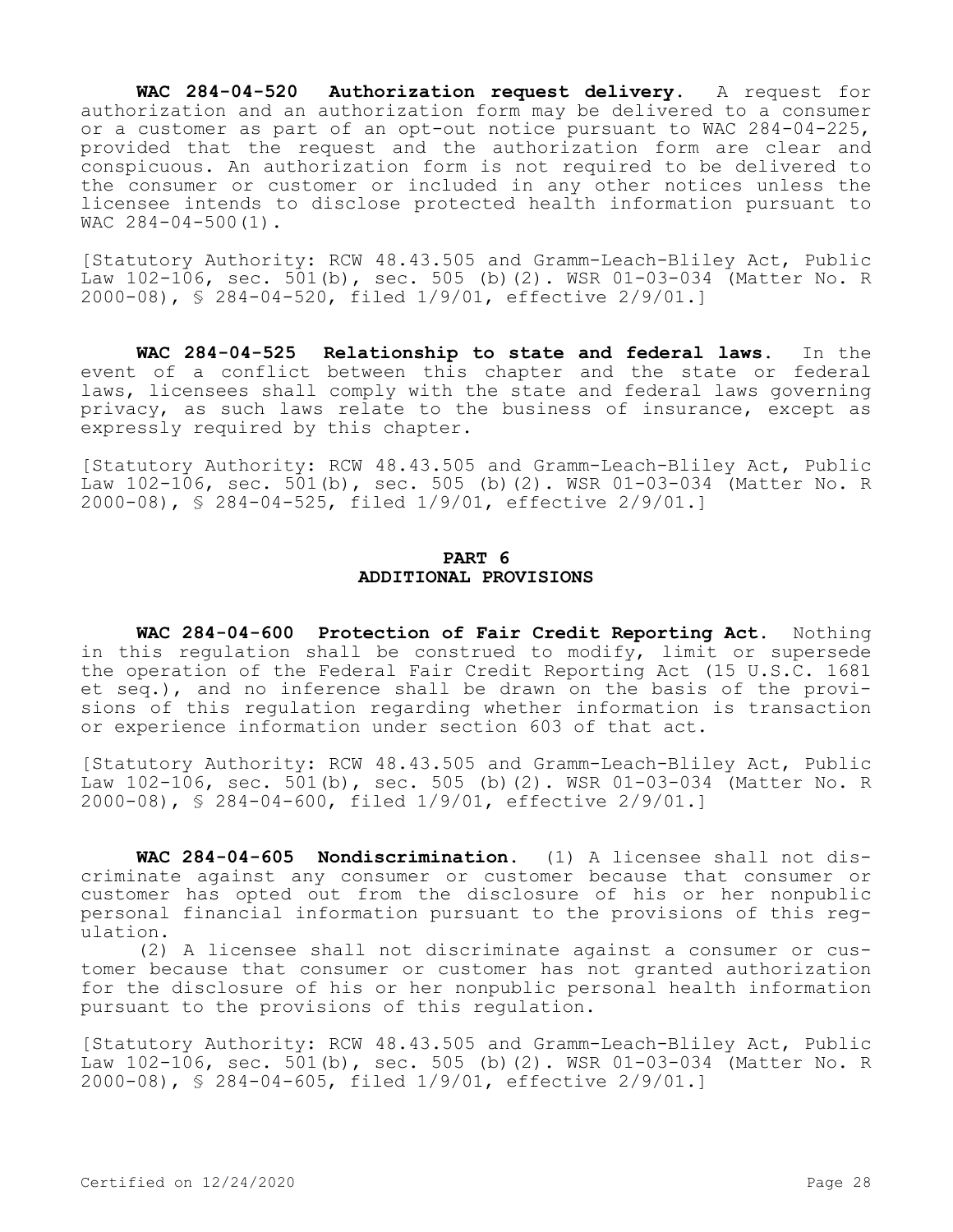**WAC 284-04-520 Authorization request delivery.** A request for authorization and an authorization form may be delivered to a consumer or a customer as part of an opt-out notice pursuant to WAC 284-04-225, provided that the request and the authorization form are clear and conspicuous. An authorization form is not required to be delivered to the consumer or customer or included in any other notices unless the licensee intends to disclose protected health information pursuant to WAC 284-04-500(1).

[Statutory Authority: RCW 48.43.505 and Gramm-Leach-Bliley Act, Public Law 102-106, sec. 501(b), sec. 505 (b)(2). WSR 01-03-034 (Matter No. R 2000-08), § 284-04-520, filed 1/9/01, effective 2/9/01.]

**WAC 284-04-525 Relationship to state and federal laws.** In the event of a conflict between this chapter and the state or federal laws, licensees shall comply with the state and federal laws governing privacy, as such laws relate to the business of insurance, except as expressly required by this chapter.

[Statutory Authority: RCW 48.43.505 and Gramm-Leach-Bliley Act, Public Law 102-106, sec. 501(b), sec. 505 (b)(2). WSR 01-03-034 (Matter No. R 2000-08), § 284-04-525, filed 1/9/01, effective 2/9/01.]

### **PART 6 ADDITIONAL PROVISIONS**

**WAC 284-04-600 Protection of Fair Credit Reporting Act.** Nothing in this regulation shall be construed to modify, limit or supersede the operation of the Federal Fair Credit Reporting Act (15 U.S.C. 1681 et seq.), and no inference shall be drawn on the basis of the provisions of this regulation regarding whether information is transaction or experience information under section 603 of that act.

[Statutory Authority: RCW 48.43.505 and Gramm-Leach-Bliley Act, Public Law 102-106, sec. 501(b), sec. 505 (b)(2). WSR 01-03-034 (Matter No. R 2000-08), § 284-04-600, filed 1/9/01, effective 2/9/01.]

**WAC 284-04-605 Nondiscrimination.** (1) A licensee shall not discriminate against any consumer or customer because that consumer or customer has opted out from the disclosure of his or her nonpublic personal financial information pursuant to the provisions of this regulation.

(2) A licensee shall not discriminate against a consumer or customer because that consumer or customer has not granted authorization for the disclosure of his or her nonpublic personal health information pursuant to the provisions of this regulation.

[Statutory Authority: RCW 48.43.505 and Gramm-Leach-Bliley Act, Public Law 102-106, sec. 501(b), sec. 505 (b)(2). WSR 01-03-034 (Matter No. R 2000-08), § 284-04-605, filed 1/9/01, effective 2/9/01.]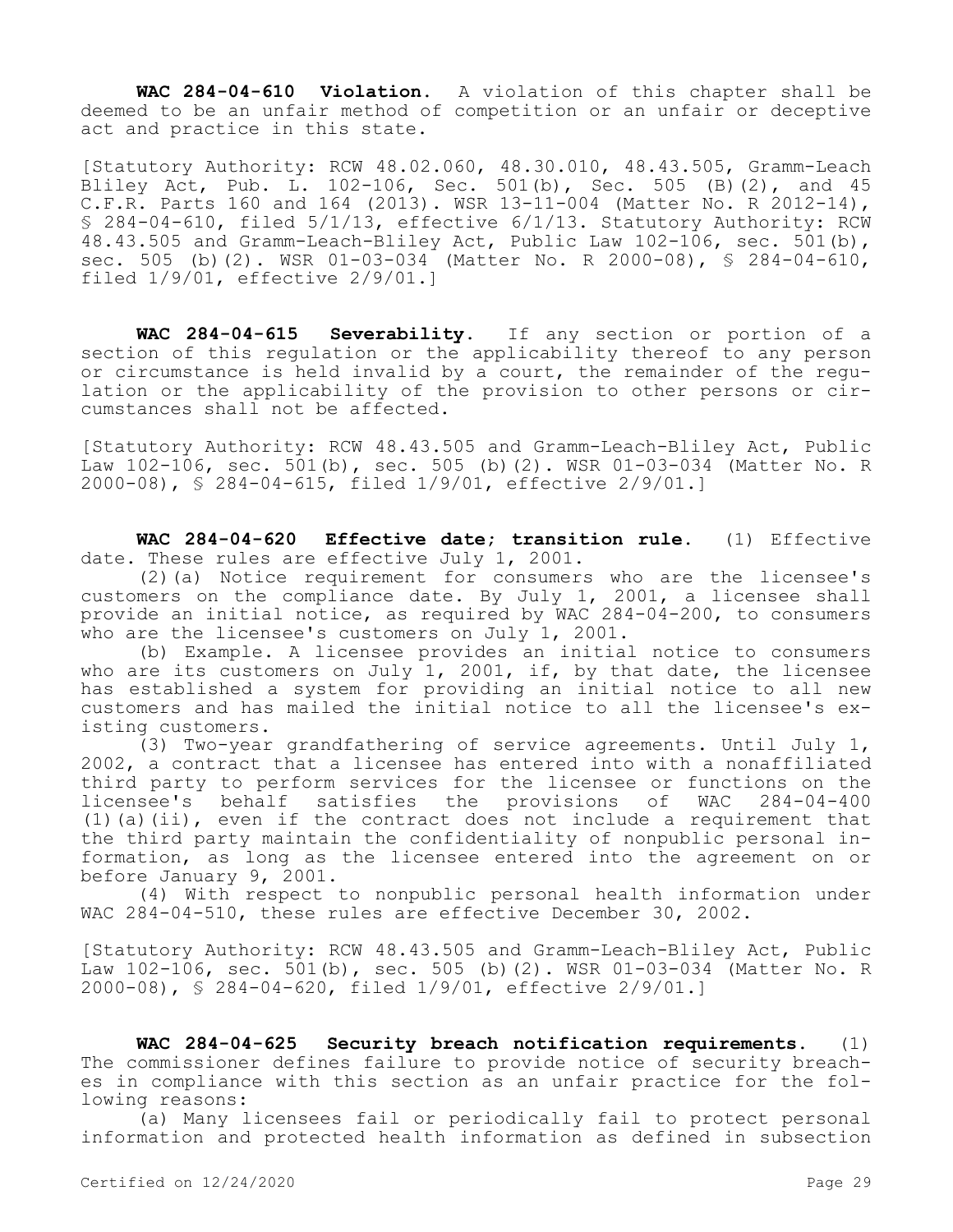**WAC 284-04-610 Violation.** A violation of this chapter shall be deemed to be an unfair method of competition or an unfair or deceptive act and practice in this state.

[Statutory Authority: RCW 48.02.060, 48.30.010, 48.43.505, Gramm-Leach Bliley Act, Pub. L. 102-106, Sec. 501(b), Sec. 505 (B)(2), and 45 C.F.R. Parts 160 and 164 (2013). WSR 13-11-004 (Matter No. R 2012-14), § 284-04-610, filed 5/1/13, effective 6/1/13. Statutory Authority: RCW 48.43.505 and Gramm-Leach-Bliley Act, Public Law 102-106, sec. 501(b), sec. 505 (b)(2). WSR 01-03-034 (Matter No. R 2000-08), § 284-04-610, filed 1/9/01, effective 2/9/01.]

**WAC 284-04-615 Severability.** If any section or portion of a section of this regulation or the applicability thereof to any person or circumstance is held invalid by a court, the remainder of the regulation or the applicability of the provision to other persons or circumstances shall not be affected.

[Statutory Authority: RCW 48.43.505 and Gramm-Leach-Bliley Act, Public Law 102-106, sec. 501(b), sec. 505 (b)(2). WSR 01-03-034 (Matter No. R 2000-08), § 284-04-615, filed 1/9/01, effective 2/9/01.]

**WAC 284-04-620 Effective date; transition rule.** (1) Effective date. These rules are effective July 1, 2001.

(2)(a) Notice requirement for consumers who are the licensee's customers on the compliance date. By July 1, 2001, a licensee shall provide an initial notice, as required by WAC 284-04-200, to consumers who are the licensee's customers on July 1, 2001.

(b) Example. A licensee provides an initial notice to consumers who are its customers on July 1, 2001, if, by that date, the licensee has established a system for providing an initial notice to all new customers and has mailed the initial notice to all the licensee's existing customers.

(3) Two-year grandfathering of service agreements. Until July 1, 2002, a contract that a licensee has entered into with a nonaffiliated third party to perform services for the licensee or functions on the licensee's behalf satisfies the provisions of WAC 284-04-400 (1)(a)(ii), even if the contract does not include a requirement that the third party maintain the confidentiality of nonpublic personal information, as long as the licensee entered into the agreement on or before January 9, 2001.

(4) With respect to nonpublic personal health information under WAC 284-04-510, these rules are effective December 30, 2002.

[Statutory Authority: RCW 48.43.505 and Gramm-Leach-Bliley Act, Public Law 102-106, sec. 501(b), sec. 505 (b)(2). WSR 01-03-034 (Matter No. R 2000-08), § 284-04-620, filed 1/9/01, effective 2/9/01.]

**WAC 284-04-625 Security breach notification requirements.** (1) The commissioner defines failure to provide notice of security breaches in compliance with this section as an unfair practice for the following reasons:

(a) Many licensees fail or periodically fail to protect personal information and protected health information as defined in subsection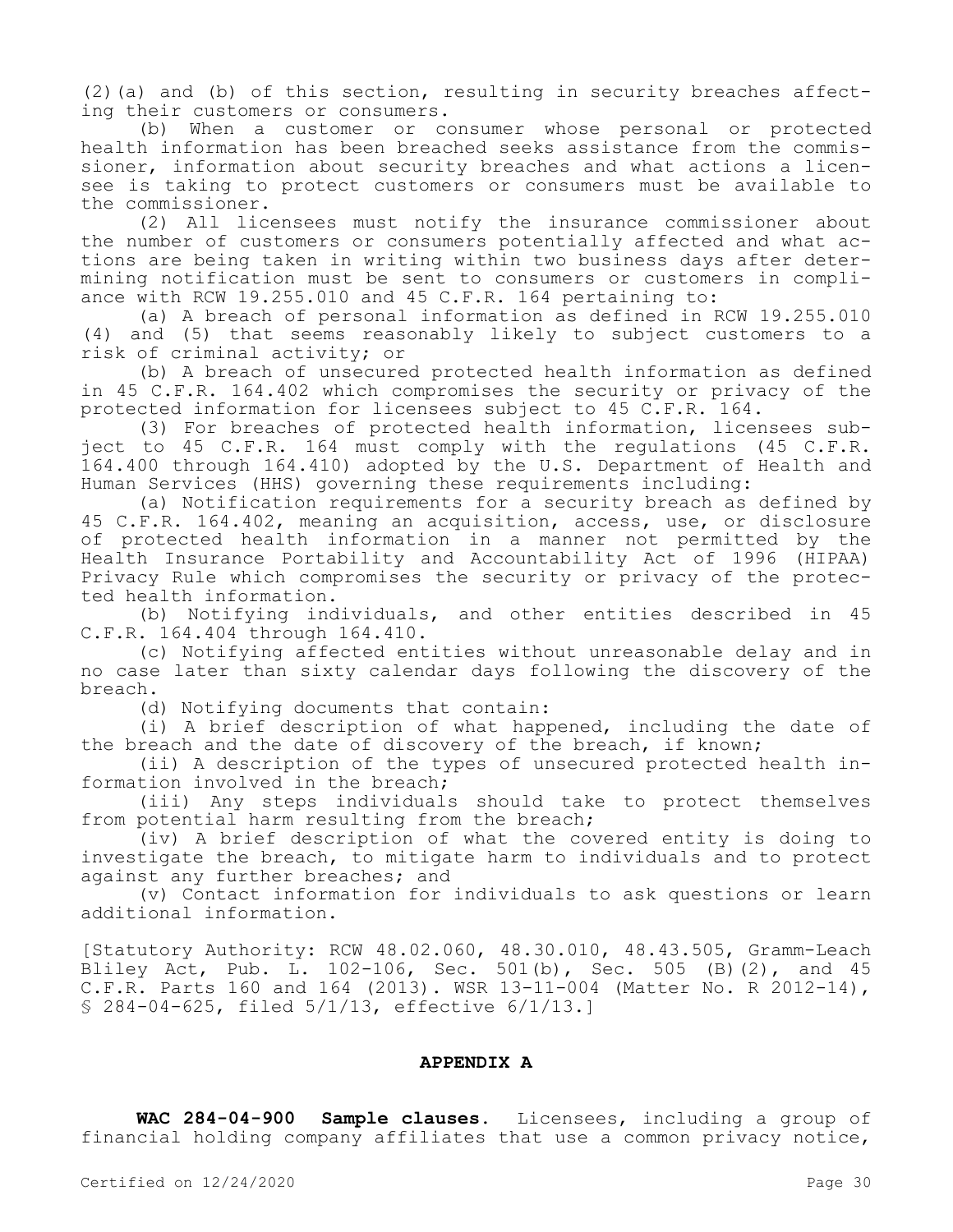(2)(a) and (b) of this section, resulting in security breaches affecting their customers or consumers.

(b) When a customer or consumer whose personal or protected health information has been breached seeks assistance from the commissioner, information about security breaches and what actions a licensee is taking to protect customers or consumers must be available to the commissioner.

(2) All licensees must notify the insurance commissioner about the number of customers or consumers potentially affected and what actions are being taken in writing within two business days after determining notification must be sent to consumers or customers in compliance with RCW 19.255.010 and 45 C.F.R. 164 pertaining to:

(a) A breach of personal information as defined in RCW 19.255.010 (4) and (5) that seems reasonably likely to subject customers to a risk of criminal activity; or

(b) A breach of unsecured protected health information as defined in 45 C.F.R. 164.402 which compromises the security or privacy of the protected information for licensees subject to 45 C.F.R. 164.

(3) For breaches of protected health information, licensees subject to 45 C.F.R. 164 must comply with the regulations (45 C.F.R. 164.400 through 164.410) adopted by the U.S. Department of Health and Human Services (HHS) governing these requirements including:

(a) Notification requirements for a security breach as defined by 45 C.F.R. 164.402, meaning an acquisition, access, use, or disclosure of protected health information in a manner not permitted by the Health Insurance Portability and Accountability Act of 1996 (HIPAA) Privacy Rule which compromises the security or privacy of the protected health information.

(b) Notifying individuals, and other entities described in 45 C.F.R. 164.404 through 164.410.

(c) Notifying affected entities without unreasonable delay and in no case later than sixty calendar days following the discovery of the breach.

(d) Notifying documents that contain:

(i) A brief description of what happened, including the date of the breach and the date of discovery of the breach, if known;

(ii) A description of the types of unsecured protected health information involved in the breach;

(iii) Any steps individuals should take to protect themselves from potential harm resulting from the breach;

(iv) A brief description of what the covered entity is doing to investigate the breach, to mitigate harm to individuals and to protect against any further breaches; and

(v) Contact information for individuals to ask questions or learn additional information.

[Statutory Authority: RCW 48.02.060, 48.30.010, 48.43.505, Gramm-Leach Bliley Act, Pub. L. 102-106, Sec. 501(b), Sec. 505 (B)(2), and 45 C.F.R. Parts 160 and 164 (2013). WSR 13-11-004 (Matter No. R 2012-14), § 284-04-625, filed 5/1/13, effective 6/1/13.]

#### **APPENDIX A**

**WAC 284-04-900 Sample clauses.** Licensees, including a group of financial holding company affiliates that use a common privacy notice,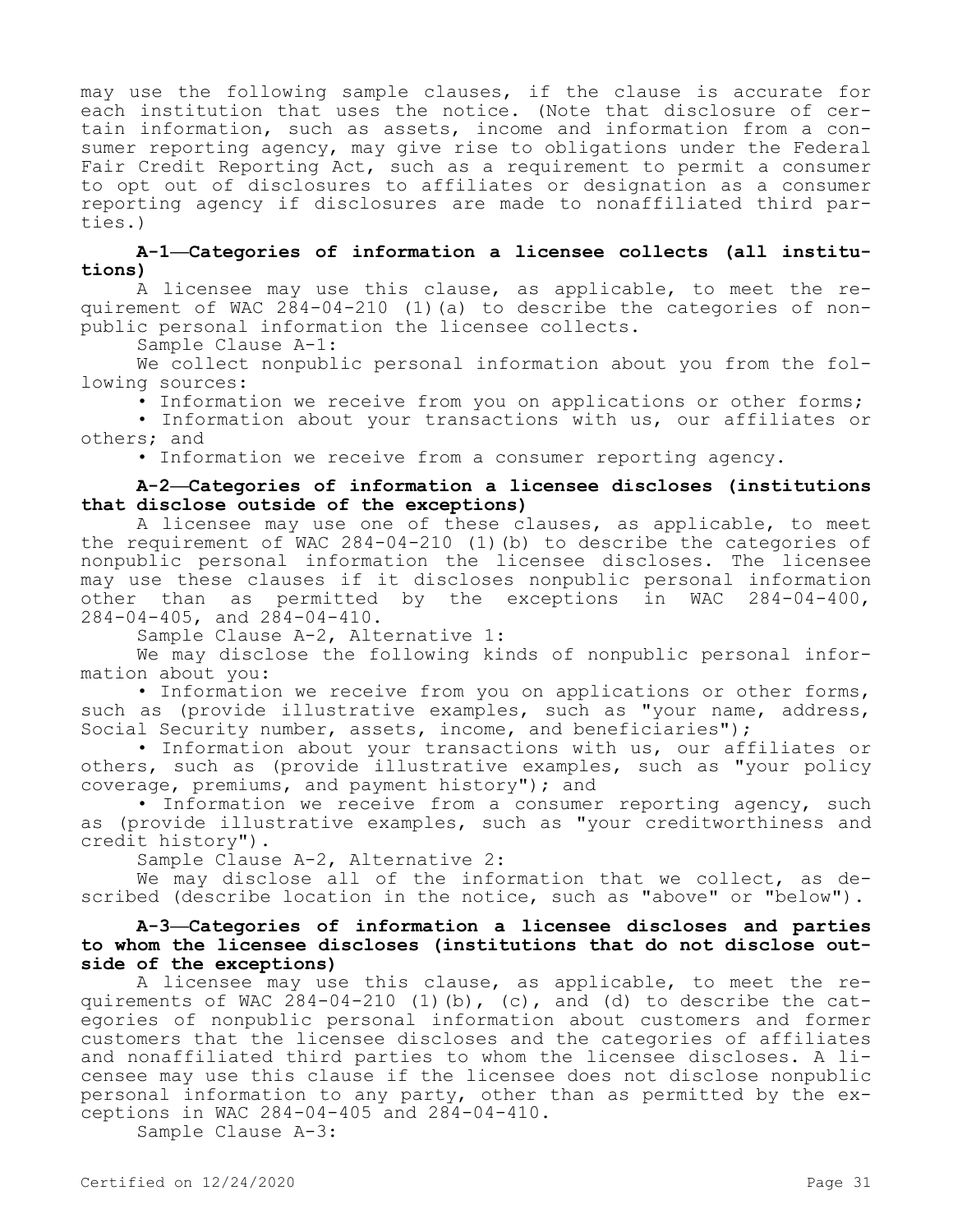may use the following sample clauses, if the clause is accurate for each institution that uses the notice. (Note that disclosure of certain information, such as assets, income and information from a consumer reporting agency, may give rise to obligations under the Federal Fair Credit Reporting Act, such as a requirement to permit a consumer to opt out of disclosures to affiliates or designation as a consumer reporting agency if disclosures are made to nonaffiliated third parties.)

# **A-1—Categories of information a licensee collects (all institutions)**

A licensee may use this clause, as applicable, to meet the requirement of WAC 284-04-210 (1)(a) to describe the categories of nonpublic personal information the licensee collects.

Sample Clause A-1:

We collect nonpublic personal information about you from the following sources:

• Information we receive from you on applications or other forms; • Information about your transactions with us, our affiliates or others; and

• Information we receive from a consumer reporting agency.

# **A-2—Categories of information a licensee discloses (institutions that disclose outside of the exceptions)**

A licensee may use one of these clauses, as applicable, to meet the requirement of WAC 284-04-210 (1)(b) to describe the categories of nonpublic personal information the licensee discloses. The licensee may use these clauses if it discloses nonpublic personal information other than as permitted by the exceptions in WAC 284-04-400, 284-04-405, and 284-04-410.

Sample Clause A-2, Alternative 1:

We may disclose the following kinds of nonpublic personal information about you:

• Information we receive from you on applications or other forms, such as (provide illustrative examples, such as "your name, address, Social Security number, assets, income, and beneficiaries");

• Information about your transactions with us, our affiliates or others, such as (provide illustrative examples, such as "your policy coverage, premiums, and payment history"); and

• Information we receive from a consumer reporting agency, such as (provide illustrative examples, such as "your creditworthiness and credit history").

Sample Clause A-2, Alternative 2:

We may disclose all of the information that we collect, as described (describe location in the notice, such as "above" or "below").

# **A-3—Categories of information a licensee discloses and parties to whom the licensee discloses (institutions that do not disclose outside of the exceptions)**

A licensee may use this clause, as applicable, to meet the requirements of WAC  $284-04-210$  (1)(b), (c), and (d) to describe the categories of nonpublic personal information about customers and former customers that the licensee discloses and the categories of affiliates and nonaffiliated third parties to whom the licensee discloses. A licensee may use this clause if the licensee does not disclose nonpublic personal information to any party, other than as permitted by the exceptions in WAC 284-04-405 and 284-04-410.

Sample Clause A-3: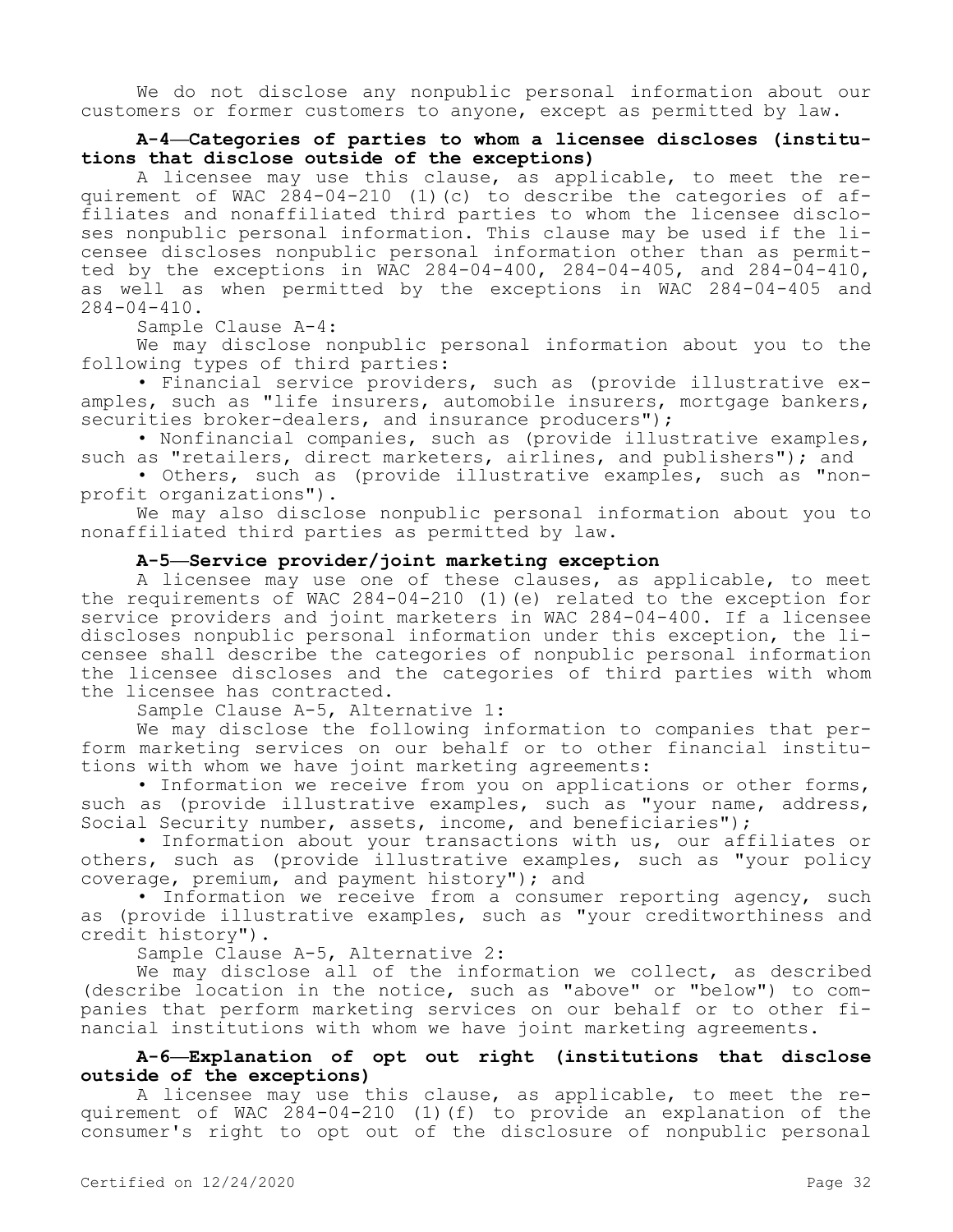We do not disclose any nonpublic personal information about our customers or former customers to anyone, except as permitted by law.

# **A-4—Categories of parties to whom a licensee discloses (institutions that disclose outside of the exceptions)**

A licensee may use this clause, as applicable, to meet the requirement of WAC 284-04-210 (1)(c) to describe the categories of affiliates and nonaffiliated third parties to whom the licensee discloses nonpublic personal information. This clause may be used if the licensee discloses nonpublic personal information other than as permitted by the exceptions in WAC 284-04-400, 284-04-405, and 284-04-410, as well as when permitted by the exceptions in WAC 284-04-405 and 284-04-410.

Sample Clause A-4:

We may disclose nonpublic personal information about you to the following types of third parties:

• Financial service providers, such as (provide illustrative examples, such as "life insurers, automobile insurers, mortgage bankers, securities broker-dealers, and insurance producers");

• Nonfinancial companies, such as (provide illustrative examples, such as "retailers, direct marketers, airlines, and publishers"); and

• Others, such as (provide illustrative examples, such as "nonprofit organizations").

We may also disclose nonpublic personal information about you to nonaffiliated third parties as permitted by law.

#### **A-5—Service provider/joint marketing exception**

A licensee may use one of these clauses, as applicable, to meet the requirements of WAC 284-04-210 (1)(e) related to the exception for service providers and joint marketers in WAC 284-04-400. If a licensee discloses nonpublic personal information under this exception, the licensee shall describe the categories of nonpublic personal information the licensee discloses and the categories of third parties with whom the licensee has contracted.

Sample Clause A-5, Alternative 1:

We may disclose the following information to companies that perform marketing services on our behalf or to other financial institutions with whom we have joint marketing agreements:

• Information we receive from you on applications or other forms, such as (provide illustrative examples, such as "your name, address, Social Security number, assets, income, and beneficiaries");

• Information about your transactions with us, our affiliates or others, such as (provide illustrative examples, such as "your policy coverage, premium, and payment history"); and

• Information we receive from a consumer reporting agency, such as (provide illustrative examples, such as "your creditworthiness and credit history").

Sample Clause A-5, Alternative 2:

We may disclose all of the information we collect, as described (describe location in the notice, such as "above" or "below") to companies that perform marketing services on our behalf or to other financial institutions with whom we have joint marketing agreements.

# **A-6—Explanation of opt out right (institutions that disclose outside of the exceptions)**

A licensee may use this clause, as applicable, to meet the requirement of WAC 284-04-210 (1)(f) to provide an explanation of the consumer's right to opt out of the disclosure of nonpublic personal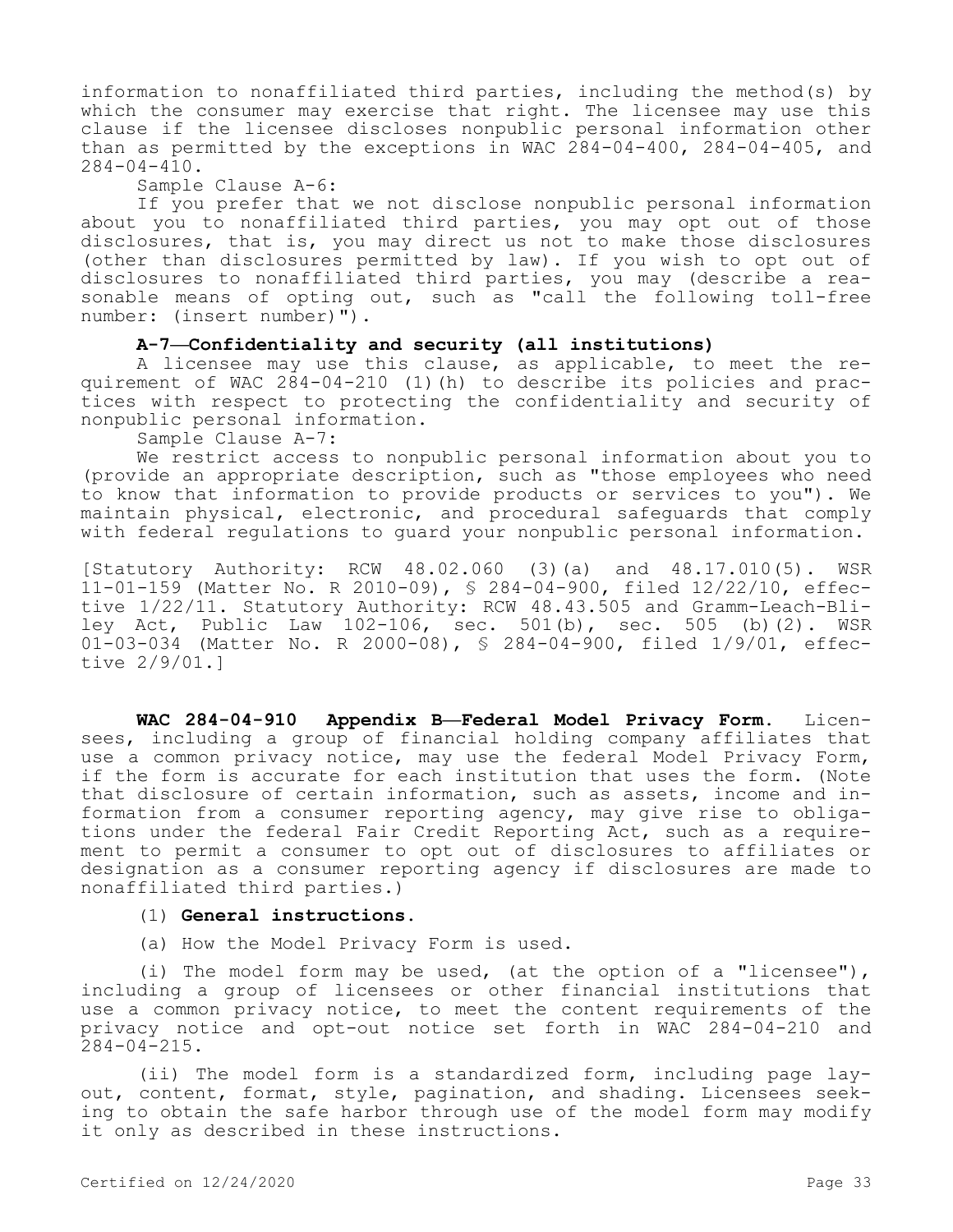information to nonaffiliated third parties, including the method(s) by which the consumer may exercise that right. The licensee may use this clause if the licensee discloses nonpublic personal information other than as permitted by the exceptions in WAC 284-04-400, 284-04-405, and 284-04-410.

Sample Clause A-6:

If you prefer that we not disclose nonpublic personal information about you to nonaffiliated third parties, you may opt out of those disclosures, that is, you may direct us not to make those disclosures (other than disclosures permitted by law). If you wish to opt out of disclosures to nonaffiliated third parties, you may (describe a reasonable means of opting out, such as "call the following toll-free number: (insert number)").

# **A-7—Confidentiality and security (all institutions)**

A licensee may use this clause, as applicable, to meet the requirement of WAC 284-04-210 (1)(h) to describe its policies and practices with respect to protecting the confidentiality and security of nonpublic personal information.

Sample Clause A-7:

We restrict access to nonpublic personal information about you to (provide an appropriate description, such as "those employees who need to know that information to provide products or services to you"). We maintain physical, electronic, and procedural safeguards that comply with federal regulations to guard your nonpublic personal information.

[Statutory Authority: RCW 48.02.060 (3)(a) and 48.17.010(5). WSR 11-01-159 (Matter No. R 2010-09), § 284-04-900, filed 12/22/10, effective 1/22/11. Statutory Authority: RCW 48.43.505 and Gramm-Leach-Bliley Act, Public Law 102-106, sec. 501(b), sec. 505 (b)(2). WSR 01-03-034 (Matter No. R 2000-08), § 284-04-900, filed 1/9/01, effective 2/9/01.]

**WAC 284-04-910 Appendix B—Federal Model Privacy Form.** Licensees, including a group of financial holding company affiliates that use a common privacy notice, may use the federal Model Privacy Form, if the form is accurate for each institution that uses the form. (Note that disclosure of certain information, such as assets, income and information from a consumer reporting agency, may give rise to obligations under the federal Fair Credit Reporting Act, such as a requirement to permit a consumer to opt out of disclosures to affiliates or designation as a consumer reporting agency if disclosures are made to nonaffiliated third parties.)

#### (1) **General instructions.**

(a) How the Model Privacy Form is used.

(i) The model form may be used, (at the option of a "licensee"), including a group of licensees or other financial institutions that use a common privacy notice, to meet the content requirements of the privacy notice and opt-out notice set forth in WAC 284-04-210 and 284-04-215.

(ii) The model form is a standardized form, including page layout, content, format, style, pagination, and shading. Licensees seeking to obtain the safe harbor through use of the model form may modify it only as described in these instructions.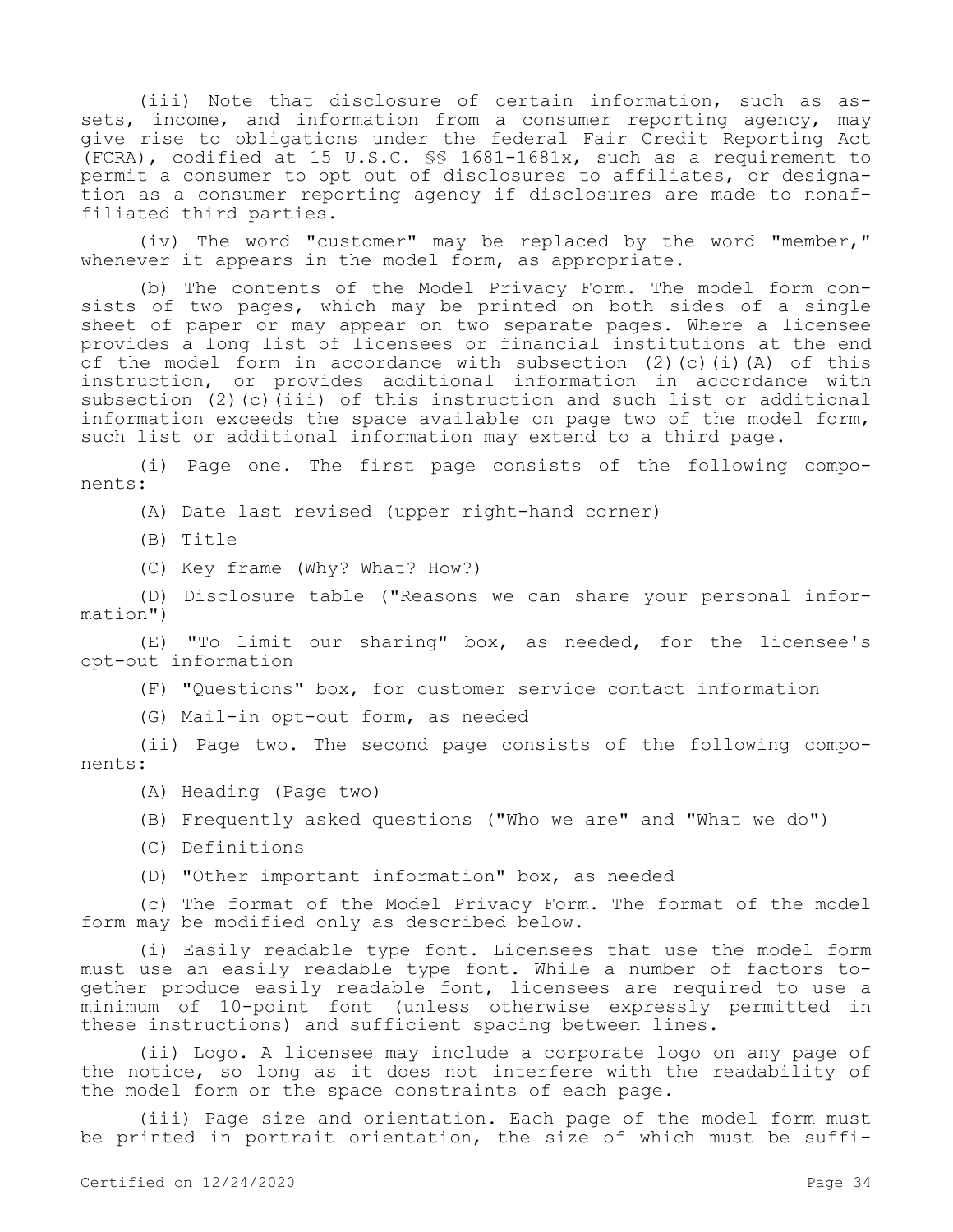(iii) Note that disclosure of certain information, such as assets, income, and information from a consumer reporting agency, may give rise to obligations under the federal Fair Credit Reporting Act (FCRA), codified at 15 U.S.C. §§ 1681-1681x, such as a requirement to permit a consumer to opt out of disclosures to affiliates, or designation as a consumer reporting agency if disclosures are made to nonaffiliated third parties.

(iv) The word "customer" may be replaced by the word "member," whenever it appears in the model form, as appropriate.

(b) The contents of the Model Privacy Form. The model form consists of two pages, which may be printed on both sides of a single sheet of paper or may appear on two separate pages. Where a licensee provides a long list of licensees or financial institutions at the end of the model form in accordance with subsection  $(2)$  (c)(i)(A) of this instruction, or provides additional information in accordance with subsection (2)(c)(iii) of this instruction and such list or additional information exceeds the space available on page two of the model form, such list or additional information may extend to a third page.

(i) Page one. The first page consists of the following components:

(A) Date last revised (upper right-hand corner)

- (B) Title
- (C) Key frame (Why? What? How?)

(D) Disclosure table ("Reasons we can share your personal information")

(E) "To limit our sharing" box, as needed, for the licensee's opt-out information

(F) "Questions" box, for customer service contact information

(G) Mail-in opt-out form, as needed

(ii) Page two. The second page consists of the following components:

- (A) Heading (Page two)
- (B) Frequently asked questions ("Who we are" and "What we do")
- (C) Definitions
- (D) "Other important information" box, as needed

(c) The format of the Model Privacy Form. The format of the model form may be modified only as described below.

(i) Easily readable type font. Licensees that use the model form must use an easily readable type font. While a number of factors together produce easily readable font, licensees are required to use a minimum of 10-point font (unless otherwise expressly permitted in these instructions) and sufficient spacing between lines.

(ii) Logo. A licensee may include a corporate logo on any page of the notice, so long as it does not interfere with the readability of the model form or the space constraints of each page.

(iii) Page size and orientation. Each page of the model form must be printed in portrait orientation, the size of which must be suffi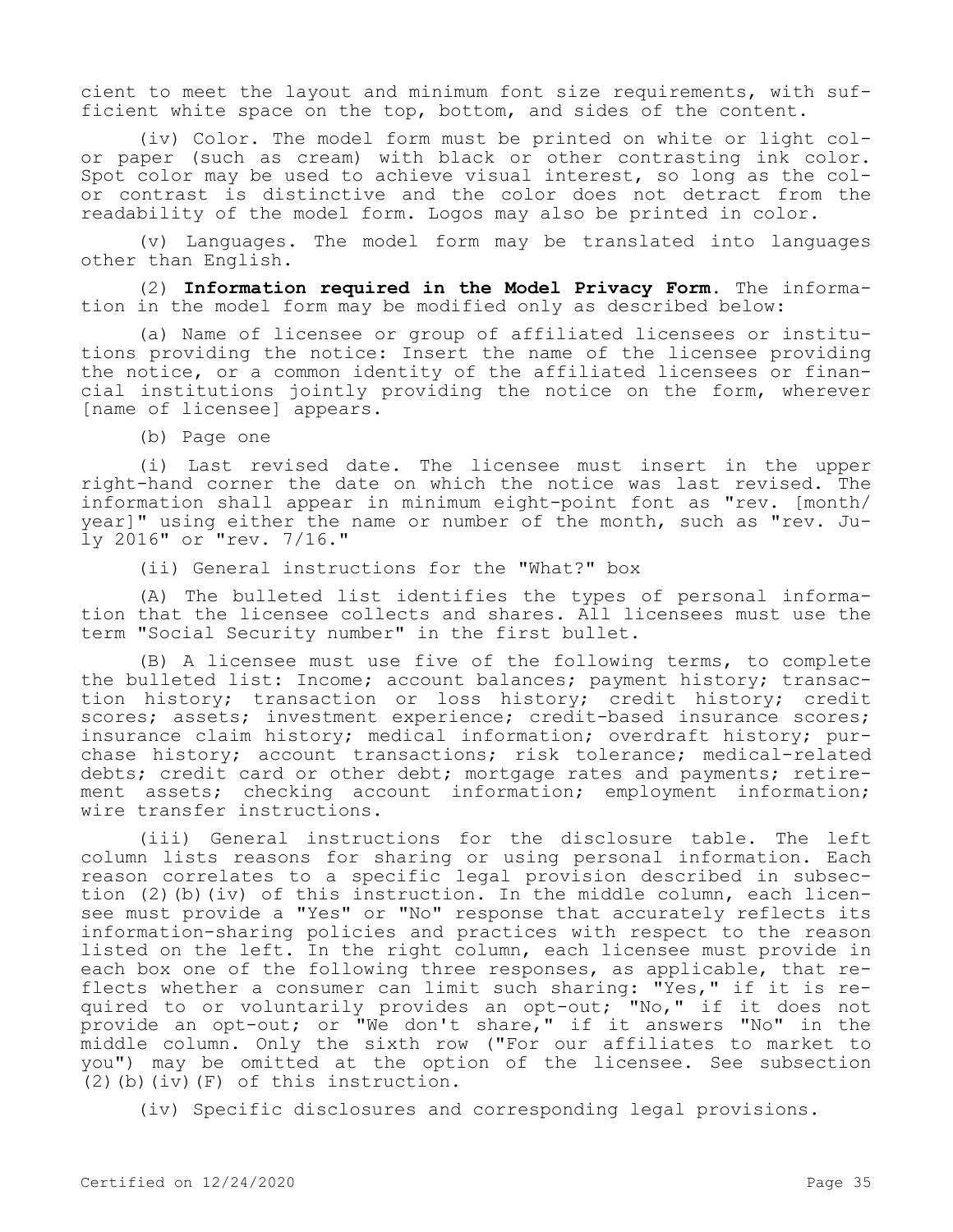cient to meet the layout and minimum font size requirements, with sufficient white space on the top, bottom, and sides of the content.

(iv) Color. The model form must be printed on white or light color paper (such as cream) with black or other contrasting ink color. Spot color may be used to achieve visual interest, so long as the color contrast is distinctive and the color does not detract from the readability of the model form. Logos may also be printed in color.

(v) Languages. The model form may be translated into languages other than English.

(2) **Information required in the Model Privacy Form.** The information in the model form may be modified only as described below:

(a) Name of licensee or group of affiliated licensees or institutions providing the notice: Insert the name of the licensee providing the notice, or a common identity of the affiliated licensees or financial institutions jointly providing the notice on the form, wherever [name of licensee] appears.

(b) Page one

(i) Last revised date. The licensee must insert in the upper right-hand corner the date on which the notice was last revised. The information shall appear in minimum eight-point font as "rev. [month/ year]" using either the name or number of the month, such as "rev. July 2016" or "rev. 7/16."

(ii) General instructions for the "What?" box

(A) The bulleted list identifies the types of personal information that the licensee collects and shares. All licensees must use the term "Social Security number" in the first bullet.

(B) A licensee must use five of the following terms, to complete the bulleted list: Income; account balances; payment history; transaction history; transaction or loss history; credit history; credit scores; assets; investment experience; credit-based insurance scores; insurance claim history; medical information; overdraft history; purchase history; account transactions; risk tolerance; medical-related debts; credit card or other debt; mortgage rates and payments; retirement assets; checking account information; employment information; wire transfer instructions.

(iii) General instructions for the disclosure table. The left column lists reasons for sharing or using personal information. Each reason correlates to a specific legal provision described in subsection (2)(b)(iv) of this instruction. In the middle column, each licensee must provide a "Yes" or "No" response that accurately reflects its information-sharing policies and practices with respect to the reason listed on the left. In the right column, each licensee must provide in each box one of the following three responses, as applicable, that reflects whether a consumer can limit such sharing: "Yes," if it is required to or voluntarily provides an opt-out; "No," if it does not provide an opt-out; or "We don't share," if it answers "No" in the middle column. Only the sixth row ("For our affiliates to market to you") may be omitted at the option of the licensee. See subsection (2)(b)(iv)(F) of this instruction.

(iv) Specific disclosures and corresponding legal provisions.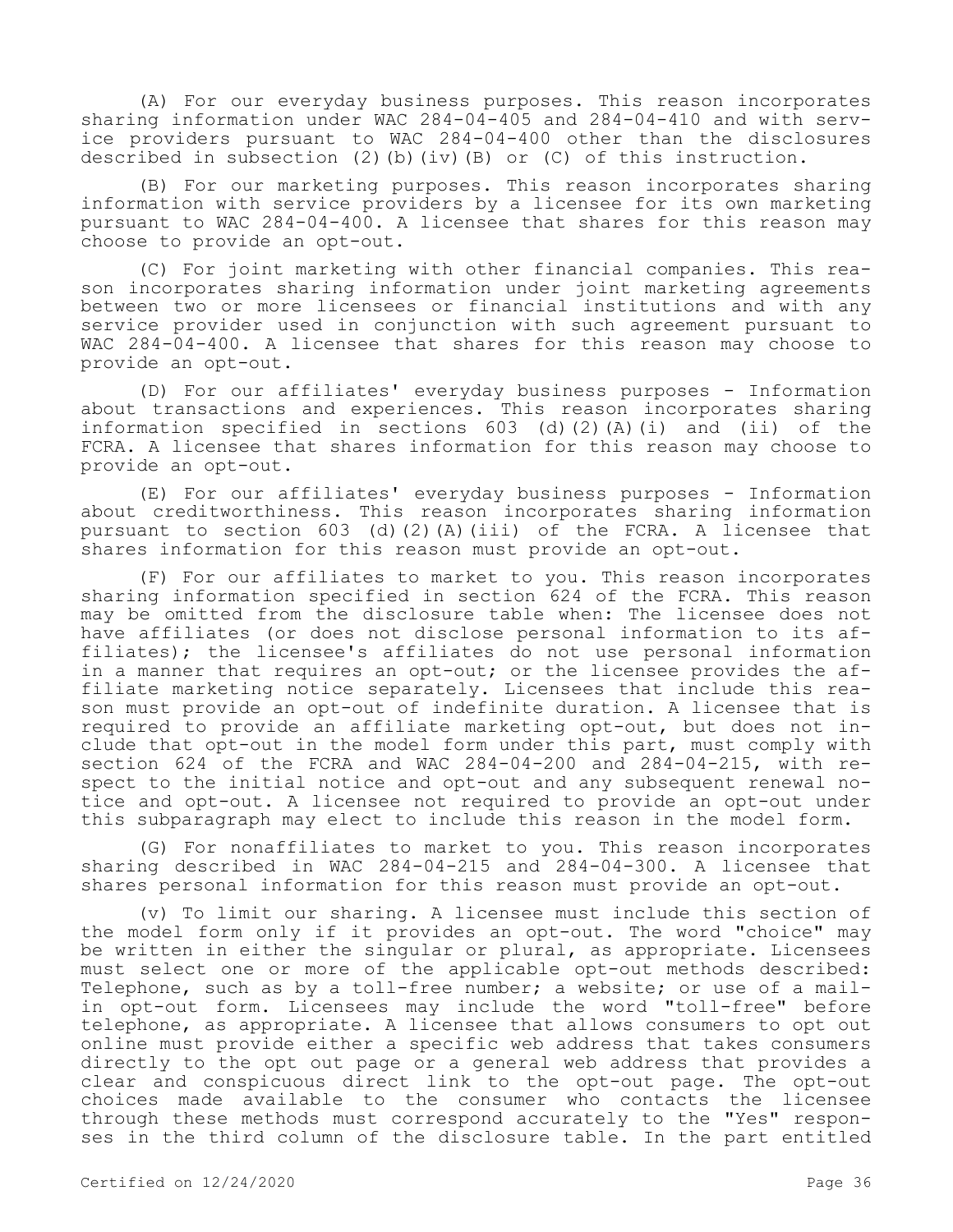(A) For our everyday business purposes. This reason incorporates sharing information under WAC 284-04-405 and 284-04-410 and with service providers pursuant to WAC 284-04-400 other than the disclosures described in subsection  $(2)$  (b) (iv)(B) or  $(C)$  of this instruction.

(B) For our marketing purposes. This reason incorporates sharing information with service providers by a licensee for its own marketing pursuant to WAC 284-04-400. A licensee that shares for this reason may choose to provide an opt-out.

(C) For joint marketing with other financial companies. This reason incorporates sharing information under joint marketing agreements between two or more licensees or financial institutions and with any service provider used in conjunction with such agreement pursuant to WAC 284-04-400. A licensee that shares for this reason may choose to provide an opt-out.

(D) For our affiliates' everyday business purposes - Information about transactions and experiences. This reason incorporates sharing information specified in sections 603 (d)(2)(A)(i) and (ii) of the FCRA. A licensee that shares information for this reason may choose to provide an opt-out.

(E) For our affiliates' everyday business purposes - Information about creditworthiness. This reason incorporates sharing information pursuant to section  $603$  (d)(2)(A)(iii) of the FCRA. A licensee that shares information for this reason must provide an opt-out.

(F) For our affiliates to market to you. This reason incorporates sharing information specified in section 624 of the FCRA. This reason may be omitted from the disclosure table when: The licensee does not have affiliates (or does not disclose personal information to its affiliates); the licensee's affiliates do not use personal information in a manner that requires an opt-out; or the licensee provides the affiliate marketing notice separately. Licensees that include this reason must provide an opt-out of indefinite duration. A licensee that is required to provide an affiliate marketing opt-out, but does not include that opt-out in the model form under this part, must comply with section 624 of the FCRA and WAC 284-04-200 and 284-04-215, with respect to the initial notice and opt-out and any subsequent renewal notice and opt-out. A licensee not required to provide an opt-out under this subparagraph may elect to include this reason in the model form.

(G) For nonaffiliates to market to you. This reason incorporates sharing described in WAC 284-04-215 and 284-04-300. A licensee that shares personal information for this reason must provide an opt-out.

(v) To limit our sharing. A licensee must include this section of the model form only if it provides an opt-out. The word "choice" may be written in either the singular or plural, as appropriate. Licensees must select one or more of the applicable opt-out methods described: Telephone, such as by a toll-free number; a website; or use of a mailin opt-out form. Licensees may include the word "toll-free" before telephone, as appropriate. A licensee that allows consumers to opt out online must provide either a specific web address that takes consumers directly to the opt out page or a general web address that provides a clear and conspicuous direct link to the opt-out page. The opt-out choices made available to the consumer who contacts the licensee through these methods must correspond accurately to the "Yes" responses in the third column of the disclosure table. In the part entitled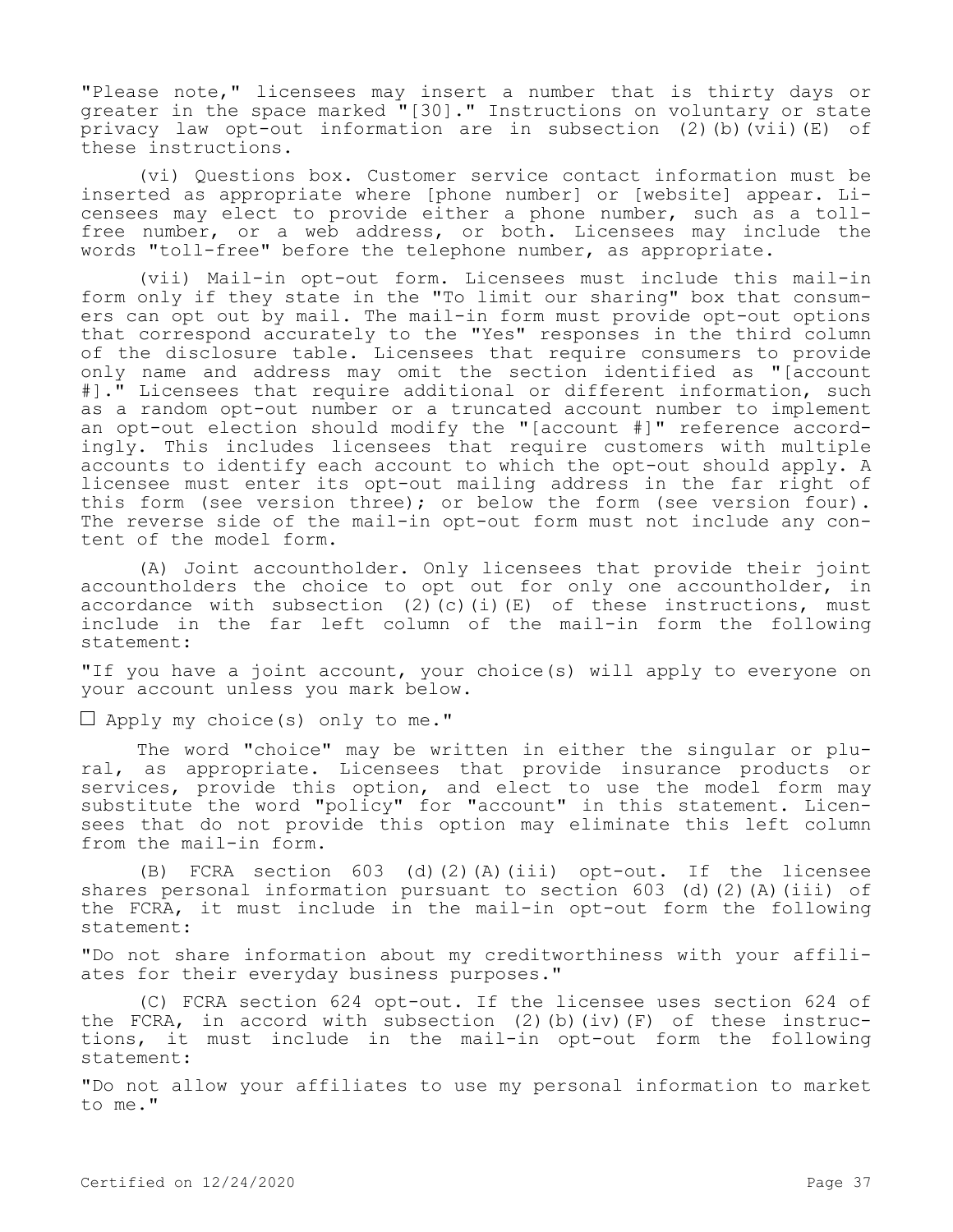"Please note," licensees may insert a number that is thirty days or greater in the space marked "[30]." Instructions on voluntary or state privacy law opt-out information are in subsection (2)(b)( $\overline{v}$ ii)(E) of these instructions.

(vi) Questions box. Customer service contact information must be inserted as appropriate where [phone number] or [website] appear. Licensees may elect to provide either a phone number, such as a tollfree number, or a web address, or both. Licensees may include the words "toll-free" before the telephone number, as appropriate.

(vii) Mail-in opt-out form. Licensees must include this mail-in form only if they state in the "To limit our sharing" box that consumers can opt out by mail. The mail-in form must provide opt-out options that correspond accurately to the "Yes" responses in the third column of the disclosure table. Licensees that require consumers to provide only name and address may omit the section identified as "[account #]." Licensees that require additional or different information, such as a random opt-out number or a truncated account number to implement an opt-out election should modify the "[account #]" reference accordingly. This includes licensees that require customers with multiple accounts to identify each account to which the opt-out should apply. A licensee must enter its opt-out mailing address in the far right of this form (see version three); or below the form (see version four). The reverse side of the mail-in opt-out form must not include any content of the model form.

(A) Joint accountholder. Only licensees that provide their joint accountholders the choice to opt out for only one accountholder, in accordance with subsection (2)(c)(i)(E) of these instructions, must include in the far left column of the mail-in form the following statement:

"If you have a joint account, your choice(s) will apply to everyone on your account unless you mark below.

**□** Apply my choice(s) only to me."

The word "choice" may be written in either the singular or plural, as appropriate. Licensees that provide insurance products or services, provide this option, and elect to use the model form may substitute the word "policy" for "account" in this statement. Licensees that do not provide this option may eliminate this left column from the mail-in form.

(B) FCRA section 603 (d)(2)(A)(iii) opt-out. If the licensee shares personal information pursuant to section  $603$  (d)(2)(A)(iii) of the FCRA, it must include in the mail-in opt-out form the following statement:

"Do not share information about my creditworthiness with your affiliates for their everyday business purposes."

(C) FCRA section 624 opt-out. If the licensee uses section 624 of the FCRA, in accord with subsection (2)(b)(iv)(F) of these instructions, it must include in the mail-in opt-out form the following statement:

"Do not allow your affiliates to use my personal information to market to me."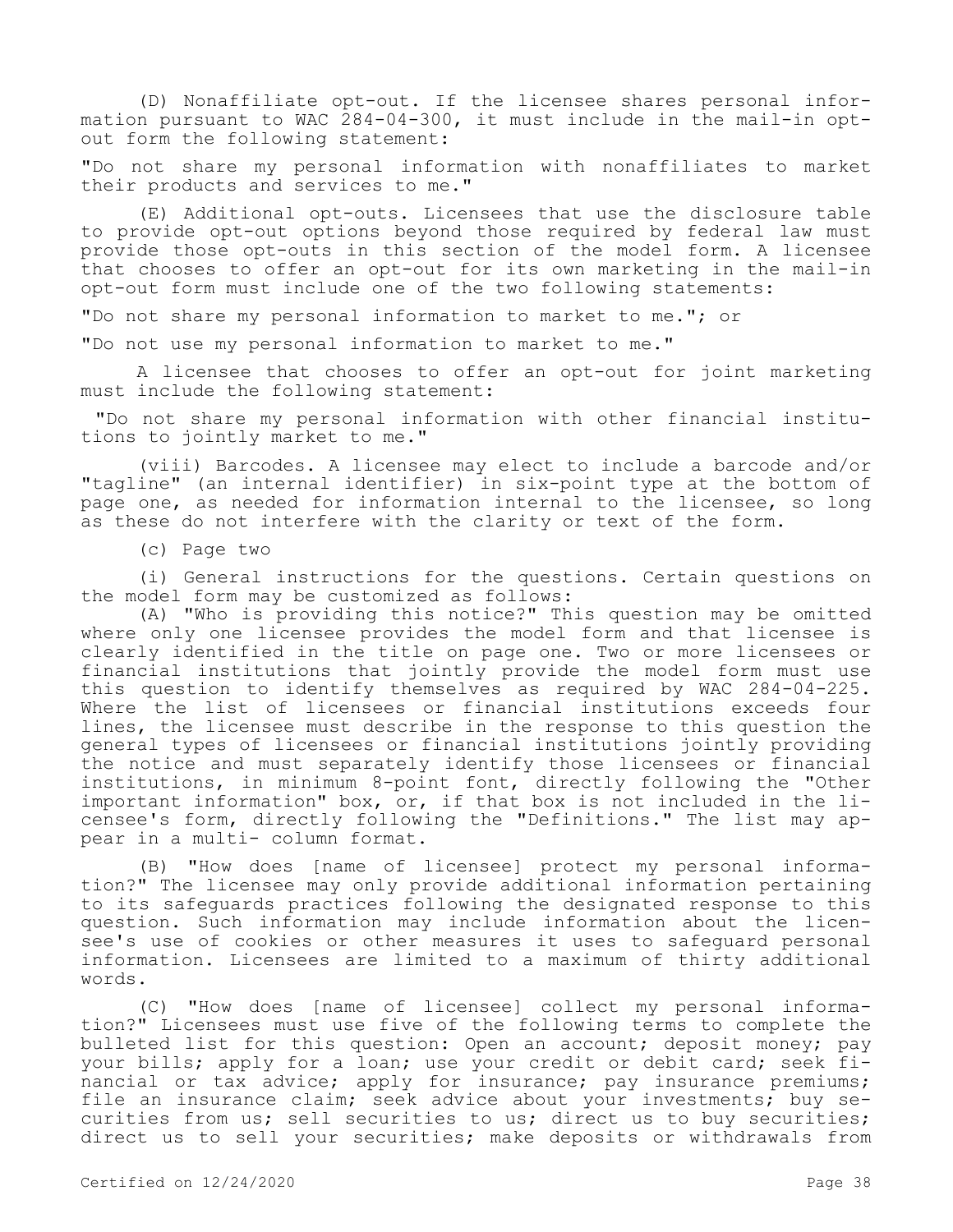(D) Nonaffiliate opt-out. If the licensee shares personal information pursuant to WAC 284-04-300, it must include in the mail-in optout form the following statement:

"Do not share my personal information with nonaffiliates to market their products and services to me."

(E) Additional opt-outs. Licensees that use the disclosure table to provide opt-out options beyond those required by federal law must provide those opt-outs in this section of the model form. A licensee that chooses to offer an opt-out for its own marketing in the mail-in opt-out form must include one of the two following statements:

"Do not share my personal information to market to me."; or

"Do not use my personal information to market to me."

A licensee that chooses to offer an opt-out for joint marketing must include the following statement:

 "Do not share my personal information with other financial institutions to jointly market to me."

(viii) Barcodes. A licensee may elect to include a barcode and/or "tagline" (an internal identifier) in six-point type at the bottom of page one, as needed for information internal to the licensee, so long as these do not interfere with the clarity or text of the form.

(c) Page two

(i) General instructions for the questions. Certain questions on the model form may be customized as follows:

(A) "Who is providing this notice?" This question may be omitted where only one licensee provides the model form and that licensee is clearly identified in the title on page one. Two or more licensees or financial institutions that jointly provide the model form must use this question to identify themselves as required by WAC 284-04-225. Where the list of licensees or financial institutions exceeds four lines, the licensee must describe in the response to this question the general types of licensees or financial institutions jointly providing the notice and must separately identify those licensees or financial institutions, in minimum 8-point font, directly following the "Other important information" box, or, if that box is not included in the licensee's form, directly following the "Definitions." The list may appear in a multi- column format.

(B) "How does [name of licensee] protect my personal information?" The licensee may only provide additional information pertaining to its safeguards practices following the designated response to this question. Such information may include information about the licensee's use of cookies or other measures it uses to safeguard personal information. Licensees are limited to a maximum of thirty additional words.

(C) "How does [name of licensee] collect my personal information?" Licensees must use five of the following terms to complete the bulleted list for this question: Open an account; deposit money; pay your bills; apply for a loan; use your credit or debit card; seek financial or tax advice; apply for insurance; pay insurance premiums; file an insurance claim; seek advice about your investments; buy securities from us; sell securities to us; direct us to buy securities; direct us to sell your securities; make deposits or withdrawals from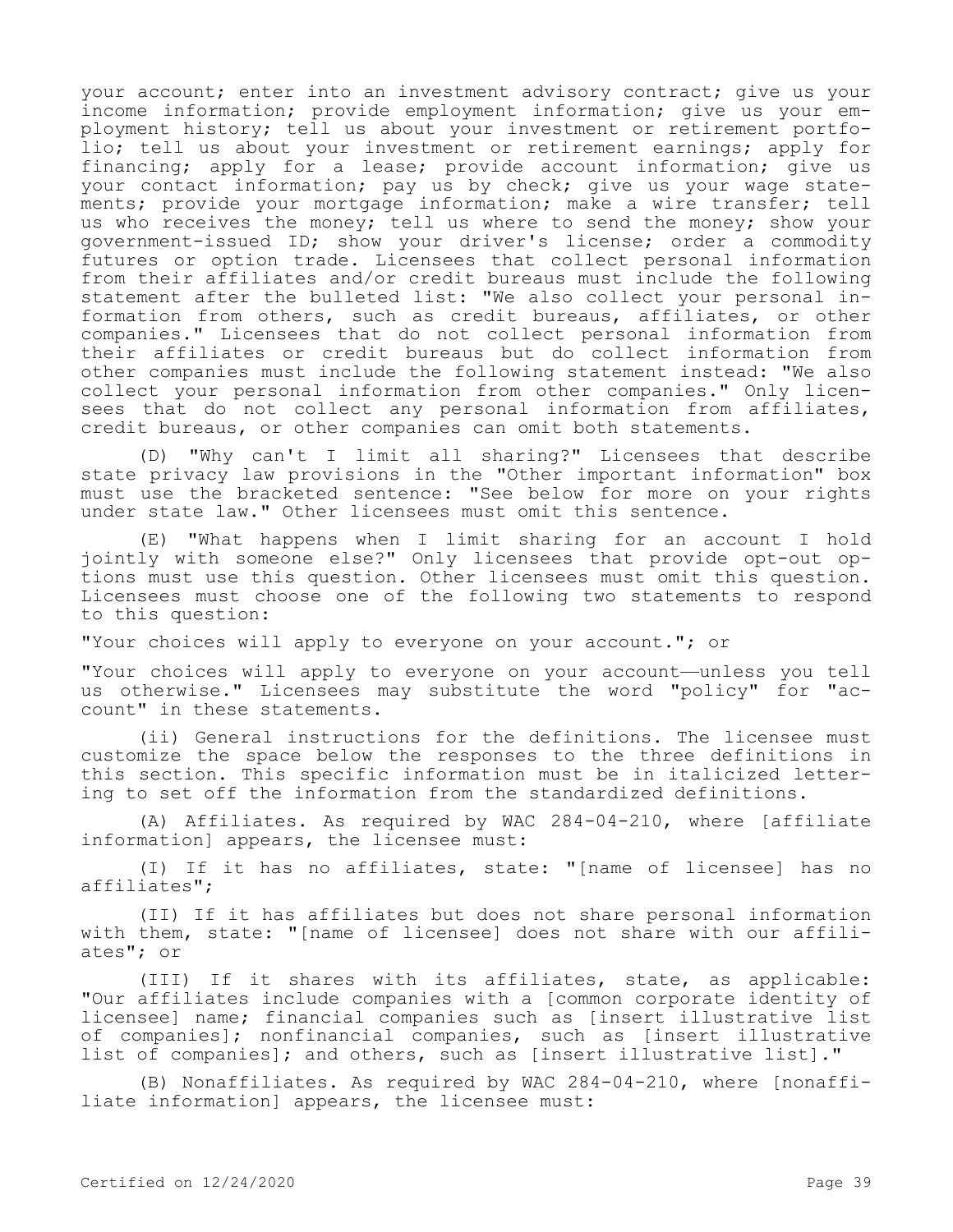your account; enter into an investment advisory contract; give us your income information; provide employment information; give us your employment history; tell us about your investment or retirement portfolio; tell us about your investment or retirement earnings; apply for financing; apply for a lease; provide account information; give us your contact information; pay us by check; give us your wage statements; provide your mortgage information; make a wire transfer; tell us who receives the money; tell us where to send the money; show your government-issued ID; show your driver's license; order a commodity futures or option trade. Licensees that collect personal information from their affiliates and/or credit bureaus must include the following statement after the bulleted list: "We also collect your personal information from others, such as credit bureaus, affiliates, or other companies." Licensees that do not collect personal information from their affiliates or credit bureaus but do collect information from other companies must include the following statement instead: "We also collect your personal information from other companies." Only licensees that do not collect any personal information from affiliates, credit bureaus, or other companies can omit both statements.

(D) "Why can't I limit all sharing?" Licensees that describe state privacy law provisions in the "Other important information" box must use the bracketed sentence: "See below for more on your rights under state law." Other licensees must omit this sentence.

(E) "What happens when I limit sharing for an account I hold jointly with someone else?" Only licensees that provide opt-out options must use this question. Other licensees must omit this question. Licensees must choose one of the following two statements to respond to this question:

"Your choices will apply to everyone on your account."; or

"Your choices will apply to everyone on your account—unless you tell us otherwise." Licensees may substitute the word "policy" for "account" in these statements.

(ii) General instructions for the definitions. The licensee must customize the space below the responses to the three definitions in this section. This specific information must be in italicized lettering to set off the information from the standardized definitions.

(A) Affiliates. As required by WAC 284-04-210, where [affiliate information] appears, the licensee must:

(I) If it has no affiliates, state: "[name of licensee] has no affiliates";

(II) If it has affiliates but does not share personal information with them, state: "[name of licensee] does not share with our affiliates"; or

(III) If it shares with its affiliates, state, as applicable: "Our affiliates include companies with a [common corporate identity of licensee] name; financial companies such as [insert illustrative list of companies]; nonfinancial companies, such as [insert illustrative list of companies]; and others, such as [insert illustrative list]."

(B) Nonaffiliates. As required by WAC 284-04-210, where [nonaffiliate information] appears, the licensee must: